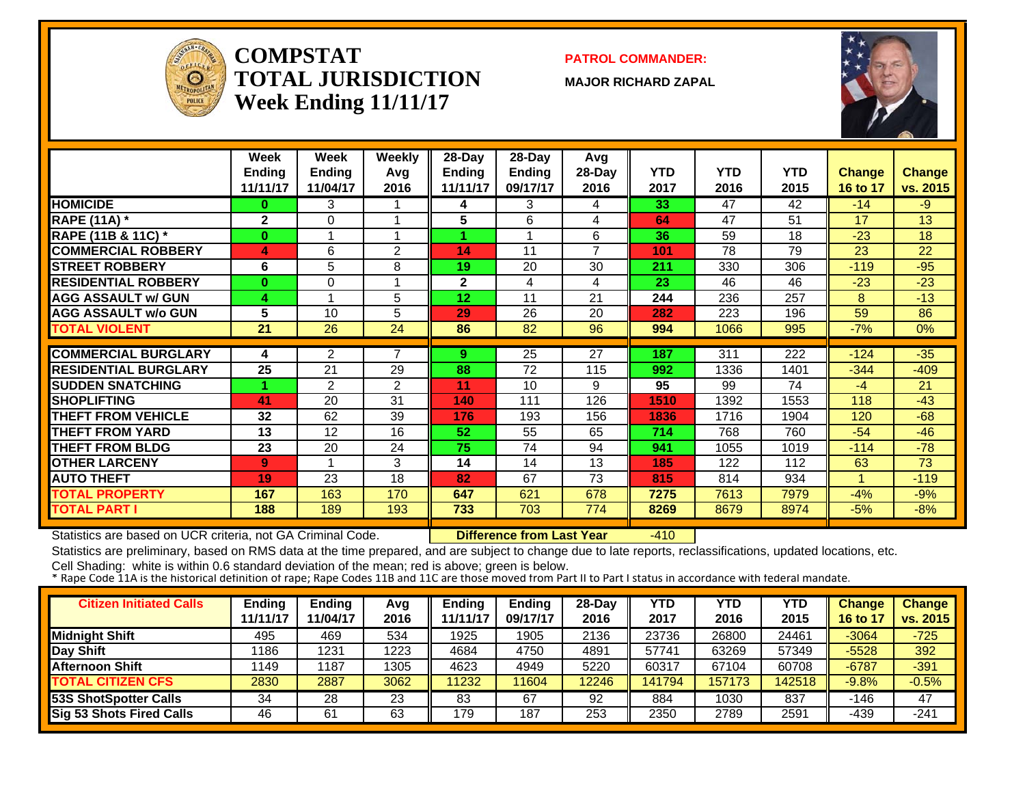

#### **COMPSTATTOTAL JURISDICTIONWeek Ending 11/11/17**

**PATROL COMMANDER:**

**MAJOR RICHARD ZAPAL**



|                             | Week<br><b>Endina</b><br>11/11/17 | Week<br><b>Ending</b><br>11/04/17 | Weekly<br>Avg<br>2016   | 28-Day<br><b>Ending</b><br>11/11/17 | $28$ -Day<br>Ending<br>09/17/17 | Avg<br>$28-Day$<br>2016 | <b>YTD</b><br>2017 | <b>YTD</b><br>2016 | <b>YTD</b><br>2015 | Change<br><b>16 to 17</b> | Change         |
|-----------------------------|-----------------------------------|-----------------------------------|-------------------------|-------------------------------------|---------------------------------|-------------------------|--------------------|--------------------|--------------------|---------------------------|----------------|
| <b>HOMICIDE</b>             | $\mathbf{0}$                      | 3                                 |                         |                                     | 3                               | 4                       | 33                 | 47                 | 42                 | $-14$                     | vs. 2015<br>-9 |
|                             |                                   |                                   | $\overline{\mathbf{A}}$ | 4                                   |                                 |                         | 64                 | 47                 | 51                 | 17                        | 13             |
| <b>RAPE (11A)</b> *         | $\overline{2}$                    | 0<br>1                            |                         | 5                                   | 6                               | 4                       |                    |                    |                    |                           |                |
| RAPE (11B & 11C) *          | $\mathbf{0}$                      |                                   |                         |                                     | 1                               | 6                       | 36                 | 59                 | 18                 | $-23$                     | 18             |
| <b>COMMERCIAL ROBBERY</b>   | 4                                 | 6                                 | $\overline{2}$          | 14                                  | 11                              | $\overline{7}$          | 101                | 78                 | 79                 | 23                        | 22             |
| <b>ISTREET ROBBERY</b>      | 6                                 | 5                                 | 8                       | 19                                  | 20                              | 30                      | 211                | 330                | 306                | $-119$                    | $-95$          |
| <b>RESIDENTIAL ROBBERY</b>  | $\mathbf{0}$                      | $\Omega$                          |                         | $\mathbf{2}$                        | 4                               | 4                       | 23                 | 46                 | 46                 | $-23$                     | $-23$          |
| <b>AGG ASSAULT w/ GUN</b>   | 4                                 | 4                                 | 5                       | 12                                  | 11                              | 21                      | 244                | 236                | 257                | 8                         | $-13$          |
| <b>AGG ASSAULT w/o GUN</b>  | 5                                 | 10                                | 5                       | 29                                  | 26                              | 20                      | 282                | 223                | 196                | 59                        | 86             |
| <b>TOTAL VIOLENT</b>        | 21                                | 26                                | 24                      | 86                                  | 82                              | 96                      | 994                | 1066               | 995                | $-7%$                     | 0%             |
|                             |                                   |                                   |                         |                                     |                                 |                         |                    |                    |                    |                           |                |
| <b>COMMERCIAL BURGLARY</b>  | 4                                 | 2                                 | $\overline{ }$          | 9                                   | $\overline{25}$                 | $\overline{27}$         | 187                | 311                | $\overline{222}$   | $-124$                    | $-35$          |
| <b>RESIDENTIAL BURGLARY</b> | 25                                | 21                                | 29                      | 88                                  | 72                              | 115                     | 992                | 1336               | 1401               | $-344$                    | $-409$         |
| <b>SUDDEN SNATCHING</b>     |                                   | 2                                 | 2                       | 11                                  | 10                              | 9                       | 95                 | 99                 | 74                 | $-4$                      | 21             |
| <b>SHOPLIFTING</b>          | 41                                | 20                                | 31                      | 140                                 | 111                             | 126                     | 1510               | 1392               | 1553               | 118                       | $-43$          |
| <b>THEFT FROM VEHICLE</b>   | 32                                | 62                                | 39                      | 176                                 | 193                             | 156                     | 1836               | 1716               | 1904               | 120                       | $-68$          |
| <b>THEFT FROM YARD</b>      | 13                                | 12                                | 16                      | 52                                  | 55                              | 65                      | 714                | 768                | 760                | $-54$                     | $-46$          |
| <b>THEFT FROM BLDG</b>      | 23                                | 20                                | 24                      | 75                                  | 74                              | 94                      | 941                | 1055               | 1019               | $-114$                    | $-78$          |
| <b>OTHER LARCENY</b>        | 9                                 | 1                                 | 3                       | 14                                  | 14                              | 13                      | 185                | 122                | 112                | 63                        | 73             |
| <b>AUTO THEFT</b>           | 19                                | 23                                | 18                      | 82                                  | 67                              | 73                      | 815                | 814                | 934                |                           | $-119$         |
| <b>TOTAL PROPERTY</b>       | 167                               | 163                               | 170                     | 647                                 | 621                             | 678                     | 7275               | 7613               | 7979               | $-4%$                     | $-9%$          |
| <b>TOTAL PART I</b>         | 188                               | 189                               | 193                     | 733                                 | 703                             | 774                     | 8269               | 8679               | 8974               | $-5%$                     | $-8%$          |

Statistics are based on UCR criteria, not GA Criminal Code. **Difference from Last Year** -410

Statistics are preliminary, based on RMS data at the time prepared, and are subject to change due to late reports, reclassifications, updated locations, etc.

| <b>Citizen Initiated Calls</b> | Ending   | <b>Ending</b> | Avg  | <b>Endina</b> | <b>Ending</b> | 28-Dav | <b>YTD</b> | YTD    | <b>YTD</b> | <b>Change</b>     | <b>Change</b> |
|--------------------------------|----------|---------------|------|---------------|---------------|--------|------------|--------|------------|-------------------|---------------|
|                                | 11/11/17 | 11/04/17      | 2016 | 11/11/17      | 09/17/17      | 2016   | 2017       | 2016   | 2015       | 16 to $1^{\circ}$ | vs. 2015      |
| <b>Midnight Shift</b>          | 495      | 469           | 534  | 1925          | 1905          | 2136   | 23736      | 26800  | 24461      | $-3064$           | $-725$        |
| Day Shift                      | 1186     | 1231          | 1223 | 4684          | 4750          | 4891   | 57741      | 63269  | 57349      | $-5528$           | 392           |
| <b>Afternoon Shift</b>         | 1149     | 1187          | 1305 | 4623          | 4949          | 5220   | 60317      | 67104  | 60708      | $-6787$           | $-391$        |
| <b>TOTAL CITIZEN CFS</b>       | 2830     | 2887          | 3062 | 11232         | 1604          | 12246  | 141794     | 157173 | 142518     | $-9.8%$           | $-0.5%$       |
| 53S ShotSpotter Calls          | 34       | 28            | 23   | 83            | 67            | 92     | 884        | 1030   | 837        | -146              | 47            |
| Sig 53 Shots Fired Calls       | 46       | 61            | 63   | 179           | 187           | 253    | 2350       | 2789   | 2591       | -439              | $-241$        |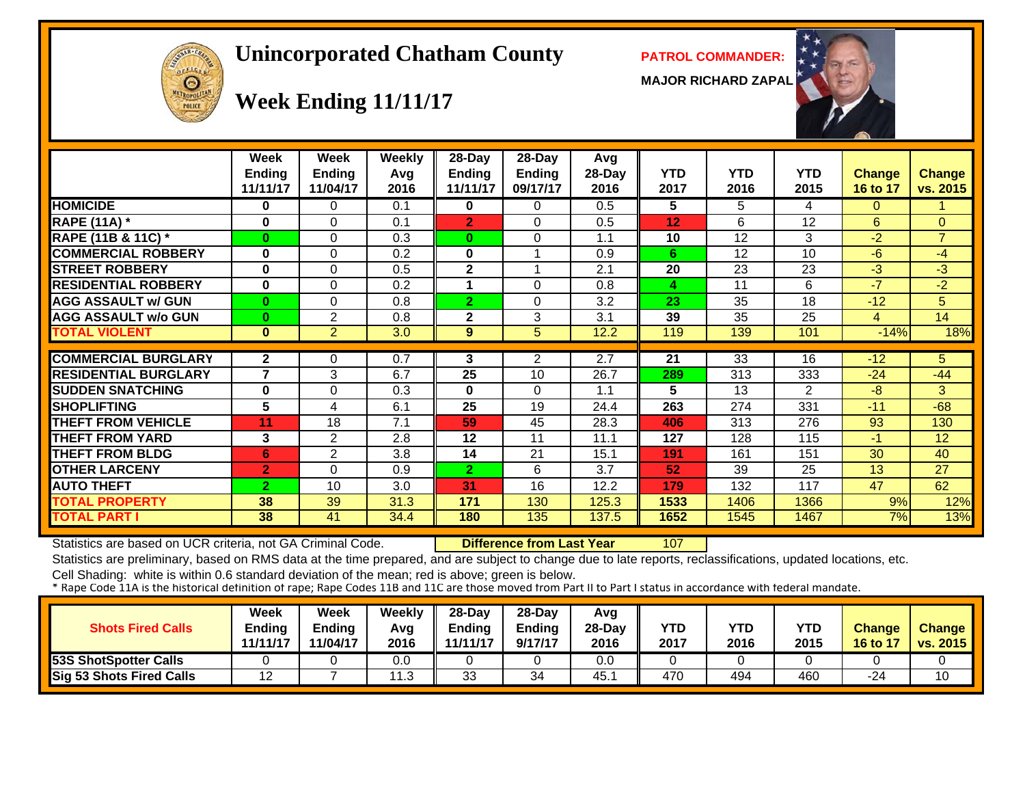# OFFICER  $\Theta$

#### **Unincorporated Chatham County PATROL COMMANDER:**

**MAJOR RICHARD ZAPAL**



# **Week Ending 11/11/17**

|                             | Week<br><b>Endina</b><br>11/11/17 | Week<br><b>Ending</b><br>11/04/17 | <b>Weekly</b><br>Avg<br>2016 | 28-Day<br>Ending<br>11/11/17 | 28-Day<br><b>Ending</b><br>09/17/17 | Avg<br>28-Day<br>2016 | <b>YTD</b><br>2017 | <b>YTD</b><br>2016 | YTD<br>2015 | <b>Change</b><br>16 to 17 | <b>Change</b><br>vs. 2015 |
|-----------------------------|-----------------------------------|-----------------------------------|------------------------------|------------------------------|-------------------------------------|-----------------------|--------------------|--------------------|-------------|---------------------------|---------------------------|
| <b>HOMICIDE</b>             | 0                                 | $\Omega$                          | 0.1                          | $\mathbf{0}$                 | $\Omega$                            | 0.5                   | 5                  | 5                  | 4           | $\Omega$                  |                           |
| <b>RAPE (11A) *</b>         | $\bf{0}$                          | $\Omega$                          | 0.1                          | $\overline{2}$               | $\Omega$                            | 0.5                   | 12                 | 6                  | 12          | 6                         | $\Omega$                  |
| RAPE (11B & 11C) *          | $\bf{0}$                          | $\Omega$                          | 0.3                          | $\bf{0}$                     | $\Omega$                            | 1.1                   | 10                 | 12                 | 3           | $-2$                      | $\overline{7}$            |
| <b>COMMERCIAL ROBBERY</b>   | $\bf{0}$                          | $\Omega$                          | 0.2                          | $\bf{0}$                     |                                     | 0.9                   | 6                  | 12                 | 10          | $-6$                      | $-4$                      |
| <b>STREET ROBBERY</b>       | $\bf{0}$                          | $\Omega$                          | 0.5                          | $\mathbf{2}$                 |                                     | 2.1                   | 20                 | 23                 | 23          | $-3$                      | $-3$                      |
| <b>RESIDENTIAL ROBBERY</b>  | $\bf{0}$                          | $\Omega$                          | 0.2                          |                              | $\Omega$                            | 0.8                   | 4                  | 11                 | 6           | $-7$                      | $-2$                      |
| <b>AGG ASSAULT w/ GUN</b>   | $\bf{0}$                          | $\Omega$                          | 0.8                          | 2.                           | $\Omega$                            | 3.2                   | 23                 | 35                 | 18          | $-12$                     | 5                         |
| <b>AGG ASSAULT w/o GUN</b>  | $\bf{0}$                          | 2                                 | 0.8                          | $\mathbf 2$                  | 3                                   | 3.1                   | 39                 | 35                 | 25          | $\overline{4}$            | 14                        |
| <b>TOTAL VIOLENT</b>        | $\mathbf{0}$                      | $\overline{2}$                    | 3.0                          | 9                            | 5                                   | 12.2                  | 119                | 139                | 101         | $-14%$                    | 18%                       |
|                             |                                   |                                   |                              |                              |                                     |                       |                    |                    |             |                           |                           |
| <b>COMMERCIAL BURGLARY</b>  | $\mathbf{2}$                      | 0                                 | 0.7                          | 3                            | 2                                   | 2.7                   | 21                 | 33                 | 16          | $-12$                     | 5                         |
| <b>RESIDENTIAL BURGLARY</b> | 7                                 | 3                                 | 6.7                          | 25                           | 10                                  | 26.7                  | 289                | 313                | 333         | $-24$                     | $-44$                     |
| <b>SUDDEN SNATCHING</b>     | $\mathbf 0$                       | $\Omega$                          | 0.3                          | $\bf{0}$                     | $\Omega$                            | 1.1                   | 5                  | 13                 | 2           | $-8$                      | 3                         |
| <b>SHOPLIFTING</b>          | 5                                 | 4                                 | 6.1                          | 25                           | 19                                  | 24.4                  | 263                | 274                | 331         | $-11$                     | $-68$                     |
| <b>THEFT FROM VEHICLE</b>   | 11                                | 18                                | 7.1                          | 59                           | 45                                  | 28.3                  | 406                | 313                | 276         | 93                        | 130                       |
| <b>THEFT FROM YARD</b>      | 3                                 | $\overline{2}$                    | 2.8                          | 12                           | 11                                  | 11.1                  | 127                | 128                | 115         | $-1$                      | 12                        |
| <b>THEFT FROM BLDG</b>      | 6                                 | $\overline{2}$                    | 3.8                          | 14                           | 21                                  | 15.1                  | 191                | 161                | 151         | 30                        | 40                        |
| <b>OTHER LARCENY</b>        | $\overline{2}$                    | $\Omega$                          | 0.9                          | $\mathbf{2}$                 | 6                                   | 3.7                   | 52                 | 39                 | 25          | 13                        | 27                        |
| <b>AUTO THEFT</b>           | $\overline{2}$                    | 10                                | 3.0                          | 31                           | 16                                  | 12.2                  | 179                | 132                | 117         | 47                        | 62                        |
| TOTAL PROPERTY              | 38                                | 39                                | 31.3                         | 171                          | 130                                 | 125.3                 | 1533               | 1406               | 1366        | 9%                        | 12%                       |
| <b>TOTAL PART I</b>         | 38                                | 41                                | 34.4                         | 180                          | 135                                 | 137.5                 | 1652               | 1545               | 1467        | 7%                        | 13%                       |

Statistics are based on UCR criteria, not GA Criminal Code. **Difference from Last Year** 107

Statistics are preliminary, based on RMS data at the time prepared, and are subject to change due to late reports, reclassifications, updated locations, etc.

| <b>Shots Fired Calls</b>     | Week<br>Ending<br>11/11/17 | <b>Week</b><br><b>Ending</b><br>11/04/17 | Weekly<br>Avg<br>2016 | $28$ -Dav<br>Ending<br>11/11/17 | $28-Day$<br>Ending<br>9/17/17 | Avg<br>$28-Dav$<br>2016 | YTD<br>2017 | <b>YTD</b><br>2016 | <b>YTD</b><br>2015 | <b>Change</b><br><b>16 to 17</b> | <b>Change</b><br>vs. 2015 |
|------------------------------|----------------------------|------------------------------------------|-----------------------|---------------------------------|-------------------------------|-------------------------|-------------|--------------------|--------------------|----------------------------------|---------------------------|
| <b>53S ShotSpotter Calls</b> |                            |                                          | 0.0                   |                                 |                               | 0.0                     |             |                    |                    |                                  |                           |
| Sig 53 Shots Fired Calls     | 12                         |                                          | $^{\circ}$ 1.3        | っっ<br>ບບ                        | 34                            | 45.                     | 470         | 494                | 460                | -24                              | 10                        |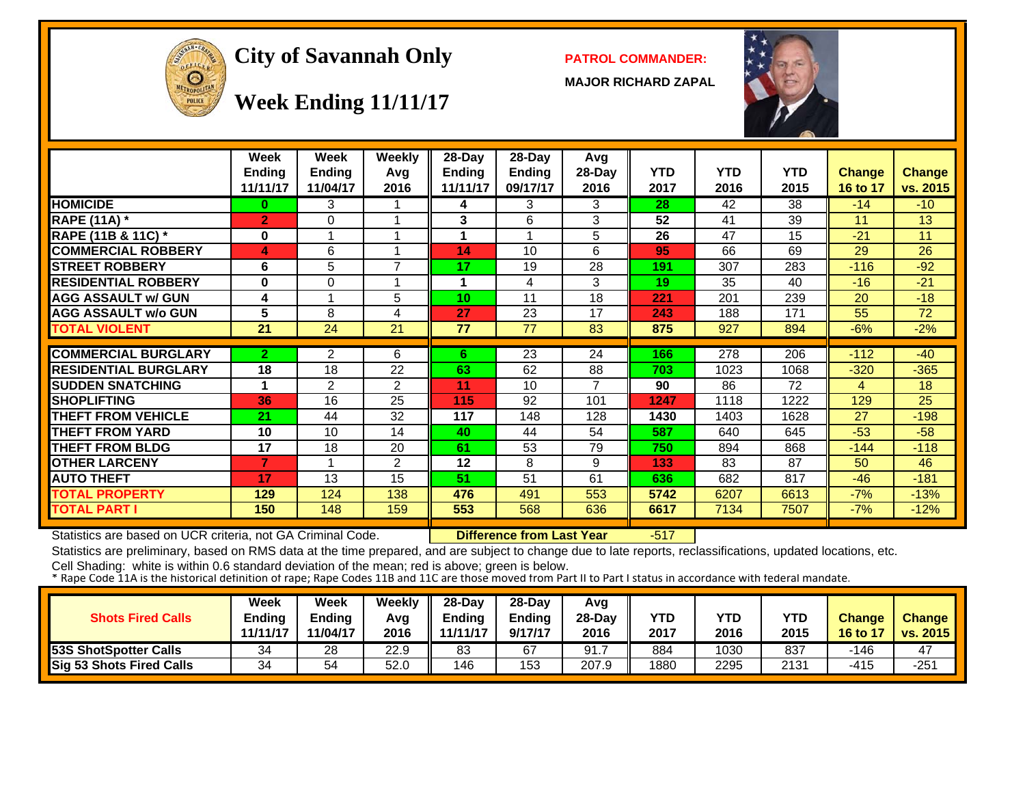

#### **City of Savannah Only PATROL COMMANDER:**

**MAJOR RICHARD ZAPAL**



**Week Ending 11/11/17**

|                             | Week<br><b>Ending</b><br>11/11/17 | Week<br><b>Ending</b><br>11/04/17 | Weekly<br>Avg<br>2016 | 28-Day<br>Ending<br>11/11/17 | 28-Day<br><b>Ending</b><br>09/17/17 | Avg<br>28-Day<br>2016 | <b>YTD</b><br>2017 | <b>YTD</b><br>2016 | <b>YTD</b><br>2015 | <b>Change</b><br>16 to 17 | Change<br>vs. 2015 |
|-----------------------------|-----------------------------------|-----------------------------------|-----------------------|------------------------------|-------------------------------------|-----------------------|--------------------|--------------------|--------------------|---------------------------|--------------------|
| <b>HOMICIDE</b>             | 0                                 | 3                                 |                       | 4                            | 3                                   | 3                     | 28                 | 42                 | 38                 | $-14$                     | $-10$              |
| <b>RAPE (11A)</b> *         | $\overline{2}$                    | 0                                 | 1                     | 3                            | 6                                   | 3                     | 52                 | 41                 | 39                 | 11                        | 13                 |
| RAPE (11B & 11C) *          | 0                                 |                                   | 1                     |                              |                                     | 5                     | 26                 | 47                 | 15                 | $-21$                     | 11                 |
| <b>COMMERCIAL ROBBERY</b>   | 4                                 | 6                                 | 1                     | 14                           | 10                                  | 6                     | 95                 | 66                 | 69                 | 29                        | 26                 |
| <b>STREET ROBBERY</b>       | 6                                 | 5                                 | $\overline{7}$        | 17                           | 19                                  | 28                    | 191                | 307                | 283                | $-116$                    | $-92$              |
| <b>RESIDENTIAL ROBBERY</b>  | $\bf{0}$                          | 0                                 | 1                     | 4                            | 4                                   | 3                     | 19                 | 35                 | 40                 | $-16$                     | $-21$              |
| <b>AGG ASSAULT w/ GUN</b>   | 4                                 |                                   | 5                     | 10                           | 11                                  | 18                    | 221                | 201                | 239                | 20                        | $-18$              |
| <b>AGG ASSAULT w/o GUN</b>  | 5                                 | 8                                 | 4                     | 27                           | 23                                  | 17                    | 243                | 188                | 171                | 55                        | 72                 |
| <b>TOTAL VIOLENT</b>        | 21                                | 24                                | 21                    | 77                           | 77                                  | 83                    | 875                | 927                | 894                | $-6%$                     | $-2%$              |
|                             |                                   |                                   |                       |                              |                                     |                       |                    |                    |                    |                           |                    |
| <b>COMMERCIAL BURGLARY</b>  | $\overline{2}$                    | $\overline{2}$                    | 6                     | 6                            | 23                                  | 24                    | 166                | $\sqrt{278}$       | 206                | $-112$                    | $-40$              |
| <b>RESIDENTIAL BURGLARY</b> | 18                                | 18                                | 22                    | 63                           | 62                                  | 88                    | 703                | 1023               | 1068               | $-320$                    | $-365$             |
| <b>SUDDEN SNATCHING</b>     | 1                                 | $\overline{2}$                    | 2                     | 11                           | 10                                  | $\overline{ }$        | 90                 | 86                 | 72                 | $\overline{4}$            | 18                 |
| <b>SHOPLIFTING</b>          | 36                                | 16                                | 25                    | 115                          | 92                                  | 101                   | 1247               | 1118               | 1222               | 129                       | 25                 |
| <b>THEFT FROM VEHICLE</b>   | 21                                | 44                                | 32                    | 117                          | 148                                 | 128                   | 1430               | 1403               | 1628               | 27                        | $-198$             |
| <b>THEFT FROM YARD</b>      | 10                                | 10                                | 14                    | 40                           | 44                                  | 54                    | 587                | 640                | 645                | $-53$                     | $-58$              |
| <b>THEFT FROM BLDG</b>      | 17                                | 18                                | 20                    | 61                           | 53                                  | 79                    | 750                | 894                | 868                | $-144$                    | $-118$             |
| <b>OTHER LARCENY</b>        | 7                                 |                                   | $\overline{2}$        | 12                           | 8                                   | 9                     | 133                | 83                 | 87                 | 50                        | 46                 |
| <b>AUTO THEFT</b>           | 17                                | 13                                | 15                    | 51                           | 51                                  | 61                    | 636                | 682                | 817                | $-46$                     | $-181$             |
| TOTAL PROPERTY              | 129                               | 124                               | 138                   | 476                          | 491                                 | 553                   | 5742               | 6207               | 6613               | $-7%$                     | $-13%$             |
| TOTAL PART I                | 150                               | 148                               | 159                   | 553                          | 568                                 | 636                   | 6617               | 7134               | 7507               | $-7%$                     | $-12%$             |

Statistics are based on UCR criteria, not GA Criminal Code. **Difference from Last Year** -517

Statistics are preliminary, based on RMS data at the time prepared, and are subject to change due to late reports, reclassifications, updated locations, etc.

| <b>Shots Fired Calls</b>     | Week<br>Ending<br>11/11/17 | Week<br><b>Ending</b><br>11/04/17 | Weekly<br>Avg<br>2016 | 28-Dav<br>Endina<br>1/11/17 | $28 - Day$<br>Ending<br>9/17/17 | Avg<br>28-Dav<br>2016 | <b>YTD</b><br>2017 | YTD<br>2016 | YTD<br>2015 | <b>Change</b><br>16 to 17 | <b>Change</b><br><b>vs. 2015</b> |
|------------------------------|----------------------------|-----------------------------------|-----------------------|-----------------------------|---------------------------------|-----------------------|--------------------|-------------|-------------|---------------------------|----------------------------------|
| <b>53S ShotSpotter Calls</b> | 34                         | 28                                | 22.9                  | 83                          | 67                              | 91.                   | 884                | 1030        | 837         | -146                      | 47                               |
| Sig 53 Shots Fired Calls     | 34                         | 54                                | 52.0                  | 146                         | 153                             | 207.9                 | 1880               | 2295        | 2131        | -415                      | $-251$                           |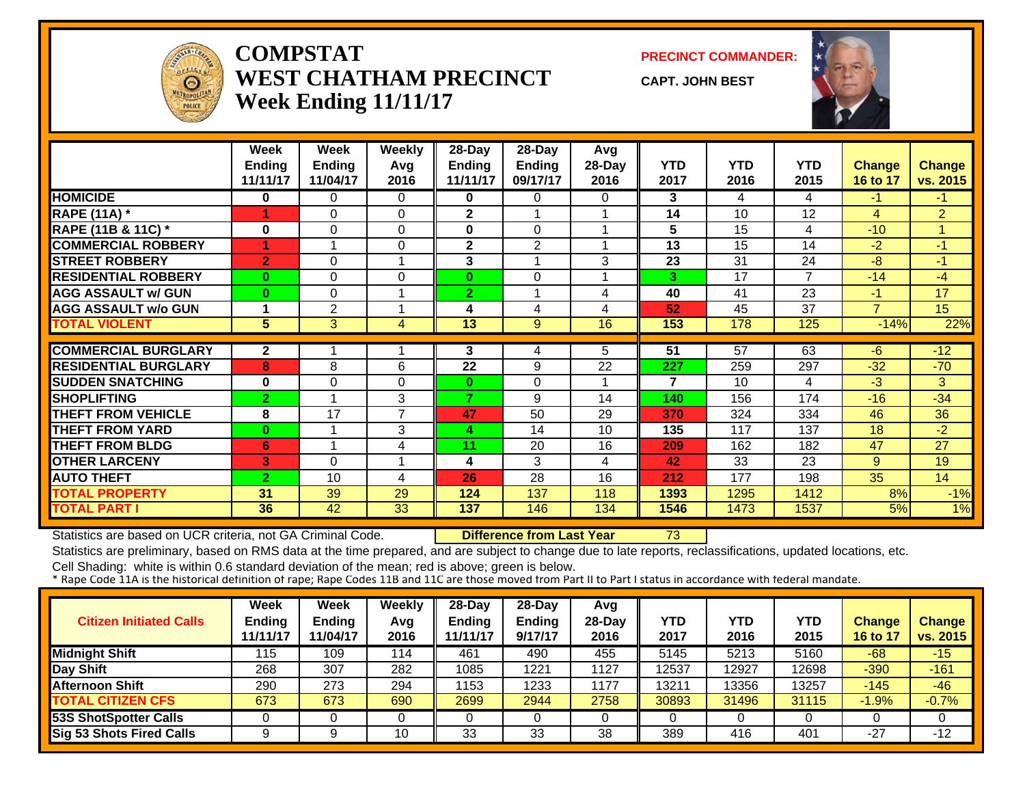

#### **COMPSTATWEST CHATHAM PRECINCTWeek Ending 11/11/17**

**PRECINCT COMMANDER:**

**CAPT. JOHN BEST**



|                             | Week<br><b>Ending</b><br>11/11/17 | Week<br><b>Ending</b><br>11/04/17 | Weekly<br>Avg<br>2016 | 28-Day<br>Ending<br>11/11/17 | $28-Dav$<br><b>Ending</b><br>09/17/17 | Avg<br>28-Day<br>2016 | <b>YTD</b><br>2017 | <b>YTD</b><br>2016 | <b>YTD</b><br>2015 | <b>Change</b><br>16 to 17 | <b>Change</b><br>vs. 2015 |
|-----------------------------|-----------------------------------|-----------------------------------|-----------------------|------------------------------|---------------------------------------|-----------------------|--------------------|--------------------|--------------------|---------------------------|---------------------------|
| <b>HOMICIDE</b>             | 0                                 | 0                                 | 0                     | $\bf{0}$                     | 0                                     | 0                     | 3                  | 4                  | 4                  | -1.                       | $-1$                      |
| <b>RAPE (11A) *</b>         |                                   | 0                                 | $\Omega$              | $\mathbf 2$                  |                                       |                       | 14                 | 10                 | 12                 | 4                         | $\overline{2}$            |
| RAPE (11B & 11C) *          | $\bf{0}$                          | $\Omega$                          | $\Omega$              | $\bf{0}$                     | $\Omega$                              |                       | $5\phantom{1}$     | 15                 | 4                  | $-10$                     | 1                         |
| <b>COMMERCIAL ROBBERY</b>   |                                   |                                   | 0                     | 2                            | $\overline{2}$                        |                       | 13                 | 15                 | 14                 | $-2$                      | $-1$                      |
| <b>STREET ROBBERY</b>       | $\overline{2}$                    | 0                                 |                       | 3                            |                                       | 3                     | 23                 | 31                 | 24                 | $-8$                      | $-1$                      |
| <b>RESIDENTIAL ROBBERY</b>  | $\Omega$                          | 0                                 | 0                     | $\bf{0}$                     | $\Omega$                              |                       | 3                  | 17                 | $\overline{7}$     | $-14$                     | $-4$                      |
| <b>AGG ASSAULT w/ GUN</b>   | $\bf{0}$                          | 0                                 |                       | $\overline{2}$               |                                       | 4                     | 40                 | 41                 | 23                 | -1                        | 17                        |
| <b>AGG ASSAULT w/o GUN</b>  |                                   | $\overline{2}$                    |                       | 4                            | 4                                     | 4                     | 52                 | 45                 | 37                 | $\overline{7}$            | 15                        |
| <b>TOTAL VIOLENT</b>        | 5                                 | 3                                 | 4                     | 13                           | 9                                     | 16                    | 153                | 178                | 125                | $-14%$                    | 22%                       |
|                             |                                   |                                   |                       |                              |                                       |                       |                    |                    |                    |                           |                           |
| <b>COMMERCIAL BURGLARY</b>  | $\overline{2}$                    |                                   |                       | 3                            | 4                                     | 5                     | 51                 | 57                 | 63                 | $-6$                      | $-12$                     |
| <b>RESIDENTIAL BURGLARY</b> | 8                                 | 8                                 | 6                     | 22                           | 9                                     | 22                    | 227                | 259                | 297                | $-32$                     | $-70$                     |
| <b>SUDDEN SNATCHING</b>     | 0                                 | 0                                 | 0                     | $\bf{0}$                     | $\mathbf{0}$                          |                       | 7                  | 10                 | 4                  | $-3$                      | 3                         |
| <b>SHOPLIFTING</b>          | $\overline{2}$                    |                                   | 3                     | 7.                           | 9                                     | 14                    | 140                | 156                | 174                | $-16$                     | $-34$                     |
| <b>THEFT FROM VEHICLE</b>   | 8                                 | 17                                | $\overline{7}$        | 47                           | 50                                    | 29                    | 370                | 324                | 334                | 46                        | 36                        |
| <b>THEFT FROM YARD</b>      | $\bf{0}$                          |                                   | 3                     | 4                            | 14                                    | 10                    | 135                | 117                | 137                | 18                        | $-2$                      |
| <b>THEFT FROM BLDG</b>      | 6                                 |                                   | 4                     | 11                           | 20                                    | 16                    | 209                | 162                | 182                | 47                        | $\overline{27}$           |
| <b>OTHER LARCENY</b>        | 3                                 | 0                                 |                       | 4                            | 3                                     | 4                     | 42                 | 33                 | 23                 | 9                         | 19                        |
| <b>AUTO THEFT</b>           | $\overline{2}$                    | 10                                | 4                     | 26                           | 28                                    | 16                    | 212                | 177                | 198                | 35                        | 14                        |
| <b>TOTAL PROPERTY</b>       | 31                                | 39                                | 29                    | 124                          | 137                                   | 118                   | 1393               | 1295               | 1412               | 8%                        | $-1%$                     |
| <b>TOTAL PART I</b>         | 36                                | 42                                | 33                    | 137                          | 146                                   | 134                   | 1546               | 1473               | 1537               | 5%                        | 1%                        |

Statistics are based on UCR criteria, not GA Criminal Code. **Difference from Last Year** 73

Statistics are preliminary, based on RMS data at the time prepared, and are subject to change due to late reports, reclassifications, updated locations, etc.

| <b>Citizen Initiated Calls</b> | Week<br><b>Ending</b><br>11/11/17 | <b>Week</b><br><b>Ending</b><br>11/04/17 | <b>Weekly</b><br>Avg<br>2016 | $28$ -Day<br><b>Ending</b><br>11/11/17 | $28-Dav$<br><b>Ending</b><br>9/17/17 | Avg<br>$28-Day$<br>2016 | YTD<br>2017 | YTD<br>2016 | YTD<br>2015 | <b>Change</b><br>16 to 17 | <b>Change</b><br>vs. 2015 |
|--------------------------------|-----------------------------------|------------------------------------------|------------------------------|----------------------------------------|--------------------------------------|-------------------------|-------------|-------------|-------------|---------------------------|---------------------------|
| <b>Midnight Shift</b>          | 115                               | 109                                      | 114                          | 461                                    | 490                                  | 455                     | 5145        | 5213        | 5160        | $-68$                     | $-15$                     |
| Day Shift                      | 268                               | 307                                      | 282                          | 1085                                   | 1221                                 | 1127                    | 12537       | 12927       | 12698       | $-390$                    | $-161$                    |
| <b>Afternoon Shift</b>         | 290                               | 273                                      | 294                          | 1153                                   | 1233                                 | 1177                    | 13211       | 13356       | 13257       | $-145$                    | $-46$                     |
| <b>TOTAL CITIZEN CFS</b>       | 673                               | 673                                      | 690                          | 2699                                   | 2944                                 | 2758                    | 30893       | 31496       | 31115       | $-1.9%$                   | $-0.7%$                   |
| <b>53S ShotSpotter Calls</b>   |                                   |                                          |                              |                                        |                                      |                         |             |             |             |                           |                           |
| Sig 53 Shots Fired Calls       | 9                                 |                                          | 10                           | 33                                     | 33                                   | 38                      | 389         | 416         | 401         | -27                       | $-12$                     |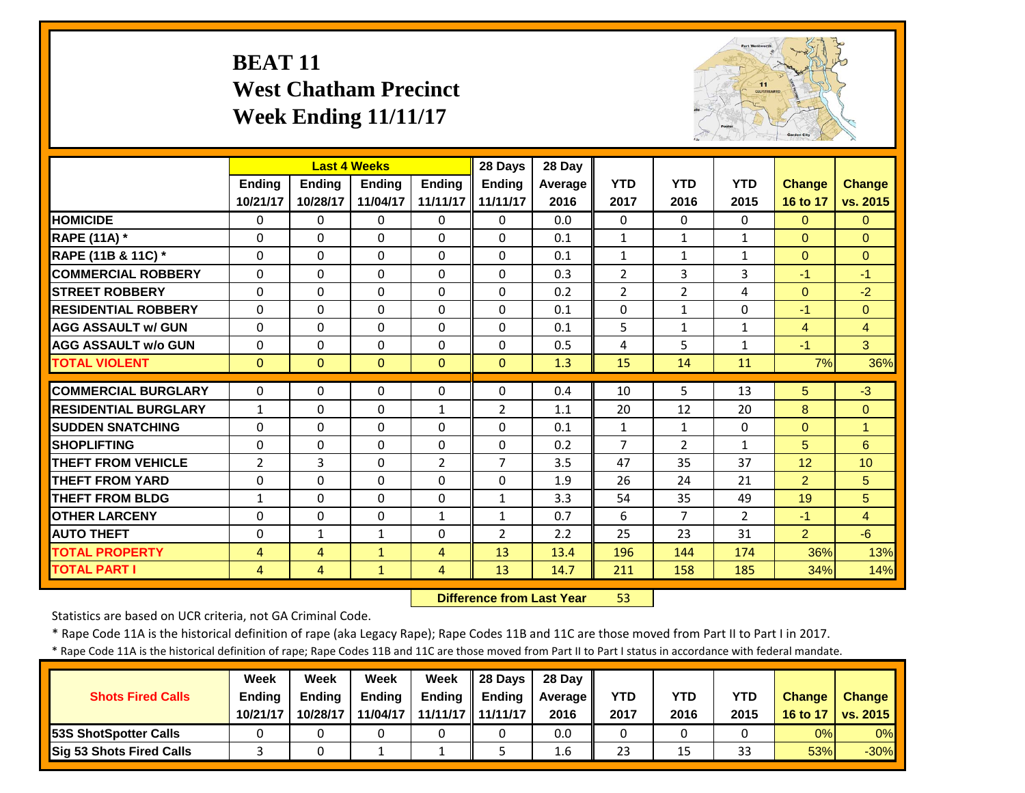## **BEAT 11 West Chatham Precinct Week Ending 11/11/17**



|                             |                | <b>Last 4 Weeks</b> |               |                | 28 Days        | 28 Day  |                |                |                |                 |                |
|-----------------------------|----------------|---------------------|---------------|----------------|----------------|---------|----------------|----------------|----------------|-----------------|----------------|
|                             | <b>Ending</b>  | <b>Endina</b>       | <b>Endina</b> | <b>Endina</b>  | <b>Ending</b>  | Average | <b>YTD</b>     | <b>YTD</b>     | <b>YTD</b>     | <b>Change</b>   | <b>Change</b>  |
|                             | 10/21/17       | 10/28/17            | 11/04/17      | 11/11/17       | 11/11/17       | 2016    | 2017           | 2016           | 2015           | 16 to 17        | vs. 2015       |
| <b>HOMICIDE</b>             | $\Omega$       | 0                   | $\mathbf{0}$  | $\Omega$       | $\Omega$       | 0.0     | $\Omega$       | $\Omega$       | 0              | $\Omega$        | $\overline{0}$ |
| <b>RAPE (11A) *</b>         | $\Omega$       | $\Omega$            | $\Omega$      | $\Omega$       | $\Omega$       | 0.1     | $\mathbf{1}$   | $\mathbf{1}$   | $\mathbf{1}$   | $\Omega$        | $\Omega$       |
| RAPE (11B & 11C) *          | $\mathbf 0$    | $\Omega$            | $\Omega$      | $\Omega$       | $\Omega$       | 0.1     | $\mathbf{1}$   | $\mathbf{1}$   | $\mathbf{1}$   | $\overline{0}$  | $\mathbf{0}$   |
| <b>COMMERCIAL ROBBERY</b>   | $\Omega$       | $\Omega$            | $\Omega$      | $\Omega$       | $\Omega$       | 0.3     | $\overline{2}$ | 3              | 3              | $-1$            | $-1$           |
| <b>STREET ROBBERY</b>       | $\Omega$       | $\Omega$            | $\Omega$      | $\Omega$       | $\Omega$       | 0.2     | $\overline{2}$ | $\overline{2}$ | 4              | $\Omega$        | $-2$           |
| <b>RESIDENTIAL ROBBERY</b>  | $\Omega$       | $\Omega$            | $\Omega$      | $\Omega$       | $\Omega$       | 0.1     | $\Omega$       | $\mathbf{1}$   | 0              | $-1$            | $\Omega$       |
| <b>AGG ASSAULT w/ GUN</b>   | $\Omega$       | 0                   | $\Omega$      | $\Omega$       | $\Omega$       | 0.1     | 5              | $\mathbf{1}$   | $\mathbf{1}$   | 4               | $\overline{4}$ |
| <b>AGG ASSAULT w/o GUN</b>  | $\Omega$       | 0                   | $\Omega$      | $\Omega$       | $\Omega$       | 0.5     | 4              | 5              | $\mathbf{1}$   | $-1$            | 3              |
| <b>TOTAL VIOLENT</b>        | $\Omega$       | $\Omega$            | $\Omega$      | $\Omega$       | $\Omega$       | 1.3     | 15             | 14             | 11             | 7%              | 36%            |
| <b>COMMERCIAL BURGLARY</b>  | $\Omega$       | 0                   | $\Omega$      | $\Omega$       | $\Omega$       | 0.4     | 10             | 5.             | 13             | 5               | $-3$           |
| <b>RESIDENTIAL BURGLARY</b> | $\mathbf{1}$   | 0                   | 0             | 1              | $\overline{2}$ | 1.1     | 20             | 12             | 20             | 8               | $\mathbf{0}$   |
| <b>SUDDEN SNATCHING</b>     | $\Omega$       | 0                   | $\Omega$      | $\Omega$       | $\Omega$       | 0.1     | $\mathbf{1}$   | $\mathbf{1}$   | 0              | $\Omega$        | $\overline{1}$ |
| <b>SHOPLIFTING</b>          | $\Omega$       | 0                   | $\Omega$      | $\Omega$       | 0              | 0.2     | $\overline{7}$ | $\overline{2}$ | $\mathbf{1}$   | 5               | 6              |
| <b>THEFT FROM VEHICLE</b>   | $\overline{2}$ | 3                   | $\Omega$      | $\overline{2}$ | 7              | 3.5     | 47             | 35             | 37             | 12 <sup>2</sup> | 10             |
| <b>THEFT FROM YARD</b>      | $\Omega$       | $\Omega$            | $\Omega$      | $\Omega$       | $\Omega$       | 1.9     | 26             | 24             | 21             | $\overline{2}$  | 5              |
| <b>THEFT FROM BLDG</b>      | 1              | 0                   | $\Omega$      | $\Omega$       | $\mathbf{1}$   | 3.3     | 54             | 35             | 49             | 19              | 5              |
| <b>OTHER LARCENY</b>        | $\Omega$       | 0                   | $\Omega$      | $\mathbf{1}$   | $\mathbf{1}$   | 0.7     | 6              | 7              | $\overline{2}$ | $-1$            | $\overline{4}$ |
| <b>AUTO THEFT</b>           | $\Omega$       | $\mathbf{1}$        | $\mathbf{1}$  | $\Omega$       | $\overline{2}$ | 2.2     | 25             | 23             | 31             | $\overline{2}$  | $-6$           |
| <b>TOTAL PROPERTY</b>       | $\overline{4}$ | $\overline{4}$      | $\mathbf{1}$  | 4              | 13             | 13.4    | 196            | 144            | 174            | 36%             | 13%            |
| <b>TOTAL PART I</b>         | $\overline{4}$ | 4                   | $\mathbf{1}$  | 4              | 13             | 14.7    | 211            | 158            | 185            | 34%             | 14%            |

 **Difference from Last Year**53

Statistics are based on UCR criteria, not GA Criminal Code.

\* Rape Code 11A is the historical definition of rape (aka Legacy Rape); Rape Codes 11B and 11C are those moved from Part II to Part I in 2017.

\* Rape Code 11A is the historical definition of rape; Rape Codes 11B and 11C are those moved from Part II to Part I status in accordance with federal mandate.

|                              | Week     | Week          | Week          | Week              | 28 Days       | 28 Day    |      |      |      |               |                 |
|------------------------------|----------|---------------|---------------|-------------------|---------------|-----------|------|------|------|---------------|-----------------|
| <b>Shots Fired Calls</b>     | Ending   | <b>Ending</b> | <b>Ending</b> | <b>Ending</b>     | <b>Ending</b> | Average I | YTD  | YTD  | YTD  | <b>Change</b> | <b>Change</b>   |
|                              | 10/21/17 | 10/28/17      | 11/04/17      | 11/11/17 11/11/17 |               | 2016      | 2017 | 2016 | 2015 | 16 to 17      | <b>vs. 2015</b> |
| <b>53S ShotSpotter Calls</b> |          |               |               |                   |               | 0.0       |      |      |      | 0%            | 0%              |
| Sig 53 Shots Fired Calls     |          |               |               | -                 |               | 1.6       | 23   | 15   | 33   | 53%           | $-30\%$         |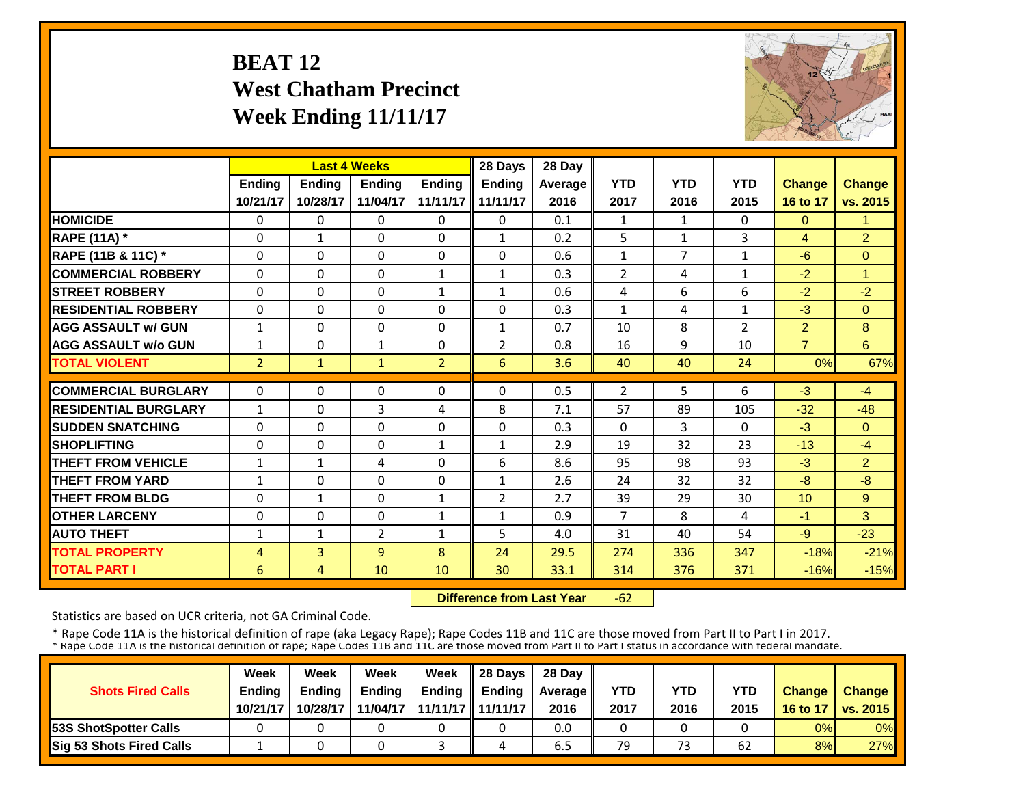## **BEAT 12 West Chatham Precinct Week Ending 11/11/17**



|                             |                | <b>Last 4 Weeks</b> |                |                | 28 Days        | 28 Day  |                |                |                |                |                |
|-----------------------------|----------------|---------------------|----------------|----------------|----------------|---------|----------------|----------------|----------------|----------------|----------------|
|                             | Ending         | <b>Ending</b>       | Ending         | <b>Ending</b>  | <b>Ending</b>  | Average | <b>YTD</b>     | <b>YTD</b>     | <b>YTD</b>     | <b>Change</b>  | Change         |
|                             | 10/21/17       | 10/28/17            | 11/04/17       | 11/11/17       | 11/11/17       | 2016    | 2017           | 2016           | 2015           | 16 to 17       | vs. 2015       |
| <b>HOMICIDE</b>             | 0              | 0                   | $\Omega$       | $\Omega$       | $\Omega$       | 0.1     | 1              | $\mathbf{1}$   | 0              | $\Omega$       | 1              |
| <b>RAPE (11A)</b> *         | $\Omega$       | $\mathbf{1}$        | $\Omega$       | $\Omega$       | $\mathbf{1}$   | 0.2     | 5              | $\mathbf{1}$   | 3              | $\overline{4}$ | $\overline{2}$ |
| RAPE (11B & 11C) *          | $\Omega$       | $\Omega$            | $\Omega$       | $\Omega$       | $\Omega$       | 0.6     | $\mathbf{1}$   | $\overline{7}$ | 1              | $-6$           | $\Omega$       |
| <b>COMMERCIAL ROBBERY</b>   | $\Omega$       | $\Omega$            | $\Omega$       | 1              | $\mathbf{1}$   | 0.3     | 2              | 4              | 1              | $-2$           | $\overline{1}$ |
| <b>STREET ROBBERY</b>       | $\Omega$       | $\Omega$            | $\Omega$       | $\mathbf{1}$   | 1              | 0.6     | $\overline{4}$ | 6              | 6              | $-2$           | $-2$           |
| <b>RESIDENTIAL ROBBERY</b>  | 0              | $\Omega$            | $\Omega$       | 0              | $\Omega$       | 0.3     | $\mathbf{1}$   | 4              | $\mathbf{1}$   | $-3$           | $\Omega$       |
| <b>AGG ASSAULT w/ GUN</b>   | $\mathbf{1}$   | $\Omega$            | $\Omega$       | $\Omega$       | $\mathbf{1}$   | 0.7     | 10             | 8              | $\overline{2}$ | $\overline{2}$ | 8              |
| <b>AGG ASSAULT w/o GUN</b>  | $\mathbf{1}$   | 0                   | $\mathbf{1}$   | $\Omega$       | $\overline{2}$ | 0.8     | 16             | 9              | 10             | $\overline{7}$ | 6              |
| <b>TOTAL VIOLENT</b>        | $\overline{2}$ | $\mathbf{1}$        | $\mathbf{1}$   | $\overline{2}$ | 6              | 3.6     | 40             | 40             | 24             | 0%             | 67%            |
| <b>COMMERCIAL BURGLARY</b>  | $\Omega$       | $\Omega$            | $\Omega$       | $\Omega$       | 0              | 0.5     | $\overline{2}$ | 5.             | 6              | $-3$           | $-4$           |
| <b>RESIDENTIAL BURGLARY</b> | $\mathbf{1}$   | $\Omega$            | 3              | 4              | 8              | 7.1     | 57             | 89             | 105            | $-32$          | $-48$          |
| <b>SUDDEN SNATCHING</b>     | 0              | $\Omega$            | $\Omega$       | 0              | $\Omega$       | 0.3     | $\Omega$       | 3              | 0              | $-3$           | $\Omega$       |
| <b>SHOPLIFTING</b>          | $\Omega$       | $\Omega$            | $\Omega$       | 1              | 1              | 2.9     | 19             | 32             | 23             | $-13$          | $-4$           |
| <b>THEFT FROM VEHICLE</b>   | $\mathbf{1}$   | $\mathbf{1}$        | 4              | $\Omega$       | 6              | 8.6     | 95             | 98             | 93             | $-3$           | $\overline{2}$ |
| <b>THEFT FROM YARD</b>      | $\mathbf{1}$   | $\Omega$            | $\Omega$       | 0              | $\mathbf{1}$   | 2.6     | 24             | 32             | 32             | $-8$           | $-8$           |
| <b>THEFT FROM BLDG</b>      | $\Omega$       | $\mathbf{1}$        | $\Omega$       | 1              | $\overline{2}$ | 2.7     | 39             | 29             | 30             | 10             | 9              |
| <b>OTHER LARCENY</b>        | $\Omega$       | $\Omega$            | $\Omega$       | 1              | $\mathbf{1}$   | 0.9     | $\overline{7}$ | 8              | 4              | $-1$           | 3              |
| <b>AUTO THEFT</b>           | $\mathbf{1}$   | $\mathbf{1}$        | $\overline{2}$ | $\mathbf{1}$   | 5              | 4.0     | 31             | 40             | 54             | $-9$           | $-23$          |
| <b>TOTAL PROPERTY</b>       | 4              | 3                   | 9              | 8              | 24             | 29.5    | 274            | 336            | 347            | $-18%$         | $-21%$         |
| <b>TOTAL PART I</b>         | 6              | $\overline{4}$      | 10             | 10             | 30             | 33.1    | 314            | 376            | 371            | $-16%$         | $-15%$         |

 **Difference from Last Year** $-62$ 

Statistics are based on UCR criteria, not GA Criminal Code.

|                               | Week          | Week          | Week          | Week          | $\parallel$ 28 Davs | 28 Day    |      |      |            |               |                     |
|-------------------------------|---------------|---------------|---------------|---------------|---------------------|-----------|------|------|------------|---------------|---------------------|
| <b>Shots Fired Calls</b>      | <b>Ending</b> | <b>Ending</b> | <b>Ending</b> | <b>Ending</b> | <b>Ending</b>       | Average I | YTD  | YTD  | <b>YTD</b> | <b>Change</b> | <b>Change</b>       |
|                               | 10/21/17      | 10/28/17      | 11/04/17      |               | 11/11/17   11/11/17 | 2016      | 2017 | 2016 | 2015       |               | 16 to 17   vs. 2015 |
| <b>153S ShotSpotter Calls</b> |               |               |               |               |                     | 0.0       |      |      |            | 0%            | $0\%$               |
| Sig 53 Shots Fired Calls      |               |               |               |               |                     | 6.5       | 79   | 73   | 62         | 8%            | 27%                 |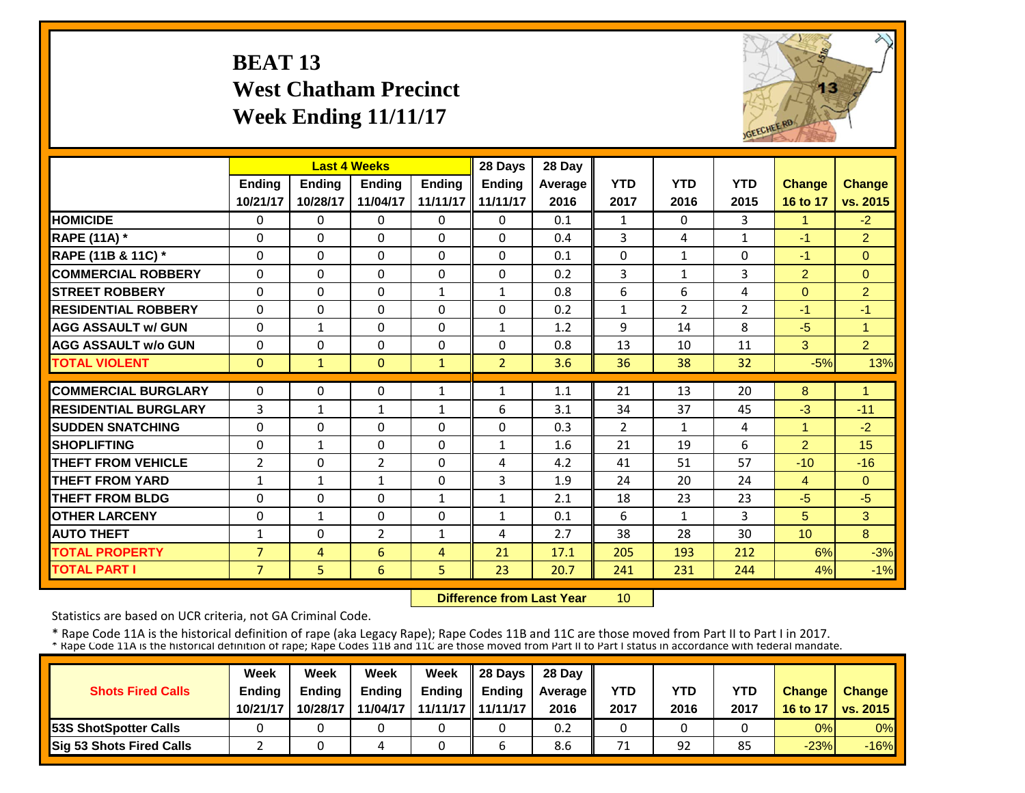## **BEAT 13 West Chatham Precinct Week Ending 11/11/17**



|                             |                | <b>Last 4 Weeks</b> |                |               | 28 Days        | 28 Day  |                |                |                |                |                |
|-----------------------------|----------------|---------------------|----------------|---------------|----------------|---------|----------------|----------------|----------------|----------------|----------------|
|                             | Ending         | Ending              | <b>Ending</b>  | <b>Ending</b> | Ending         | Average | <b>YTD</b>     | <b>YTD</b>     | <b>YTD</b>     | <b>Change</b>  | <b>Change</b>  |
|                             | 10/21/17       | 10/28/17            | 11/04/17       | 11/11/17      | 11/11/17       | 2016    | 2017           | 2016           | 2015           | 16 to 17       | vs. 2015       |
| <b>HOMICIDE</b>             | $\Omega$       | $\Omega$            | $\Omega$       | 0             | $\Omega$       | 0.1     | 1              | $\Omega$       | 3              | $\mathbf{1}$   | $-2$           |
| <b>RAPE (11A)</b> *         | $\Omega$       | $\Omega$            | $\Omega$       | 0             | 0              | 0.4     | 3              | 4              | $\mathbf{1}$   | $-1$           | $\overline{2}$ |
| RAPE (11B & 11C) *          | $\mathbf 0$    | $\Omega$            | $\Omega$       | $\Omega$      | $\mathbf{0}$   | 0.1     | $\Omega$       | $\mathbf{1}$   | 0              | $-1$           | $\Omega$       |
| <b>COMMERCIAL ROBBERY</b>   | $\Omega$       | $\Omega$            | $\Omega$       | $\Omega$      | 0              | 0.2     | 3              | $\mathbf{1}$   | 3              | 2              | $\Omega$       |
| <b>ISTREET ROBBERY</b>      | $\Omega$       | $\Omega$            | $\Omega$       | $\mathbf{1}$  | $\mathbf{1}$   | 0.8     | 6              | 6              | 4              | $\Omega$       | $\overline{2}$ |
| <b>RESIDENTIAL ROBBERY</b>  | $\Omega$       | $\Omega$            | $\Omega$       | $\Omega$      | $\Omega$       | 0.2     | $\mathbf{1}$   | $\overline{2}$ | $\overline{2}$ | $-1$           | $-1$           |
| <b>AGG ASSAULT w/ GUN</b>   | 0              | 1                   | $\Omega$       | $\Omega$      | $\mathbf{1}$   | 1.2     | 9              | 14             | 8              | $-5$           | 1              |
| <b>AGG ASSAULT w/o GUN</b>  | $\Omega$       | $\Omega$            | $\Omega$       | $\Omega$      | $\Omega$       | 0.8     | 13             | 10             | 11             | 3              | $\overline{2}$ |
| <b>TOTAL VIOLENT</b>        | $\Omega$       | $\mathbf{1}$        | $\Omega$       | $\mathbf{1}$  | $\overline{2}$ | 3.6     | 36             | 38             | 32             | $-5%$          | 13%            |
| <b>COMMERCIAL BURGLARY</b>  | $\Omega$       | $\Omega$            | $\Omega$       | 1             | 1              | 1.1     | 21             | 13             | 20             | 8              | -1             |
| <b>RESIDENTIAL BURGLARY</b> | 3              | $\mathbf{1}$        | 1              | $\mathbf{1}$  | 6              | 3.1     | 34             | 37             | 45             | $-3$           | $-11$          |
| <b>SUDDEN SNATCHING</b>     | 0              | $\Omega$            | $\Omega$       | $\Omega$      | $\Omega$       | 0.3     | $\overline{2}$ | $\mathbf{1}$   | 4              | 1              | $-2$           |
| <b>SHOPLIFTING</b>          | $\Omega$       | $\mathbf{1}$        | $\Omega$       | $\Omega$      | $\mathbf{1}$   | 1.6     | 21             | 19             | 6              | 2              | 15             |
| <b>THEFT FROM VEHICLE</b>   | $\overline{2}$ | $\Omega$            | 2              | $\Omega$      | 4              | 4.2     | 41             | 51             | 57             | $-10$          | $-16$          |
| <b>THEFT FROM YARD</b>      | 1              | $\mathbf{1}$        | $\mathbf{1}$   | $\Omega$      | 3              | 1.9     | 24             | 20             | 24             | $\overline{4}$ | $\Omega$       |
| <b>THEFT FROM BLDG</b>      | $\Omega$       | $\Omega$            | $\Omega$       | $\mathbf{1}$  | $\mathbf{1}$   | 2.1     | 18             | 23             | 23             | $-5$           | $-5$           |
| <b>OTHER LARCENY</b>        | $\Omega$       | $\mathbf{1}$        | $\Omega$       | $\Omega$      | $\mathbf{1}$   | 0.1     | 6              | $\mathbf{1}$   | 3              | 5              | 3              |
| <b>AUTO THEFT</b>           | $\mathbf{1}$   | $\Omega$            | $\overline{2}$ | $\mathbf{1}$  | 4              | 2.7     | 38             | 28             | 30             | 10             | 8              |
| <b>TOTAL PROPERTY</b>       | $\overline{7}$ | 4                   | $6\phantom{1}$ | 4             | 21             | 17.1    | 205            | 193            | 212            | 6%             | $-3%$          |
| <b>TOTAL PART I</b>         | $\overline{7}$ | 5                   | 6              | 5             | 23             | 20.7    | 241            | 231            | 244            | 4%             | $-1%$          |

 **Difference from Last Year**10

Statistics are based on UCR criteria, not GA Criminal Code.

|                               | Week          | Week          | Week          | Week          | $\parallel$ 28 Davs | 28 Day    |      |      |      |               |                     |
|-------------------------------|---------------|---------------|---------------|---------------|---------------------|-----------|------|------|------|---------------|---------------------|
| <b>Shots Fired Calls</b>      | <b>Ending</b> | <b>Ending</b> | <b>Ending</b> | <b>Ending</b> | <b>Ending</b>       | Average I | YTD  | YTD  | YTD  | <b>Change</b> | <b>Change</b>       |
|                               | 10/21/17      | 10/28/17      | 11/04/17      |               | 11/11/17   11/11/17 | 2016      | 2017 | 2016 | 2017 |               | 16 to 17   vs. 2015 |
| <b>153S ShotSpotter Calls</b> |               |               |               |               |                     | 0.2       |      |      |      | 0%            | $0\%$               |
| Sig 53 Shots Fired Calls      |               |               |               |               |                     | 8.6       | 71   | 92   | 85   | $-23%$        | $-16%$              |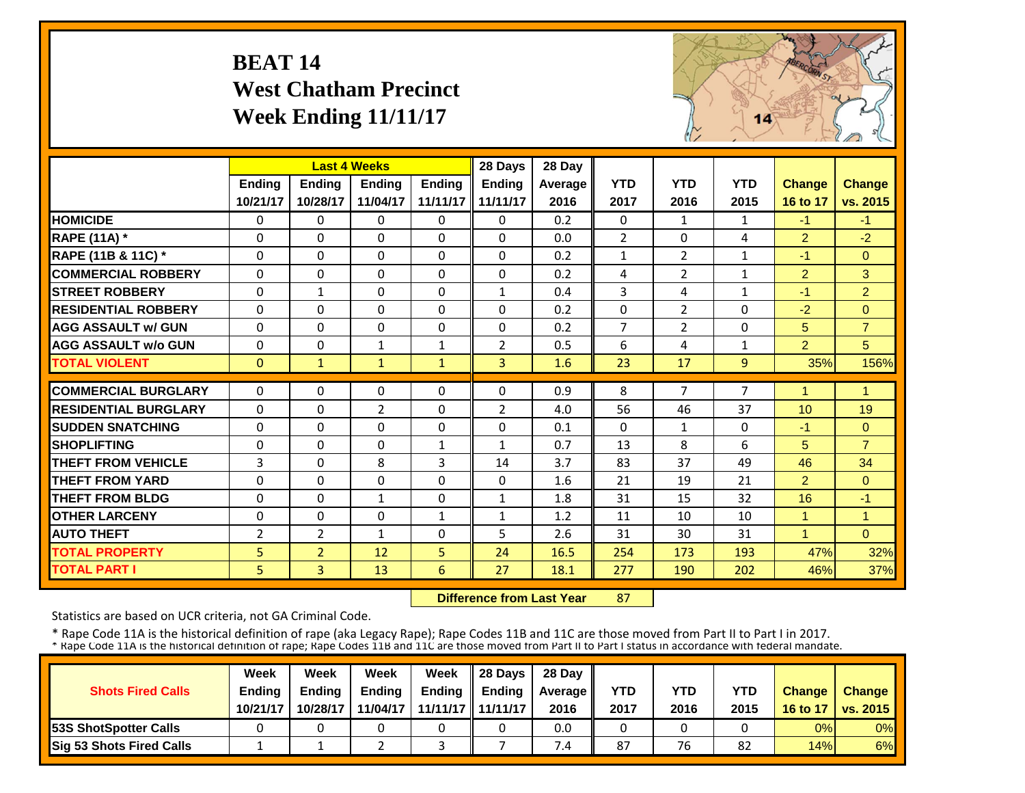## **BEAT 14 West Chatham Precinct Week Ending 11/11/17**



|                             |                | <b>Last 4 Weeks</b> |                |               | 28 Days        | 28 Day  |                |                |                |                |                      |
|-----------------------------|----------------|---------------------|----------------|---------------|----------------|---------|----------------|----------------|----------------|----------------|----------------------|
|                             | Ending         | <b>Ending</b>       | <b>Endina</b>  | <b>Endina</b> | Ending         | Average | <b>YTD</b>     | <b>YTD</b>     | <b>YTD</b>     | <b>Change</b>  | <b>Change</b>        |
|                             | 10/21/17       | 10/28/17            | 11/04/17       | 11/11/17      | 11/11/17       | 2016    | 2017           | 2016           | 2015           | 16 to 17       | vs. 2015             |
| <b>HOMICIDE</b>             | $\Omega$       | $\Omega$            | $\Omega$       | $\Omega$      | $\Omega$       | 0.2     | $\mathbf{0}$   | $\mathbf{1}$   | $\mathbf{1}$   | $-1$           | $-1$                 |
| <b>RAPE (11A) *</b>         | $\Omega$       | $\Omega$            | $\Omega$       | $\Omega$      | $\Omega$       | 0.0     | $\overline{2}$ | $\Omega$       | 4              | $\overline{2}$ | $-2$                 |
| RAPE (11B & 11C) *          | $\Omega$       | $\Omega$            | $\Omega$       | $\Omega$      | $\Omega$       | 0.2     | $\mathbf{1}$   | $\overline{2}$ | $\mathbf{1}$   | $-1$           | $\Omega$             |
| <b>COMMERCIAL ROBBERY</b>   | $\Omega$       | $\Omega$            | $\Omega$       | $\Omega$      | $\Omega$       | 0.2     | 4              | $\overline{2}$ | $\mathbf{1}$   | $\overline{2}$ | 3                    |
| <b>STREET ROBBERY</b>       | 0              | $\mathbf{1}$        | $\Omega$       | $\Omega$      | $\mathbf{1}$   | 0.4     | 3              | 4              | $\mathbf{1}$   | $-1$           | $\overline{2}$       |
| <b>RESIDENTIAL ROBBERY</b>  | $\Omega$       | $\Omega$            | $\Omega$       | $\Omega$      | $\Omega$       | 0.2     | $\mathbf{0}$   | $\overline{2}$ | $\Omega$       | $-2$           | $\Omega$             |
| <b>AGG ASSAULT w/ GUN</b>   | $\Omega$       | 0                   | $\Omega$       | $\Omega$      | $\Omega$       | 0.2     | $\overline{7}$ | $\overline{2}$ | $\Omega$       | 5              | $\overline{7}$       |
| <b>AGG ASSAULT w/o GUN</b>  | $\Omega$       | 0                   | $\mathbf{1}$   | $\mathbf{1}$  | $\overline{2}$ | 0.5     | 6              | 4              | $\mathbf{1}$   | $\overline{2}$ | 5                    |
| <b>TOTAL VIOLENT</b>        | $\Omega$       | $\mathbf{1}$        | $\mathbf{1}$   | $\mathbf{1}$  | $\overline{3}$ | 1.6     | 23             | 17             | 9              | 35%            | 156%                 |
| <b>COMMERCIAL BURGLARY</b>  | $\Omega$       | $\Omega$            | $\Omega$       | $\Omega$      | $\Omega$       | 0.9     | 8              | $\overline{7}$ | $\overline{7}$ | 1              | 1                    |
| <b>RESIDENTIAL BURGLARY</b> | $\Omega$       | $\Omega$            | $\overline{2}$ | $\Omega$      |                | 4.0     | 56             | 46             | 37             | 10             | 19                   |
|                             |                |                     |                |               | $\overline{2}$ |         |                |                |                |                |                      |
| <b>SUDDEN SNATCHING</b>     | $\Omega$       | 0                   | 0              | $\Omega$      | 0              | 0.1     | $\Omega$       | $\mathbf{1}$   | $\Omega$       | $-1$           | $\Omega$             |
| <b>SHOPLIFTING</b>          | 0              | $\Omega$            | 0              | 1             | $\mathbf{1}$   | 0.7     | 13             | 8              | 6              | 5              | $\overline{7}$       |
| <b>THEFT FROM VEHICLE</b>   | 3              | $\Omega$            | 8              | 3             | 14             | 3.7     | 83             | 37             | 49             | 46             | 34                   |
| <b>THEFT FROM YARD</b>      | $\Omega$       | $\Omega$            | $\Omega$       | $\Omega$      | $\Omega$       | 1.6     | 21             | 19             | 21             | $\overline{2}$ | $\Omega$             |
| <b>THEFT FROM BLDG</b>      | 0              | $\Omega$            | 1              | $\Omega$      | $\mathbf{1}$   | 1.8     | 31             | 15             | 32             | 16             | $-1$                 |
| <b>OTHER LARCENY</b>        | $\Omega$       | 0                   | $\Omega$       | 1             | $\mathbf{1}$   | 1.2     | 11             | 10             | 10             | 1              | $\blacktriangleleft$ |
| <b>AUTO THEFT</b>           | $\overline{2}$ | 2                   | $\mathbf{1}$   | $\Omega$      | 5              | 2.6     | 31             | 30             | 31             | $\mathbf{1}$   | $\Omega$             |
| <b>TOTAL PROPERTY</b>       | 5              | $\overline{2}$      | 12             | 5             | 24             | 16.5    | 254            | 173            | 193            | 47%            | 32%                  |
| <b>TOTAL PART I</b>         | 5 <sup>1</sup> | $\overline{3}$      | 13             | 6             | 27             | 18.1    | 277            | 190            | 202            | 46%            | 37%                  |

 **Difference from Last Year**87

Statistics are based on UCR criteria, not GA Criminal Code.

|                               | Week          | Week     | Week          | Week                | Il 28 Davs    | 28 Day         |      |      |      |               |                 |
|-------------------------------|---------------|----------|---------------|---------------------|---------------|----------------|------|------|------|---------------|-----------------|
| <b>Shots Fired Calls</b>      | <b>Ending</b> | Ending   | <b>Ending</b> | <b>Ending</b>       | <b>Ending</b> | <b>Average</b> | YTD  | YTD  | YTD  | <b>Change</b> | <b>Change</b>   |
|                               | 10/21/17      | 10/28/17 | 11/04/17      | 11/11/17   11/11/17 |               | 2016           | 2017 | 2016 | 2015 | 16 to 17      | <b>vs. 2015</b> |
| <b>153S ShotSpotter Calls</b> |               |          |               |                     |               | 0.0            |      |      |      | 0%            | $0\%$           |
| Sig 53 Shots Fired Calls      |               |          |               |                     |               | $\overline{A}$ | 87   | 76   | 82   | 14%           | 6%              |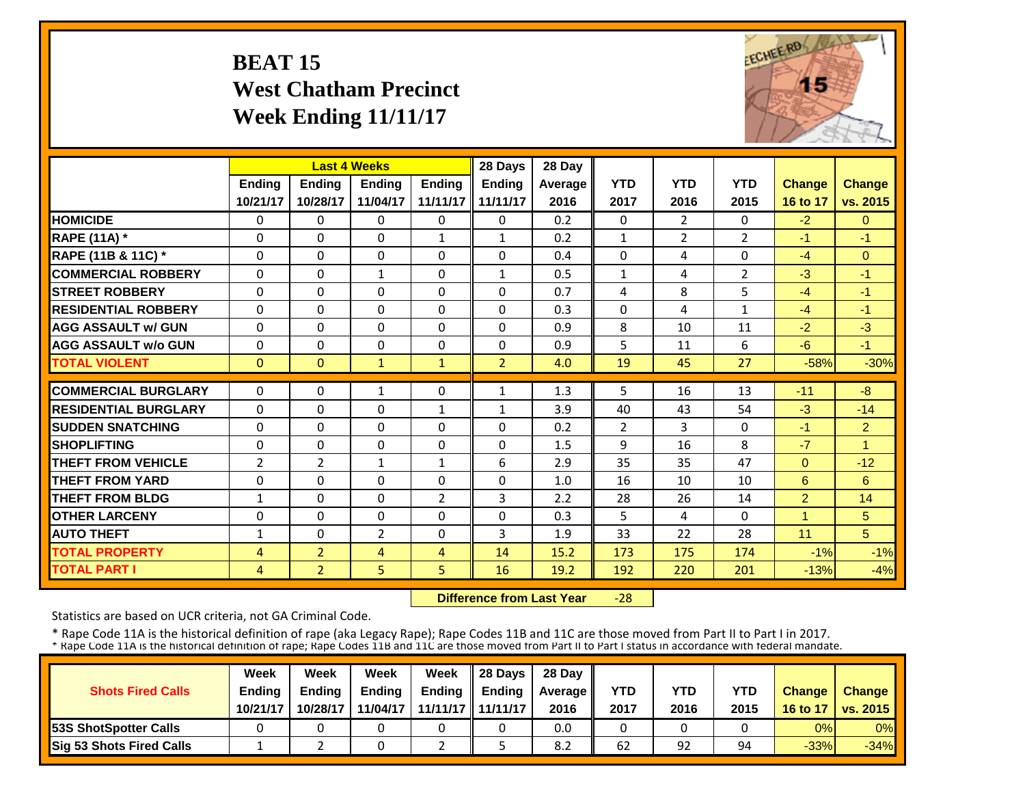#### **BEAT 15 West Chatham Precinct Week Ending 11/11/17**



|                             |                |                | <b>Last 4 Weeks</b> |                | 28 Days        | 28 Day  |              |                |                |                |                |
|-----------------------------|----------------|----------------|---------------------|----------------|----------------|---------|--------------|----------------|----------------|----------------|----------------|
|                             | Ending         | Ending         | Ending              | <b>Ending</b>  | <b>Ending</b>  | Average | <b>YTD</b>   | <b>YTD</b>     | <b>YTD</b>     | <b>Change</b>  | Change         |
|                             | 10/21/17       | 10/28/17       | 11/04/17            | 11/11/17       | 11/11/17       | 2016    | 2017         | 2016           | 2015           | 16 to 17       | vs. 2015       |
| <b>HOMICIDE</b>             | $\Omega$       | $\Omega$       | $\Omega$            | 0              | $\Omega$       | 0.2     | $\Omega$     | $\overline{2}$ | 0              | $-2$           | $\Omega$       |
| <b>RAPE (11A)</b> *         | $\Omega$       | $\Omega$       | $\Omega$            | $\mathbf{1}$   | $\mathbf{1}$   | 0.2     | $\mathbf{1}$ | $\overline{2}$ | $\overline{2}$ | $-1$           | $-1$           |
| RAPE (11B & 11C) *          | 0              | $\Omega$       | 0                   | 0              | 0              | 0.4     | $\Omega$     | 4              | 0              | $-4$           | $\mathbf{0}$   |
| <b>COMMERCIAL ROBBERY</b>   | $\Omega$       | $\Omega$       | $\mathbf{1}$        | 0              | $\mathbf{1}$   | 0.5     | $\mathbf{1}$ | 4              | 2              | $-3$           | $-1$           |
| <b>STREET ROBBERY</b>       | $\Omega$       | $\Omega$       | $\Omega$            | $\Omega$       | 0              | 0.7     | 4            | 8              | 5              | $-4$           | $-1$           |
| <b>RESIDENTIAL ROBBERY</b>  | $\Omega$       | $\Omega$       | $\Omega$            | $\Omega$       | 0              | 0.3     | $\Omega$     | 4              | $\mathbf{1}$   | $-4$           | $-1$           |
| <b>AGG ASSAULT w/ GUN</b>   | $\Omega$       | $\Omega$       | $\Omega$            | $\Omega$       | 0              | 0.9     | 8            | 10             | 11             | $-2$           | $-3$           |
| <b>AGG ASSAULT w/o GUN</b>  | $\Omega$       | $\Omega$       | $\Omega$            | $\Omega$       | 0              | 0.9     | 5            | 11             | 6              | $-6$           | $-1$           |
| <b>TOTAL VIOLENT</b>        | $\Omega$       | $\Omega$       | $\mathbf{1}$        | $\mathbf{1}$   | $\overline{2}$ | 4.0     | 19           | 45             | 27             | $-58%$         | $-30%$         |
| <b>COMMERCIAL BURGLARY</b>  | $\Omega$       | $\Omega$       | 1                   | 0              | $\mathbf{1}$   | 1.3     | 5            | 16             | 13             | $-11$          | $-8$           |
| <b>RESIDENTIAL BURGLARY</b> | $\Omega$       | $\Omega$       | $\Omega$            | $\mathbf{1}$   | 1              | 3.9     | 40           | 43             | 54             | $-3$           | $-14$          |
| <b>SUDDEN SNATCHING</b>     | 0              | $\Omega$       | $\Omega$            | $\Omega$       | 0              | 0.2     | 2            | 3              | 0              | $-1$           | $\overline{2}$ |
| <b>SHOPLIFTING</b>          | $\Omega$       | $\Omega$       | $\Omega$            | $\Omega$       | $\Omega$       | 1.5     | 9            | 16             | 8              | $-7$           | $\overline{1}$ |
| <b>THEFT FROM VEHICLE</b>   | $\overline{2}$ | $\overline{2}$ | 1                   | $\mathbf{1}$   | 6              | 2.9     | 35           | 35             | 47             | $\Omega$       | $-12$          |
| <b>THEFT FROM YARD</b>      | $\Omega$       | $\Omega$       | $\Omega$            | 0              | 0              | 1.0     | 16           | 10             | 10             | 6              | 6              |
| <b>THEFT FROM BLDG</b>      | 1              | $\Omega$       | $\Omega$            | $\overline{2}$ | 3              | 2.2     | 28           | 26             | 14             | $\overline{2}$ | 14             |
| <b>OTHER LARCENY</b>        | $\Omega$       | $\Omega$       | $\Omega$            | $\Omega$       | 0              | 0.3     | 5            | 4              | 0              | 1              | 5              |
| <b>AUTO THEFT</b>           | 1              | $\Omega$       | $\overline{2}$      | 0              | 3              | 1.9     | 33           | 22             | 28             | 11             | 5              |
| <b>TOTAL PROPERTY</b>       | $\overline{4}$ | $\overline{2}$ | 4                   | 4              | 14             | 15.2    | 173          | 175            | 174            | $-1%$          | $-1%$          |
| <b>TOTAL PART I</b>         | $\overline{4}$ | $\overline{2}$ | 5                   | 5              | 16             | 19.2    | 192          | 220            | 201            | $-13%$         | $-4%$          |

 **Difference from Last Year** $-28$ 

Statistics are based on UCR criteria, not GA Criminal Code.

|                               | Week          | Week          | Week          | Week          | $\parallel$ 28 Davs | 28 Day    |      |      |      |               |                     |
|-------------------------------|---------------|---------------|---------------|---------------|---------------------|-----------|------|------|------|---------------|---------------------|
| <b>Shots Fired Calls</b>      | <b>Ending</b> | <b>Ending</b> | <b>Ending</b> | <b>Ending</b> | <b>Ending</b>       | Average I | YTD  | YTD  | YTD  | <b>Change</b> | <b>Change</b>       |
|                               | 10/21/17      | 10/28/17      | 11/04/17      |               | 11/11/17   11/11/17 | 2016      | 2017 | 2016 | 2015 |               | 16 to 17   vs. 2015 |
| <b>153S ShotSpotter Calls</b> |               |               |               |               |                     | 0.0       |      |      |      | 0%            | $0\%$               |
| Sig 53 Shots Fired Calls      |               |               |               |               |                     | 8.2       | 62   | 92   | 94   | $-33%$        | $-34%$              |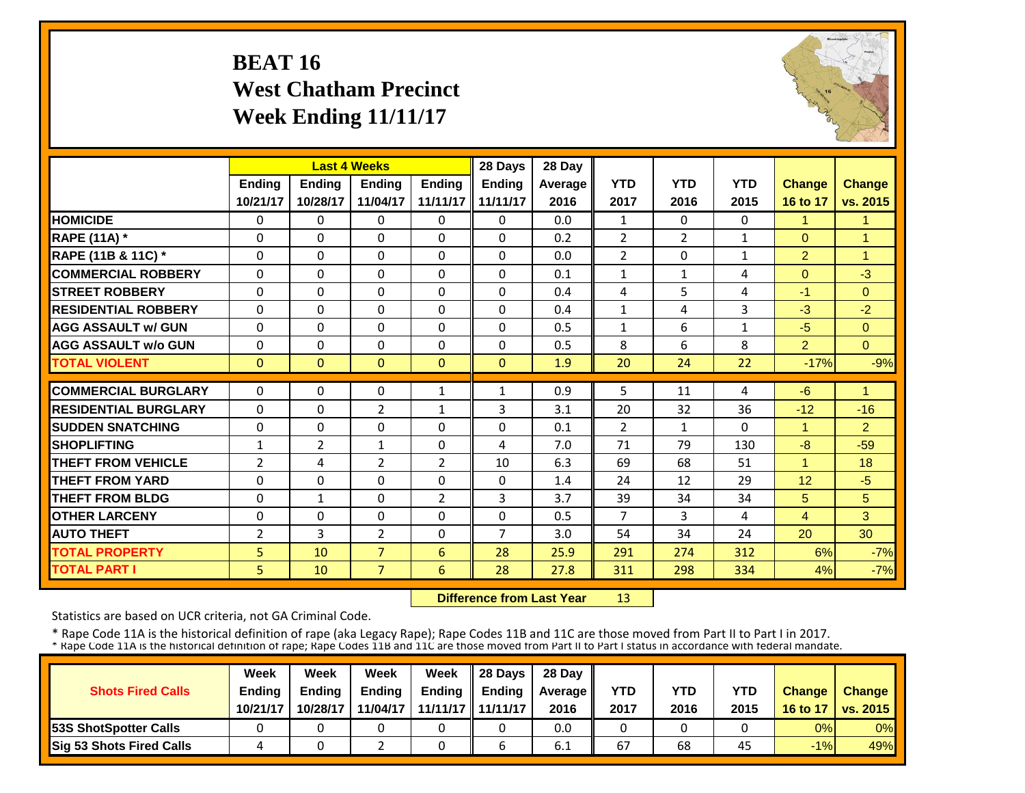## **BEAT 16 West Chatham Precinct Week Ending 11/11/17**



|                             |                |                | <b>Last 4 Weeks</b> |                | 28 Days      | 28 Day  |                |                |              |                |                |
|-----------------------------|----------------|----------------|---------------------|----------------|--------------|---------|----------------|----------------|--------------|----------------|----------------|
|                             | Ending         | <b>Ending</b>  | <b>Ending</b>       | <b>Ending</b>  | Ending       | Average | <b>YTD</b>     | <b>YTD</b>     | <b>YTD</b>   | <b>Change</b>  | <b>Change</b>  |
|                             | 10/21/17       | 10/28/17       | 11/04/17            | 11/11/17       | 11/11/17     | 2016    | 2017           | 2016           | 2015         | 16 to 17       | vs. 2015       |
| <b>HOMICIDE</b>             | $\Omega$       | $\Omega$       | $\Omega$            | $\Omega$       | 0            | 0.0     | $\mathbf{1}$   | $\Omega$       | $\Omega$     | 1              | $\mathbf{1}$   |
| <b>RAPE (11A)</b> *         | $\Omega$       | $\Omega$       | $\Omega$            | $\Omega$       | $\Omega$     | 0.2     | $\overline{2}$ | $\overline{2}$ | 1            | $\Omega$       | $\overline{1}$ |
| RAPE (11B & 11C) *          | $\mathbf 0$    | $\Omega$       | $\Omega$            | $\Omega$       | $\Omega$     | 0.0     | $\overline{2}$ | $\Omega$       | $\mathbf{1}$ | $\overline{2}$ | $\overline{1}$ |
| <b>COMMERCIAL ROBBERY</b>   | $\Omega$       | $\Omega$       | $\Omega$            | $\Omega$       | $\Omega$     | 0.1     | $\mathbf{1}$   | $\mathbf{1}$   | 4            | $\Omega$       | $-3$           |
| <b>STREET ROBBERY</b>       | $\Omega$       | $\Omega$       | $\Omega$            | $\Omega$       | $\Omega$     | 0.4     | 4              | 5              | 4            | $-1$           | $\Omega$       |
| <b>RESIDENTIAL ROBBERY</b>  | $\Omega$       | $\Omega$       | $\Omega$            | $\Omega$       | $\Omega$     | 0.4     | $\mathbf{1}$   | 4              | 3            | $-3$           | $-2$           |
| <b>AGG ASSAULT w/ GUN</b>   | $\Omega$       | $\Omega$       | $\Omega$            | $\Omega$       | $\Omega$     | 0.5     | $\mathbf{1}$   | 6              | $\mathbf{1}$ | $-5$           | $\Omega$       |
| <b>AGG ASSAULT w/o GUN</b>  | 0              | $\Omega$       | $\mathbf{0}$        | 0              | 0            | 0.5     | 8              | 6              | 8            | $\overline{2}$ | $\Omega$       |
| <b>TOTAL VIOLENT</b>        | $\Omega$       | $\Omega$       | $\mathbf{0}$        | $\Omega$       | $\Omega$     | 1.9     | 20             | 24             | 22           | $-17%$         | $-9%$          |
| <b>COMMERCIAL BURGLARY</b>  | $\Omega$       | $\Omega$       | $\Omega$            | $\mathbf{1}$   | $\mathbf{1}$ | 0.9     | 5              | 11             | 4            | $-6$           | $\overline{1}$ |
| <b>RESIDENTIAL BURGLARY</b> | $\Omega$       | $\Omega$       | $\overline{2}$      | 1              | 3            | 3.1     | 20             | 32             | 36           | $-12$          | $-16$          |
| <b>ISUDDEN SNATCHING</b>    | $\Omega$       | $\Omega$       | $\Omega$            | $\Omega$       | $\Omega$     | 0.1     | $\overline{2}$ | $\mathbf{1}$   | 0            | 1              | $\overline{2}$ |
| <b>SHOPLIFTING</b>          | $\mathbf{1}$   | $\overline{2}$ | $\mathbf{1}$        | $\Omega$       | 4            | 7.0     | 71             | 79             | 130          | $-8$           | $-59$          |
| <b>THEFT FROM VEHICLE</b>   | $\overline{2}$ | 4              | 2                   | $\overline{2}$ | 10           | 6.3     | 69             | 68             | 51           | 4              | 18             |
| <b>THEFT FROM YARD</b>      | 0              | $\Omega$       | $\Omega$            | 0              | $\Omega$     | 1.4     | 24             | 12             | 29           | 12             | $-5$           |
| <b>THEFT FROM BLDG</b>      | 0              | 1              | $\Omega$            | $\overline{2}$ | 3            | 3.7     | 39             | 34             | 34           | 5              | 5              |
| <b>OTHER LARCENY</b>        | 0              | $\Omega$       | $\Omega$            | $\Omega$       | $\Omega$     | 0.5     | $\overline{7}$ | 3              | 4            | 4              | 3              |
| <b>AUTO THEFT</b>           | 2              | 3              | $\overline{2}$      | $\Omega$       | 7            | 3.0     | 54             | 34             | 24           | 20             | 30             |
| <b>TOTAL PROPERTY</b>       | 5              | 10             | $\overline{7}$      | 6              | 28           | 25.9    | 291            | 274            | 312          | 6%             | $-7%$          |
| <b>TOTAL PART I</b>         | 5              | 10             | $\overline{7}$      | 6              | 28           | 27.8    | 311            | 298            | 334          | 4%             | $-7%$          |

 **Difference from Last Year**13

Statistics are based on UCR criteria, not GA Criminal Code.

|                               | Week     | Week     | Week          | Week                | Il 28 Davs    | 28 Day         |      |      |      |               |                 |
|-------------------------------|----------|----------|---------------|---------------------|---------------|----------------|------|------|------|---------------|-----------------|
| <b>Shots Fired Calls</b>      | Ending   | Ending   | <b>Ending</b> | <b>Ending</b>       | <b>Ending</b> | <b>Average</b> | YTD  | YTD  | YTD  | <b>Change</b> | <b>Change</b>   |
|                               | 10/21/17 | 10/28/17 | 11/04/17      | 11/11/17   11/11/17 |               | 2016           | 2017 | 2016 | 2015 | 16 to 17      | <b>vs. 2015</b> |
| <b>153S ShotSpotter Calls</b> |          |          |               |                     |               | 0.0            |      |      |      | 0%            | $0\%$           |
| Sig 53 Shots Fired Calls      |          |          |               |                     |               | 6.1            | 67   | 68   | 45   | $-1%$         | 49%             |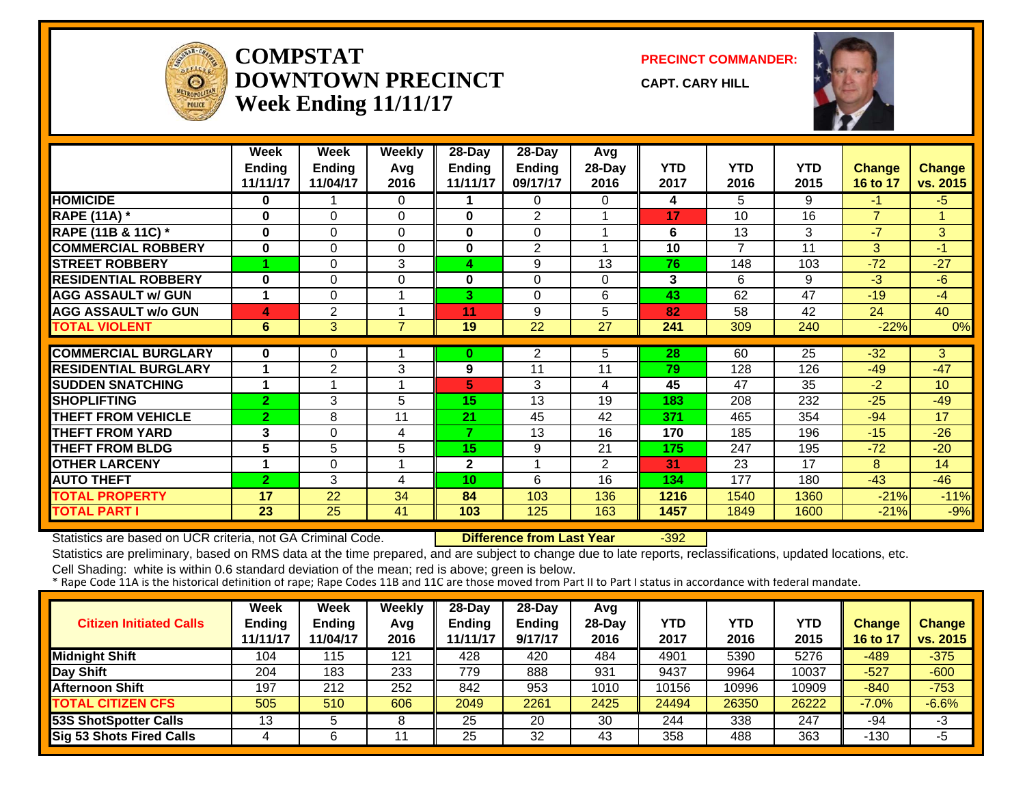

#### **COMPSTATDOWNTOWN PRECINCTWeek Ending 11/11/17**

**PRECINCT COMMANDER:**

**CAPT. CARY HILL**



|                             | Week           | Week           | <b>Weekly</b>  | 28-Day       | $28$ -Day      | Avg    |            |                |            |                |                 |
|-----------------------------|----------------|----------------|----------------|--------------|----------------|--------|------------|----------------|------------|----------------|-----------------|
|                             | <b>Ending</b>  | <b>Ending</b>  | Avg            | Ending       | Ending         | 28-Day | <b>YTD</b> | <b>YTD</b>     | <b>YTD</b> | <b>Change</b>  | <b>Change</b>   |
|                             | 11/11/17       | 11/04/17       | 2016           | 11/11/17     | 09/17/17       | 2016   | 2017       | 2016           | 2015       | 16 to 17       | vs. 2015        |
| <b>HOMICIDE</b>             | 0              |                | 0              |              | $\Omega$       | 0      | 4          | 5              | 9          | $-1$           | $-5$            |
| <b>RAPE (11A) *</b>         | 0              | $\Omega$       | $\Omega$       | $\bf{0}$     | 2              |        | 17         | 10             | 16         | $\overline{7}$ | 1               |
| RAPE (11B & 11C) *          | $\bf{0}$       | 0              | $\Omega$       | $\mathbf{0}$ | $\Omega$       |        | 6          | 13             | 3          | $-7$           | 3               |
| <b>COMMERCIAL ROBBERY</b>   | $\bf{0}$       | $\Omega$       | 0              | 0            | $\overline{2}$ |        | 10         | $\overline{7}$ | 11         | 3              | $-1$            |
| <b>STREET ROBBERY</b>       |                | 0              | 3              | 4            | 9              | 13     | 76         | 148            | 103        | $-72$          | $-27$           |
| <b>RESIDENTIAL ROBBERY</b>  | $\bf{0}$       | 0              | 0              | $\bf{0}$     | $\Omega$       | 0      | 3          | 6              | 9          | $-3$           | -6              |
| <b>AGG ASSAULT w/ GUN</b>   |                | 0              |                | 3            | $\Omega$       | 6      | 43         | 62             | 47         | $-19$          | $-4$            |
| <b>AGG ASSAULT w/o GUN</b>  | 4              | 2              |                | 11           | 9              | 5      | 82         | 58             | 42         | 24             | 40              |
| <b>TOTAL VIOLENT</b>        | 6              | 3              | $\overline{7}$ | 19           | 22             | 27     | 241        | 309            | 240        | $-22%$         | 0%              |
|                             |                |                |                |              |                |        |            |                |            |                |                 |
| <b>COMMERCIAL BURGLARY</b>  | $\bf{0}$       | 0              |                | 0            | 2              | 5.     | 28         | 60             | 25         | $-32$          | 3 <sup>1</sup>  |
| <b>RESIDENTIAL BURGLARY</b> |                | $\overline{2}$ | 3              | 9            | 11             | 11     | 79         | 128            | 126        | $-49$          | $-47$           |
| <b>SUDDEN SNATCHING</b>     |                |                |                | 5.           | 3              | 4      | 45         | 47             | 35         | $-2$           | 10 <sup>°</sup> |
| <b>SHOPLIFTING</b>          | $\overline{2}$ | 3              | 5              | 15           | 13             | 19     | 183        | 208            | 232        | $-25$          | $-49$           |
| <b>THEFT FROM VEHICLE</b>   | $\overline{2}$ | 8              | 11             | 21           | 45             | 42     | 371        | 465            | 354        | $-94$          | 17              |
| <b>THEFT FROM YARD</b>      | 3              | $\Omega$       | 4              | 7.           | 13             | 16     | 170        | 185            | 196        | $-15$          | $-26$           |
| <b>THEFT FROM BLDG</b>      | 5              | 5              | 5              | 15           | 9              | 21     | 175        | 247            | 195        | $-72$          | $-20$           |
| <b>OTHER LARCENY</b>        |                | 0              |                | $\mathbf{2}$ |                | 2      | 31         | 23             | 17         | 8              | 14              |
| <b>AUTO THEFT</b>           | $\overline{2}$ | 3              | 4              | 10           | 6              | 16     | 134        | 177            | 180        | $-43$          | $-46$           |
| <b>TOTAL PROPERTY</b>       | 17             | 22             | 34             | 84           | 103            | 136    | 1216       | 1540           | 1360       | $-21%$         | $-11%$          |
| <b>TOTAL PART I</b>         | 23             | 25             | 41             | 103          | 125            | 163    | 1457       | 1849           | 1600       | $-21%$         | $-9%$           |

Statistics are based on UCR criteria, not GA Criminal Code. **Difference from Last Year** -392

Statistics are preliminary, based on RMS data at the time prepared, and are subject to change due to late reports, reclassifications, updated locations, etc.

| <b>Citizen Initiated Calls</b>  | Week<br><b>Ending</b><br>11/11/17 | Week<br><b>Ending</b><br>11/04/17 | <b>Weekly</b><br>Avg<br>2016 | 28-Day<br>Ending<br>11/11/17 | $28-Dav$<br><b>Ending</b><br>9/17/17 | Avg<br>$28-Dav$<br>2016 | YTD<br>2017 | YTD<br>2016 | YTD<br>2015 | <b>Change</b><br>16 to 17 | Change<br>vs. 2015 |
|---------------------------------|-----------------------------------|-----------------------------------|------------------------------|------------------------------|--------------------------------------|-------------------------|-------------|-------------|-------------|---------------------------|--------------------|
| <b>Midnight Shift</b>           | 104                               | 115                               | 121                          | 428                          | 420                                  | 484                     | 4901        | 5390        | 5276        | $-489$                    | $-375$             |
| Day Shift                       | 204                               | 183                               | 233                          | 779                          | 888                                  | 931                     | 9437        | 9964        | 10037       | $-527$                    | $-600$             |
| <b>Afternoon Shift</b>          | 197                               | 212                               | 252                          | 842                          | 953                                  | 1010                    | 10156       | 10996       | 10909       | $-840$                    | $-753$             |
| <b>TOTAL CITIZEN CFS</b>        | 505                               | 510                               | 606                          | 2049                         | 2261                                 | 2425                    | 24494       | 26350       | 26222       | $-7.0%$                   | $-6.6%$            |
| 53S ShotSpotter Calls           | 13                                |                                   |                              | 25                           | 20                                   | 30                      | 244         | 338         | 247         | -94                       | -3                 |
| <b>Sig 53 Shots Fired Calls</b> |                                   |                                   |                              | 25                           | 32                                   | 43                      | 358         | 488         | 363         | $-130$                    | -5                 |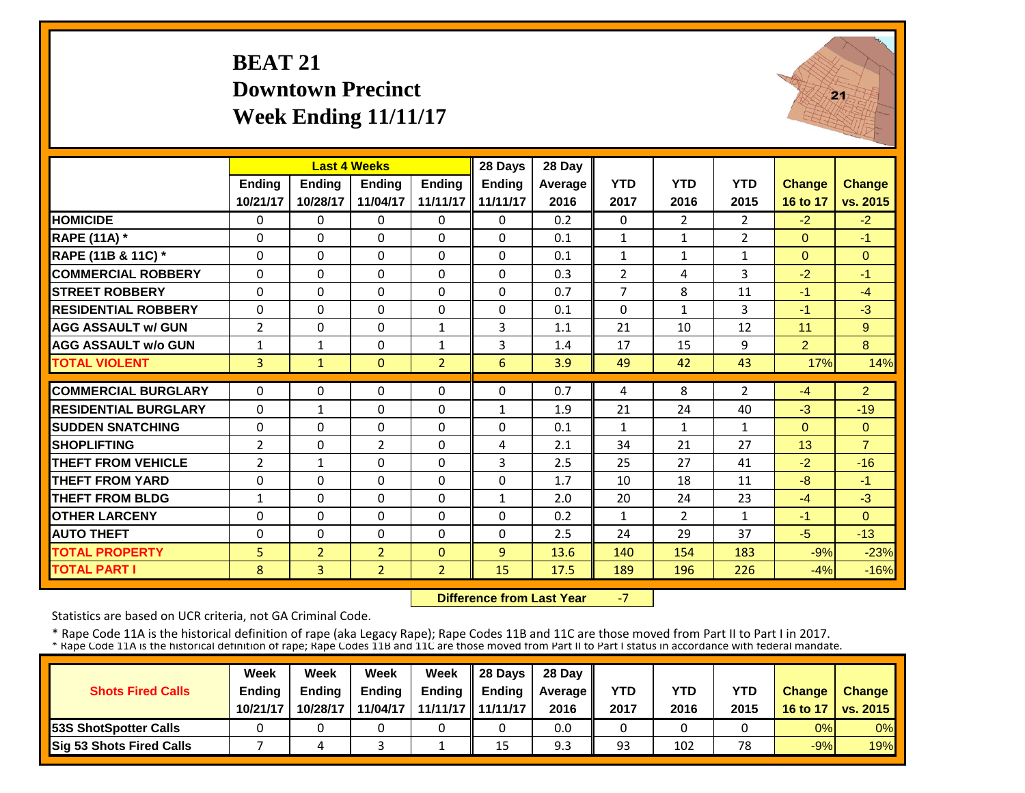## **BEAT 21 Downtown PrecinctWeek Ending 11/11/17**



|                             |                | <b>Last 4 Weeks</b> |                |                | 28 Days      | 28 Day  |                |                |                |                |                |
|-----------------------------|----------------|---------------------|----------------|----------------|--------------|---------|----------------|----------------|----------------|----------------|----------------|
|                             | Ending         | Ending              | <b>Ending</b>  | <b>Ending</b>  | Ending       | Average | <b>YTD</b>     | <b>YTD</b>     | <b>YTD</b>     | <b>Change</b>  | <b>Change</b>  |
|                             | 10/21/17       | 10/28/17            | 11/04/17       | 11/11/17       | 11/11/17     | 2016    | 2017           | 2016           | 2015           | 16 to 17       | vs. 2015       |
| <b>HOMICIDE</b>             | $\Omega$       | $\Omega$            | $\Omega$       | $\Omega$       | $\Omega$     | 0.2     | $\Omega$       | $\overline{2}$ | $\overline{2}$ | $-2$           | $-2$           |
| <b>RAPE (11A) *</b>         | $\Omega$       | $\Omega$            | $\Omega$       | $\Omega$       | $\Omega$     | 0.1     | $\mathbf{1}$   | $\mathbf{1}$   | $\overline{2}$ | $\Omega$       | $-1$           |
| RAPE (11B & 11C) *          | $\Omega$       | 0                   | $\mathbf{0}$   | $\Omega$       | $\Omega$     | 0.1     | $\mathbf{1}$   | $\mathbf{1}$   | $\mathbf{1}$   | $\overline{0}$ | $\mathbf{0}$   |
| <b>COMMERCIAL ROBBERY</b>   | $\Omega$       | $\Omega$            | $\Omega$       | $\Omega$       | $\Omega$     | 0.3     | $\overline{2}$ | 4              | 3              | $-2$           | $-1$           |
| <b>STREET ROBBERY</b>       | 0              | 0                   | $\mathbf 0$    | $\Omega$       | $\Omega$     | 0.7     | $\overline{7}$ | 8              | 11             | $-1$           | $-4$           |
| <b>RESIDENTIAL ROBBERY</b>  | $\Omega$       | $\Omega$            | $\Omega$       | $\Omega$       | $\Omega$     | 0.1     | $\Omega$       | $\mathbf{1}$   | 3              | $-1$           | $-3$           |
| <b>AGG ASSAULT w/ GUN</b>   | $\overline{2}$ | $\Omega$            | $\Omega$       | $\mathbf{1}$   | 3            | 1.1     | 21             | 10             | 12             | 11             | 9              |
| <b>AGG ASSAULT w/o GUN</b>  | 1              | $\mathbf{1}$        | $\Omega$       | $\mathbf{1}$   | 3            | 1.4     | 17             | 15             | 9              | $\overline{2}$ | 8              |
| <b>TOTAL VIOLENT</b>        | 3              | $\mathbf{1}$        | $\mathbf{0}$   | $\overline{2}$ | 6            | 3.9     | 49             | 42             | 43             | 17%            | 14%            |
| <b>COMMERCIAL BURGLARY</b>  | $\Omega$       | $\Omega$            | $\Omega$       | $\Omega$       | $\Omega$     | 0.7     | 4              | 8              | $\overline{2}$ | $-4$           | $\overline{2}$ |
| <b>RESIDENTIAL BURGLARY</b> | $\Omega$       | $\mathbf{1}$        | $\Omega$       | $\Omega$       | $\mathbf{1}$ | 1.9     | 21             | 24             | 40             | $-3$           | $-19$          |
| <b>ISUDDEN SNATCHING</b>    | $\Omega$       | $\Omega$            | $\Omega$       | $\Omega$       | $\Omega$     | 0.1     | $\mathbf{1}$   | $\mathbf{1}$   | $\mathbf{1}$   | $\Omega$       | $\Omega$       |
| <b>SHOPLIFTING</b>          | $\overline{2}$ | $\Omega$            | $\overline{2}$ | $\Omega$       | 4            | 2.1     | 34             | 21             | 27             | 13             | $\overline{7}$ |
| <b>THEFT FROM VEHICLE</b>   | $\overline{2}$ | $\mathbf{1}$        | $\Omega$       | $\Omega$       | 3            | 2.5     | 25             | 27             | 41             | $-2$           | $-16$          |
| <b>THEFT FROM YARD</b>      | $\Omega$       | $\Omega$            | $\Omega$       | $\Omega$       | 0            | 1.7     | 10             | 18             | 11             | -8             | $-1$           |
| <b>THEFT FROM BLDG</b>      | $\mathbf{1}$   | $\Omega$            | $\Omega$       | $\Omega$       | $\mathbf{1}$ | 2.0     | 20             | 24             | 23             | $-4$           | $-3$           |
| <b>OTHER LARCENY</b>        | $\Omega$       | $\Omega$            | $\Omega$       | $\Omega$       | $\Omega$     | 0.2     | $\mathbf{1}$   | $\overline{2}$ | 1              | $-1$           | $\Omega$       |
| <b>AUTO THEFT</b>           | $\Omega$       | $\Omega$            | $\Omega$       | 0              | $\Omega$     | 2.5     | 24             | 29             | 37             | $-5$           | $-13$          |
| <b>TOTAL PROPERTY</b>       | 5              | $\overline{2}$      | $\overline{2}$ | $\Omega$       | 9            | 13.6    | 140            | 154            | 183            | $-9%$          | $-23%$         |
| <b>TOTAL PART I</b>         | 8              | 3                   | 2 <sup>1</sup> | $\overline{2}$ | 15           | 17.5    | 189            | 196            | 226            | $-4%$          | $-16%$         |

 **Difference from Last Year**‐7

Statistics are based on UCR criteria, not GA Criminal Code.

|                               | Week     | Week          | Week          | Week          | $\parallel$ 28 Davs | 28 Day    |      |      |            |               |                     |
|-------------------------------|----------|---------------|---------------|---------------|---------------------|-----------|------|------|------------|---------------|---------------------|
| <b>Shots Fired Calls</b>      | Ending   | <b>Ending</b> | <b>Ending</b> | <b>Ending</b> | <b>Ending</b>       | Average I | YTD  | YTD  | <b>YTD</b> | <b>Change</b> | <b>Change</b>       |
|                               | 10/21/17 | 10/28/17      | 11/04/17      |               | 11/11/17   11/11/17 | 2016      | 2017 | 2016 | 2015       |               | 16 to 17   vs. 2015 |
| <b>153S ShotSpotter Calls</b> |          |               |               |               |                     | 0.0       |      |      |            | 0%            | $0\%$               |
| Sig 53 Shots Fired Calls      |          |               |               |               | 15                  | 9.3       | 93   | 102  | 78         | $-9%$         | 19%                 |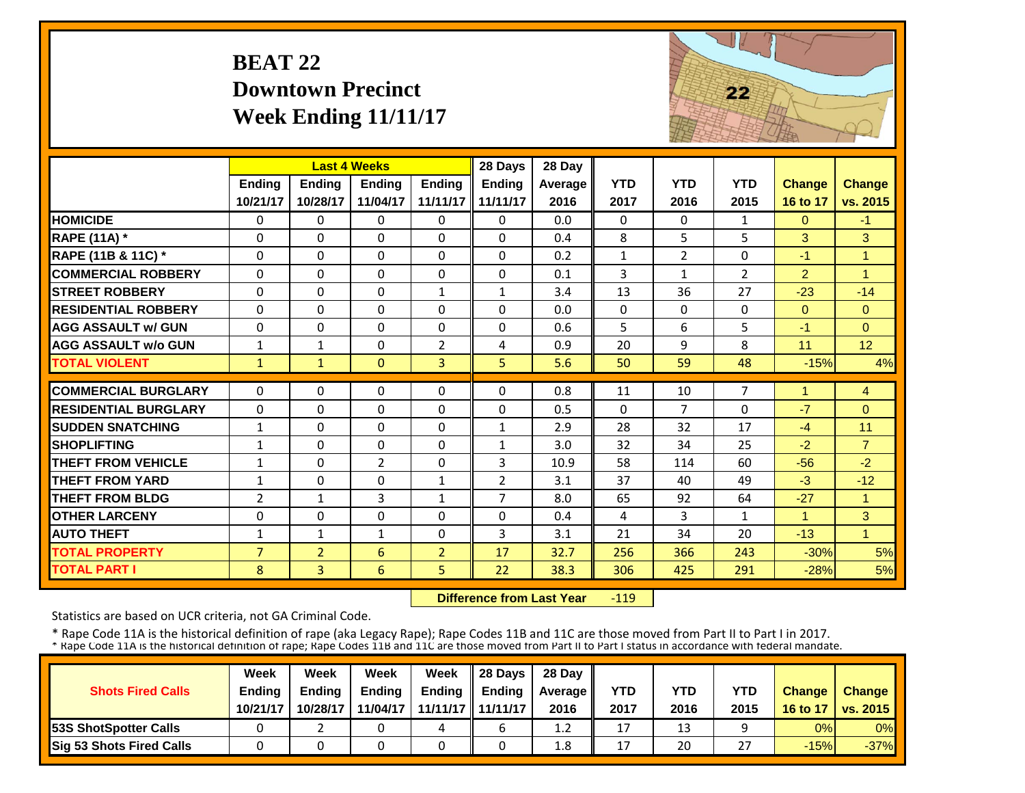# **BEAT 22 Downtown PrecinctWeek Ending 11/11/17**



|                             |                | <b>Last 4 Weeks</b> |                |                | 28 Days        | 28 Day  |              |                |                |                |                      |
|-----------------------------|----------------|---------------------|----------------|----------------|----------------|---------|--------------|----------------|----------------|----------------|----------------------|
|                             | Ending         | <b>Endina</b>       | <b>Ending</b>  | <b>Endina</b>  | Ending         | Average | <b>YTD</b>   | <b>YTD</b>     | <b>YTD</b>     | <b>Change</b>  | <b>Change</b>        |
|                             | 10/21/17       | 10/28/17            | 11/04/17       | 11/11/17       | 11/11/17       | 2016    | 2017         | 2016           | 2015           | 16 to 17       | vs. 2015             |
| <b>HOMICIDE</b>             | $\Omega$       | $\Omega$            | $\Omega$       | $\Omega$       | $\Omega$       | 0.0     | $\Omega$     | $\Omega$       | $\mathbf{1}$   | $\Omega$       | $-1$                 |
| <b>RAPE (11A) *</b>         | $\Omega$       | $\Omega$            | 0              | $\Omega$       | $\Omega$       | 0.4     | 8            | 5              | 5              | 3              | 3                    |
| RAPE (11B & 11C) *          | 0              | $\Omega$            | $\Omega$       | $\Omega$       | $\Omega$       | 0.2     | $\mathbf{1}$ | $\overline{2}$ | $\Omega$       | $-1$           | $\mathbf{1}$         |
| <b>COMMERCIAL ROBBERY</b>   | $\Omega$       | $\Omega$            | $\Omega$       | $\Omega$       | $\Omega$       | 0.1     | 3            | $\mathbf{1}$   | $\overline{2}$ | $\overline{2}$ | $\overline{1}$       |
| <b>ISTREET ROBBERY</b>      | $\Omega$       | $\Omega$            | $\Omega$       | $\mathbf{1}$   | $\mathbf{1}$   | 3.4     | 13           | 36             | 27             | $-23$          | $-14$                |
| <b>RESIDENTIAL ROBBERY</b>  | $\Omega$       | 0                   | $\Omega$       | 0              | $\Omega$       | 0.0     | $\mathbf{0}$ | $\Omega$       | $\Omega$       | $\Omega$       | $\Omega$             |
| <b>AGG ASSAULT w/ GUN</b>   | $\Omega$       | 0                   | $\Omega$       | $\Omega$       | 0              | 0.6     | 5            | 6              | 5              | $-1$           | $\Omega$             |
| <b>AGG ASSAULT w/o GUN</b>  | $\mathbf{1}$   | $\mathbf{1}$        | $\Omega$       | $\overline{2}$ | 4              | 0.9     | 20           | 9              | 8              | 11             | 12 <sup>2</sup>      |
| <b>TOTAL VIOLENT</b>        | $\mathbf{1}$   | $\mathbf{1}$        | $\Omega$       | 3              | 5              | 5.6     | 50           | 59             | 48             | $-15%$         | 4%                   |
| <b>COMMERCIAL BURGLARY</b>  | $\Omega$       | 0                   | 0              | 0              | 0              | 0.8     | 11           | 10             | 7              | 1              | 4                    |
| <b>RESIDENTIAL BURGLARY</b> | $\Omega$       | $\Omega$            | $\Omega$       | $\Omega$       | $\Omega$       | 0.5     | $\mathbf{0}$ | 7              | $\Omega$       | $-7$           | $\Omega$             |
| <b>SUDDEN SNATCHING</b>     | $\mathbf{1}$   | $\Omega$            | $\Omega$       | $\Omega$       | $\mathbf{1}$   | 2.9     | 28           | 32             | 17             | $-4$           | 11                   |
| <b>SHOPLIFTING</b>          | $\mathbf{1}$   | $\Omega$            | 0              | $\Omega$       | $\mathbf{1}$   | 3.0     | 32           | 34             | 25             | $-2$           | $\overline{7}$       |
| <b>THEFT FROM VEHICLE</b>   | $\mathbf{1}$   | $\Omega$            | $\overline{2}$ | $\Omega$       | 3              | 10.9    | 58           | 114            | 60             | $-56$          | $-2$                 |
| <b>THEFT FROM YARD</b>      | $\mathbf{1}$   | $\Omega$            | $\Omega$       | $\mathbf{1}$   | $\overline{2}$ | 3.1     | 37           | 40             | 49             | $-3$           | $-12$                |
| <b>THEFT FROM BLDG</b>      | $\overline{2}$ | $\mathbf{1}$        | 3              | 1              | $\overline{7}$ | 8.0     | 65           | 92             | 64             | $-27$          | $\blacktriangleleft$ |
| <b>OTHER LARCENY</b>        | $\Omega$       | 0                   | $\Omega$       | 0              | 0              | 0.4     | 4            | 3              | $\mathbf{1}$   | $\mathbf{1}$   | 3                    |
| <b>AUTO THEFT</b>           | 1              | 1                   | $\mathbf{1}$   | 0              | 3              | 3.1     | 21           | 34             | 20             | $-13$          | $\blacktriangleleft$ |
| <b>TOTAL PROPERTY</b>       | $\overline{7}$ | $\overline{2}$      | 6              | $\overline{2}$ | 17             | 32.7    | 256          | 366            | 243            | $-30%$         | 5%                   |
| <b>TOTAL PART I</b>         | 8              | $\overline{3}$      | 6              | 5              | 22             | 38.3    | 306          | 425            | 291            | $-28%$         | 5%                   |

 **Difference from Last Year**‐119

Statistics are based on UCR criteria, not GA Criminal Code.

|                               | Week     | Week          | Week          | Week          | $\parallel$ 28 Davs | 28 Day    |      |      |                      |               |                     |
|-------------------------------|----------|---------------|---------------|---------------|---------------------|-----------|------|------|----------------------|---------------|---------------------|
| <b>Shots Fired Calls</b>      | Ending   | <b>Ending</b> | <b>Ending</b> | <b>Ending</b> | <b>Ending</b>       | Average I | YTD  | YTD  | YTD                  | <b>Change</b> | <b>Change</b>       |
|                               | 10/21/17 | 10/28/17      | 11/04/17      |               | 11/11/17   11/11/17 | 2016      | 2017 | 2016 | 2015                 |               | 16 to 17   vs. 2015 |
| <b>153S ShotSpotter Calls</b> |          |               |               | 4             |                     | 1.2       | 17   | 13   |                      | 0%            | $0\%$               |
| Sig 53 Shots Fired Calls      |          |               |               |               |                     | 1.8       | 17   | 20   | $\sim$ $\rightarrow$ | $-15%$        | $-37%$              |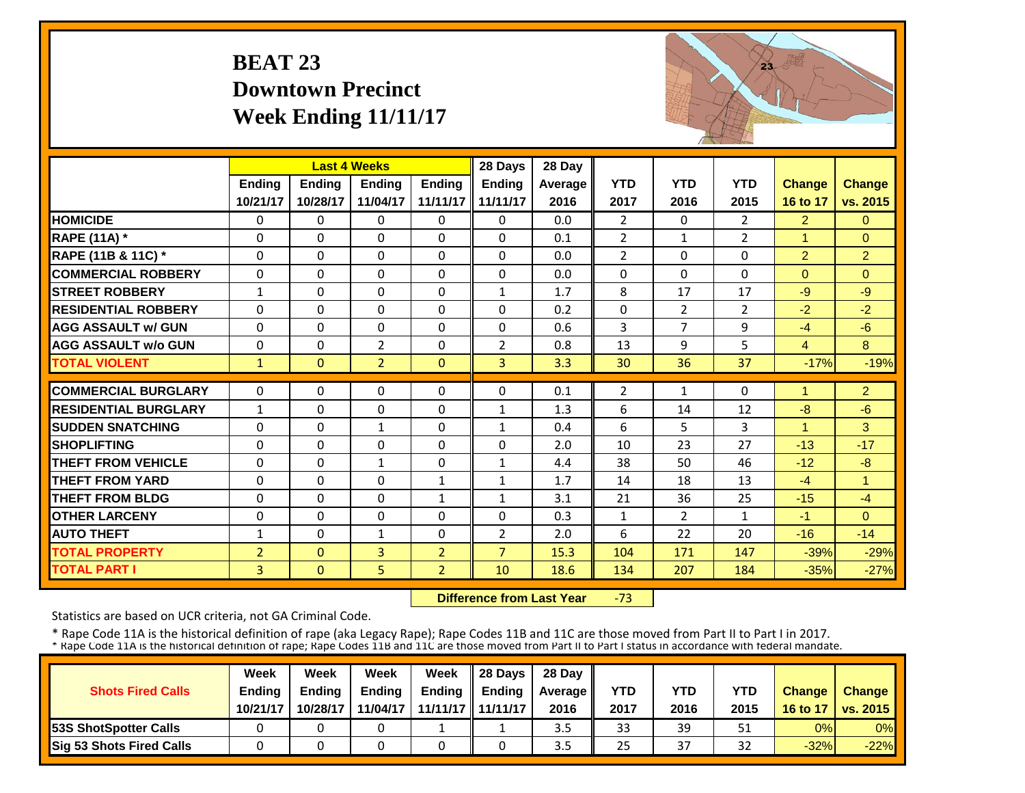## **BEAT 23 Downtown PrecinctWeek Ending 11/11/17**



|                             |                | <b>Last 4 Weeks</b> |                |                | 28 Days        | 28 Day  |                |                |                |                |                |
|-----------------------------|----------------|---------------------|----------------|----------------|----------------|---------|----------------|----------------|----------------|----------------|----------------|
|                             | <b>Ending</b>  | <b>Endina</b>       | <b>Endina</b>  | <b>Endina</b>  | <b>Ending</b>  | Average | <b>YTD</b>     | <b>YTD</b>     | <b>YTD</b>     | <b>Change</b>  | <b>Change</b>  |
|                             | 10/21/17       | 10/28/17            | 11/04/17       | 11/11/17       | 11/11/17       | 2016    | 2017           | 2016           | 2015           | 16 to 17       | vs. 2015       |
| <b>HOMICIDE</b>             | $\mathbf{0}$   | $\Omega$            | $\Omega$       | $\mathbf{0}$   | $\Omega$       | 0.0     | 2              | $\Omega$       | $\overline{2}$ | $\overline{2}$ | $\Omega$       |
| <b>RAPE (11A) *</b>         | $\Omega$       | $\Omega$            | $\Omega$       | $\Omega$       | 0              | 0.1     | $\overline{2}$ | $\mathbf{1}$   | 2              | 1              | $\Omega$       |
| RAPE (11B & 11C) *          | $\mathbf{0}$   | $\Omega$            | $\Omega$       | $\Omega$       | 0              | 0.0     | $\overline{2}$ | $\Omega$       | 0              | $\overline{2}$ | $\overline{2}$ |
| <b>COMMERCIAL ROBBERY</b>   | $\Omega$       | $\Omega$            | $\Omega$       | $\Omega$       | 0              | 0.0     | $\Omega$       | $\Omega$       | $\Omega$       | $\Omega$       | $\Omega$       |
| <b>ISTREET ROBBERY</b>      | $\mathbf{1}$   | $\Omega$            | $\Omega$       | 0              | $\mathbf{1}$   | 1.7     | 8              | 17             | 17             | $-9$           | $-9$           |
| <b>RESIDENTIAL ROBBERY</b>  | $\Omega$       | $\Omega$            | $\Omega$       | $\Omega$       | $\Omega$       | 0.2     | $\Omega$       | $\overline{2}$ | 2              | $-2$           | $-2$           |
| <b>AGG ASSAULT w/ GUN</b>   | $\Omega$       | $\Omega$            | 0              | 0              | $\Omega$       | 0.6     | 3              | 7              | 9              | $-4$           | $-6$           |
| <b>AGG ASSAULT w/o GUN</b>  | 0              | $\Omega$            | $\overline{2}$ | $\mathbf{0}$   | $\overline{2}$ | 0.8     | 13             | 9              | 5              | 4              | 8              |
| <b>TOTAL VIOLENT</b>        | $\mathbf{1}$   | $\mathbf{0}$        | $\overline{2}$ | $\Omega$       | 3              | 3.3     | 30             | 36             | 37             | $-17%$         | $-19%$         |
| <b>COMMERCIAL BURGLARY</b>  | $\Omega$       | $\Omega$            | 0              | $\Omega$       | 0              | 0.1     | $\overline{2}$ | 1              | 0              |                | $\overline{2}$ |
| <b>RESIDENTIAL BURGLARY</b> | $\mathbf{1}$   | $\Omega$            | $\Omega$       | 0              | 1              | 1.3     | 6              | 14             | 12             | $-8$           | $-6$           |
| <b>SUDDEN SNATCHING</b>     | $\Omega$       | $\Omega$            | $\mathbf{1}$   | $\Omega$       | 1              | 0.4     | 6              | 5.             | 3              |                | 3              |
| <b>SHOPLIFTING</b>          | $\Omega$       | $\Omega$            | $\Omega$       | $\Omega$       | 0              | 2.0     | 10             | 23             | 27             | $-13$          | $-17$          |
| <b>THEFT FROM VEHICLE</b>   | $\Omega$       | $\Omega$            | $\mathbf{1}$   | $\Omega$       | 1              | 4.4     | 38             | 50             | 46             | $-12$          | $-8$           |
| <b>THEFT FROM YARD</b>      | $\Omega$       | $\Omega$            | $\Omega$       | $\mathbf{1}$   | $\mathbf{1}$   | 1.7     | 14             | 18             | 13             | $-4$           | $\overline{1}$ |
| <b>THEFT FROM BLDG</b>      | $\Omega$       | $\Omega$            | $\Omega$       | 1              | $\mathbf{1}$   | 3.1     | 21             | 36             | 25             | $-15$          | $-4$           |
| <b>OTHER LARCENY</b>        | $\Omega$       | $\Omega$            | $\Omega$       | $\Omega$       | 0              | 0.3     | $\mathbf{1}$   | $\mathbf{2}$   | $\mathbf{1}$   | $-1$           | $\Omega$       |
| <b>AUTO THEFT</b>           | $\mathbf{1}$   | $\Omega$            | $\mathbf{1}$   | $\Omega$       | $\overline{2}$ | 2.0     | 6              | 22             | 20             | $-16$          | $-14$          |
| <b>TOTAL PROPERTY</b>       | $\overline{2}$ | $\Omega$            | 3              | $\overline{2}$ | $\overline{7}$ | 15.3    | 104            | 171            | 147            | $-39%$         | $-29%$         |
| <b>TOTAL PART I</b>         | 3              | $\mathbf{0}$        | 5              | $\overline{2}$ | 10             | 18.6    | 134            | 207            | 184            | $-35%$         | $-27%$         |

 **Difference from Last Year**‐73

Statistics are based on UCR criteria, not GA Criminal Code.

|                               | Week     | Week          | Week          | Week                | $\parallel$ 28 Davs | 28 Day    |      |      |      |               |                     |
|-------------------------------|----------|---------------|---------------|---------------------|---------------------|-----------|------|------|------|---------------|---------------------|
| <b>Shots Fired Calls</b>      | Ending   | <b>Ending</b> | <b>Ending</b> | <b>Ending</b>       | <b>Ending</b>       | Average I | YTD  | YTD  | YTD  | <b>Change</b> | <b>Change</b>       |
|                               | 10/21/17 | 10/28/17      | 11/04/17      | 11/11/17   11/11/17 |                     | 2016      | 2017 | 2016 | 2015 |               | 16 to 17   vs. 2015 |
| <b>153S ShotSpotter Calls</b> |          |               |               |                     |                     | 3.5       | 33   | 39   | 51   | 0%            | $0\%$               |
| Sig 53 Shots Fired Calls      |          |               |               |                     |                     | ں د       | 25   | 37   | 32   | $-32%$        | $-22%$              |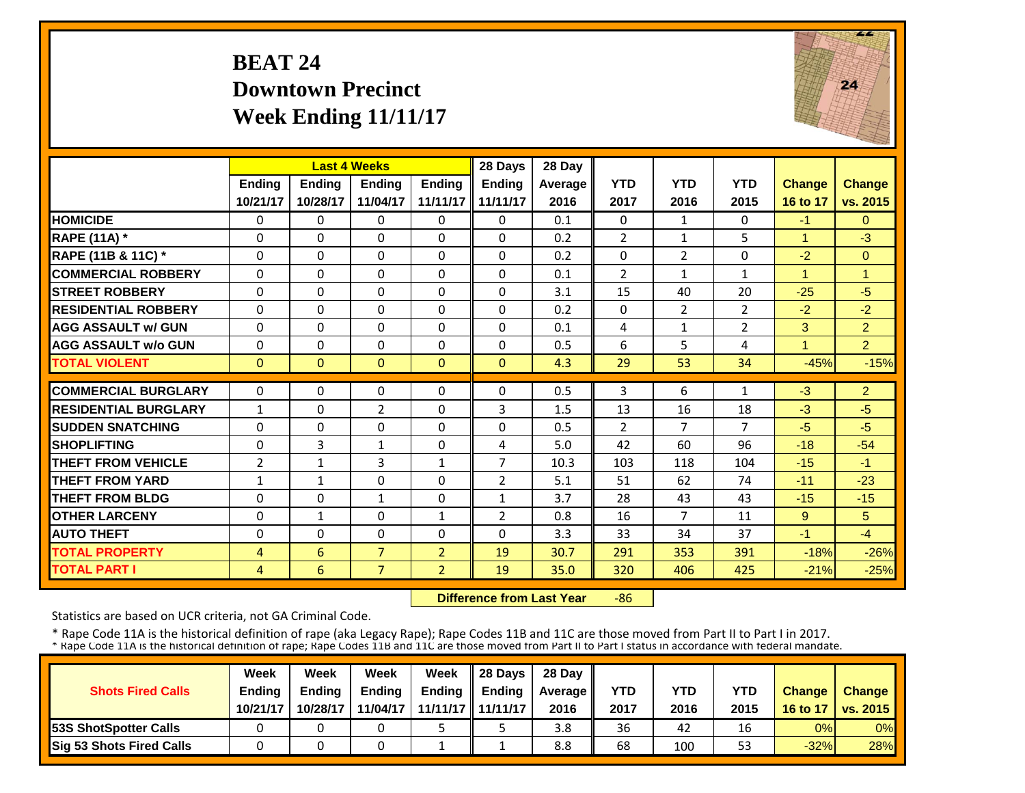## **BEAT 24 Downtown PrecinctWeek Ending 11/11/17**



|                             |                | <b>Last 4 Weeks</b> |                |                | 28 Days        | 28 Day  |                |                |                |               |                |
|-----------------------------|----------------|---------------------|----------------|----------------|----------------|---------|----------------|----------------|----------------|---------------|----------------|
|                             | <b>Ending</b>  | <b>Ending</b>       | <b>Endina</b>  | <b>Endina</b>  | <b>Endina</b>  | Average | <b>YTD</b>     | <b>YTD</b>     | <b>YTD</b>     | <b>Change</b> | Change         |
|                             | 10/21/17       | 10/28/17            | 11/04/17       | 11/11/17       | 11/11/17       | 2016    | 2017           | 2016           | 2015           | 16 to 17      | vs. 2015       |
| <b>HOMICIDE</b>             | $\Omega$       | $\Omega$            | $\Omega$       | $\Omega$       | 0              | 0.1     | $\Omega$       | $\mathbf{1}$   | 0              | $-1$          | $\Omega$       |
| <b>RAPE (11A) *</b>         | $\Omega$       | $\Omega$            | $\Omega$       | 0              | $\Omega$       | 0.2     | $\overline{2}$ | 1              | 5              | 1             | $-3$           |
| RAPE (11B & 11C) *          | $\Omega$       | $\Omega$            | $\Omega$       | $\Omega$       | $\Omega$       | 0.2     | $\Omega$       | $\overline{2}$ | 0              | $-2$          | $\Omega$       |
| <b>COMMERCIAL ROBBERY</b>   | $\Omega$       | $\Omega$            | $\Omega$       | $\Omega$       | $\Omega$       | 0.1     | $\overline{2}$ | $\mathbf{1}$   | $\mathbf{1}$   | 4             | $\overline{1}$ |
| <b>STREET ROBBERY</b>       | $\Omega$       | $\Omega$            | $\Omega$       | $\Omega$       | $\Omega$       | 3.1     | 15             | 40             | 20             | $-25$         | $-5$           |
| <b>RESIDENTIAL ROBBERY</b>  | $\Omega$       | $\Omega$            | $\Omega$       | $\Omega$       | 0              | 0.2     | $\Omega$       | $\overline{2}$ | $\overline{2}$ | $-2$          | $-2$           |
| <b>AGG ASSAULT w/ GUN</b>   | $\Omega$       | $\Omega$            | $\Omega$       | 0              | $\Omega$       | 0.1     | 4              | 1              | $\overline{2}$ | 3             | $\overline{2}$ |
| <b>AGG ASSAULT w/o GUN</b>  | $\Omega$       | $\Omega$            | $\Omega$       | $\Omega$       | $\Omega$       | 0.5     | 6              | 5.             | 4              | 1             | $\overline{2}$ |
| <b>TOTAL VIOLENT</b>        | $\Omega$       | $\Omega$            | $\Omega$       | $\Omega$       | $\Omega$       | 4.3     | 29             | 53             | 34             | $-45%$        | $-15%$         |
| <b>COMMERCIAL BURGLARY</b>  | $\Omega$       |                     |                | 0              | 0              |         | 3              | 6.             |                | $-3$          |                |
|                             |                | $\Omega$            | 0              |                |                | 0.5     |                |                | 1              |               | $\overline{2}$ |
| <b>RESIDENTIAL BURGLARY</b> | 1              | $\Omega$            | 2              | $\Omega$       | 3              | 1.5     | 13             | 16             | 18             | $-3$          | $-5$           |
| <b>SUDDEN SNATCHING</b>     | $\Omega$       | $\Omega$            | 0              | 0              | $\Omega$       | 0.5     | 2              | 7              | $\overline{7}$ | $-5$          | $-5$           |
| <b>SHOPLIFTING</b>          | $\Omega$       | 3                   | $\mathbf{1}$   | 0              | 4              | 5.0     | 42             | 60             | 96             | $-18$         | $-54$          |
| <b>THEFT FROM VEHICLE</b>   | $\overline{2}$ | $\mathbf{1}$        | 3              | 1              | $\overline{7}$ | 10.3    | 103            | 118            | 104            | $-15$         | $-1$           |
| <b>THEFT FROM YARD</b>      | $\mathbf{1}$   | $\mathbf{1}$        | $\Omega$       | $\Omega$       | $\overline{2}$ | 5.1     | 51             | 62             | 74             | $-11$         | $-23$          |
| <b>THEFT FROM BLDG</b>      | $\Omega$       | $\Omega$            | $\mathbf{1}$   | $\Omega$       | $\mathbf{1}$   | 3.7     | 28             | 43             | 43             | $-15$         | $-15$          |
| <b>OTHER LARCENY</b>        | $\Omega$       | $\mathbf{1}$        | $\Omega$       | $\mathbf{1}$   | $\overline{2}$ | 0.8     | 16             | $\overline{7}$ | 11             | 9             | 5              |
| <b>AUTO THEFT</b>           | 0              | $\Omega$            | $\Omega$       | $\Omega$       | $\Omega$       | 3.3     | 33             | 34             | 37             | $-1$          | $-4$           |
| <b>TOTAL PROPERTY</b>       | $\overline{4}$ | 6                   | $\overline{7}$ | $\overline{2}$ | 19             | 30.7    | 291            | 353            | 391            | $-18%$        | $-26%$         |
| <b>TOTAL PART I</b>         | $\overline{4}$ | 6                   | $\overline{7}$ | $\overline{2}$ | 19             | 35.0    | 320            | 406            | 425            | $-21%$        | $-25%$         |

 **Difference from Last Year**‐86

Statistics are based on UCR criteria, not GA Criminal Code.

|                               | Week     | Week          | Week          | Week          | $\parallel$ 28 Davs | 28 Day    |      |      |      |               |                     |
|-------------------------------|----------|---------------|---------------|---------------|---------------------|-----------|------|------|------|---------------|---------------------|
| <b>Shots Fired Calls</b>      | Ending   | <b>Ending</b> | <b>Ending</b> | <b>Ending</b> | <b>Ending</b>       | Average I | YTD  | YTD  | YTD  | <b>Change</b> | <b>Change</b>       |
|                               | 10/21/17 | 10/28/17      | 11/04/17      |               | 11/11/17   11/11/17 | 2016      | 2017 | 2016 | 2015 |               | 16 to 17   vs. 2015 |
| <b>153S ShotSpotter Calls</b> |          |               |               |               |                     | 3.8       | 36   | 42   | 16   | 0%            | $0\%$               |
| Sig 53 Shots Fired Calls      |          |               |               |               |                     | 8.8       | 68   | 100  | 53   | $-32%$        | 28%                 |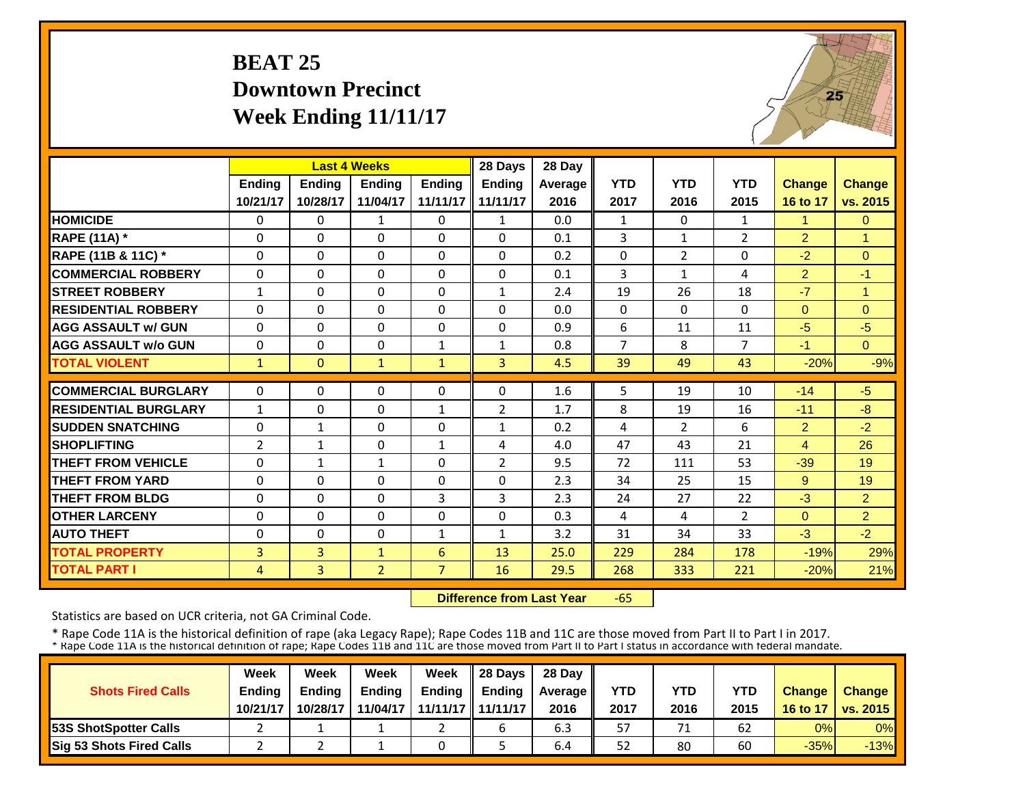## **BEAT 25 Downtown PrecinctWeek Ending 11/11/17**



|                             |                |                | <b>Last 4 Weeks</b> |                | 28 Days        | 28 Day  |                |                |                |                |                      |
|-----------------------------|----------------|----------------|---------------------|----------------|----------------|---------|----------------|----------------|----------------|----------------|----------------------|
|                             | Ending         | <b>Ending</b>  | <b>Ending</b>       | <b>Endina</b>  | <b>Ending</b>  | Average | <b>YTD</b>     | <b>YTD</b>     | <b>YTD</b>     | <b>Change</b>  | <b>Change</b>        |
|                             | 10/21/17       | 10/28/17       | 11/04/17            | 11/11/17       | 11/11/17       | 2016    | 2017           | 2016           | 2015           | 16 to 17       | vs. 2015             |
| <b>HOMICIDE</b>             | $\Omega$       | 0              | $\mathbf{1}$        | $\Omega$       | $\mathbf{1}$   | 0.0     | 1              | $\Omega$       | $\mathbf{1}$   | 1              | $\Omega$             |
| <b>RAPE (11A) *</b>         | $\Omega$       | $\Omega$       | $\Omega$            | $\Omega$       | $\Omega$       | 0.1     | 3              | $\mathbf{1}$   | $\overline{2}$ | $\overline{2}$ | $\blacktriangleleft$ |
| RAPE (11B & 11C) *          | $\Omega$       | $\Omega$       | $\Omega$            | $\Omega$       | $\Omega$       | 0.2     | $\mathbf{0}$   | $\overline{2}$ | $\Omega$       | $-2$           | $\Omega$             |
| <b>COMMERCIAL ROBBERY</b>   | 0              | $\Omega$       | 0                   | $\Omega$       | 0              | 0.1     | 3              | $\mathbf{1}$   | 4              | $\overline{2}$ | $-1$                 |
| <b>STREET ROBBERY</b>       | $\mathbf{1}$   | $\Omega$       | $\Omega$            | $\Omega$       | $\mathbf{1}$   | 2.4     | 19             | 26             | 18             | $-7$           | $\overline{1}$       |
| <b>RESIDENTIAL ROBBERY</b>  | $\Omega$       | $\Omega$       | $\Omega$            | $\Omega$       | $\Omega$       | 0.0     | $\Omega$       | $\Omega$       | $\Omega$       | $\Omega$       | $\Omega$             |
| <b>AGG ASSAULT w/ GUN</b>   | $\Omega$       | 0              | $\Omega$            | $\Omega$       | $\Omega$       | 0.9     | 6              | 11             | 11             | $-5$           | $-5$                 |
| <b>AGG ASSAULT w/o GUN</b>  | 0              | 0              | 0                   | 1              | $\mathbf{1}$   | 0.8     | $\overline{7}$ | 8              | $\overline{7}$ | $-1$           | $\Omega$             |
| <b>TOTAL VIOLENT</b>        | $\mathbf{1}$   | $\mathbf{0}$   | $\mathbf{1}$        | $\mathbf{1}$   | 3              | 4.5     | 39             | 49             | 43             | $-20%$         | $-9%$                |
| <b>COMMERCIAL BURGLARY</b>  | $\Omega$       | 0              | $\Omega$            | 0              | $\Omega$       | 1.6     | 5              | 19             | 10             | $-14$          | $-5$                 |
| <b>RESIDENTIAL BURGLARY</b> | $\mathbf{1}$   | 0              | 0                   | $\mathbf{1}$   | $\overline{2}$ | 1.7     | 8              | 19             | 16             | $-11$          | $-8$                 |
| <b>SUDDEN SNATCHING</b>     | $\Omega$       | $\mathbf{1}$   | $\Omega$            | 0              | $\mathbf{1}$   | 0.2     | 4              | $\overline{2}$ | 6              | $\overline{2}$ | $-2$                 |
| <b>SHOPLIFTING</b>          | $\overline{2}$ | $\mathbf{1}$   | $\Omega$            | $\mathbf{1}$   | 4              | 4.0     | 47             | 43             | 21             | $\overline{4}$ | 26                   |
| <b>THEFT FROM VEHICLE</b>   | 0              | $\mathbf{1}$   | 1                   | $\Omega$       | $\overline{2}$ | 9.5     | 72             | 111            | 53             | $-39$          | 19                   |
| <b>THEFT FROM YARD</b>      | 0              | 0              | 0                   | 0              | 0              | 2.3     | 34             | 25             | 15             | 9              | 19                   |
| <b>THEFT FROM BLDG</b>      | $\Omega$       | 0              | $\Omega$            | 3              | 3              | 2.3     | 24             | 27             | 22             | $-3$           | $\overline{2}$       |
| <b>OTHER LARCENY</b>        | $\Omega$       | $\Omega$       | $\Omega$            | $\Omega$       | $\Omega$       | 0.3     | 4              | 4              | $\overline{2}$ | $\Omega$       | $\overline{2}$       |
| <b>AUTO THEFT</b>           | $\Omega$       | $\Omega$       | $\Omega$            | $\mathbf{1}$   | $\mathbf{1}$   | 3.2     | 31             | 34             | 33             | $-3$           | $-2$                 |
| <b>TOTAL PROPERTY</b>       | 3              | 3              | $\mathbf{1}$        | 6              | 13             | 25.0    | 229            | 284            | 178            | $-19%$         | 29%                  |
| <b>TOTAL PART I</b>         | 4              | $\overline{3}$ | $\overline{2}$      | $\overline{7}$ | 16             | 29.5    | 268            | 333            | 221            | $-20%$         | 21%                  |

 **Difference from Last Year** $-65$ 

Statistics are based on UCR criteria, not GA Criminal Code.

|                               | Week     | Week          | Week          | Week                | $\parallel$ 28 Davs | 28 Day    |      |      |      |               |                     |
|-------------------------------|----------|---------------|---------------|---------------------|---------------------|-----------|------|------|------|---------------|---------------------|
| <b>Shots Fired Calls</b>      | Ending   | <b>Ending</b> | <b>Ending</b> | <b>Ending</b>       | <b>Ending</b>       | Average I | YTD  | YTD  | YTD  | <b>Change</b> | <b>Change</b>       |
|                               | 10/21/17 | 10/28/17      | 11/04/17      | 11/11/17   11/11/17 |                     | 2016      | 2017 | 2016 | 2015 |               | 16 to 17   vs. 2015 |
| <b>153S ShotSpotter Calls</b> |          |               |               |                     |                     | 6.3       | 57   | 71   | 62   | 0%            | $0\%$               |
| Sig 53 Shots Fired Calls      |          |               |               |                     |                     | 6.4       | 52   | 80   | 60   | $-35%$        | $-13%$              |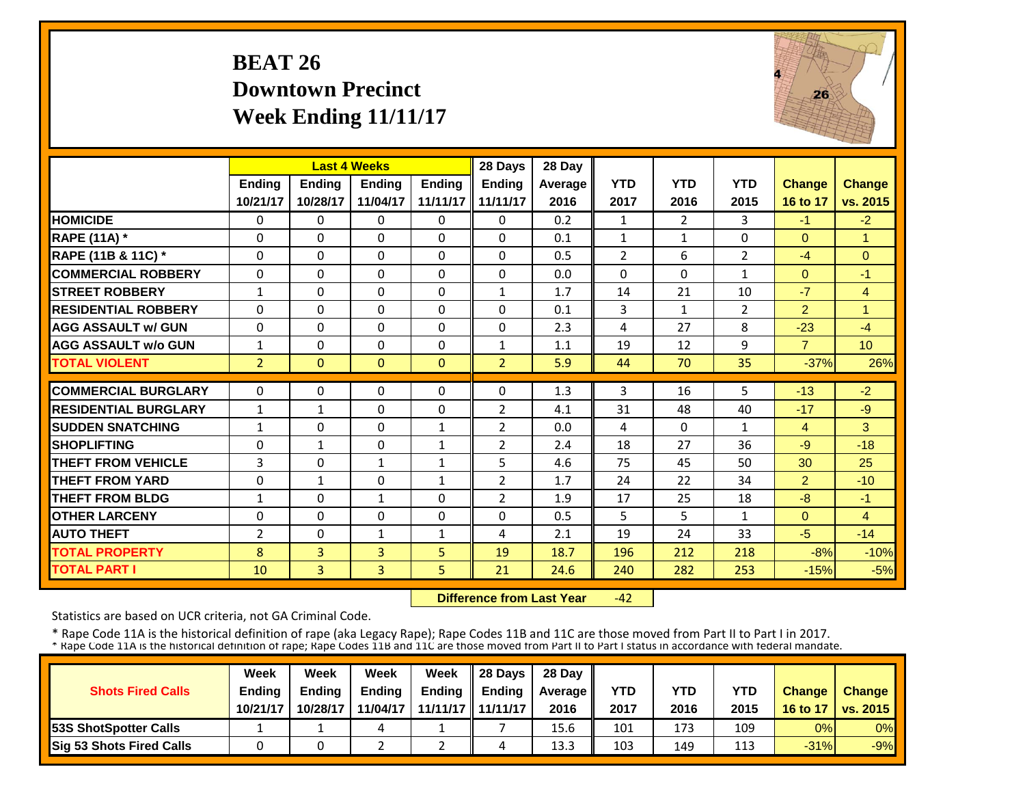#### **BEAT 26 Downtown PrecinctWeek Ending 11/11/17**



|                             |                | <b>Last 4 Weeks</b> |                |               | 28 Days        | 28 Day  |                |                |                |                |                 |
|-----------------------------|----------------|---------------------|----------------|---------------|----------------|---------|----------------|----------------|----------------|----------------|-----------------|
|                             | <b>Ending</b>  | Ending              | Ending         | <b>Endina</b> | <b>Ending</b>  | Average | <b>YTD</b>     | <b>YTD</b>     | <b>YTD</b>     | <b>Change</b>  | <b>Change</b>   |
|                             | 10/21/17       | 10/28/17            | 11/04/17       | 11/11/17      | 11/11/17       | 2016    | 2017           | 2016           | 2015           | 16 to 17       | vs. 2015        |
| <b>HOMICIDE</b>             | 0              | $\Omega$            | 0              | $\mathbf{0}$  | 0              | 0.2     | 1              | $\overline{2}$ | 3              | $-1$           | $-2$            |
| <b>RAPE (11A)</b> *         | $\Omega$       | $\Omega$            | $\Omega$       | $\Omega$      | 0              | 0.1     | $\mathbf{1}$   | $\mathbf{1}$   | 0              | $\Omega$       | $\overline{1}$  |
| RAPE (11B & 11C) *          | $\mathbf 0$    | $\Omega$            | $\Omega$       | $\Omega$      | 0              | 0.5     | $\overline{2}$ | 6              | $\overline{2}$ | $-4$           | $\Omega$        |
| <b>COMMERCIAL ROBBERY</b>   | $\Omega$       | $\Omega$            | $\Omega$       | $\Omega$      | 0              | 0.0     | $\Omega$       | $\Omega$       | $\mathbf{1}$   | $\Omega$       | $-1$            |
| <b>ISTREET ROBBERY</b>      | $\mathbf{1}$   | $\Omega$            | $\Omega$       | $\Omega$      | 1              | 1.7     | 14             | 21             | 10             | $-7$           | $\overline{4}$  |
| <b>RESIDENTIAL ROBBERY</b>  | $\Omega$       | $\Omega$            | $\Omega$       | 0             | $\Omega$       | 0.1     | 3              | 1              | 2              | $\overline{2}$ | $\overline{1}$  |
| <b>AGG ASSAULT w/ GUN</b>   | 0              | $\Omega$            | $\Omega$       | $\Omega$      | 0              | 2.3     | 4              | 27             | 8              | $-23$          | $-4$            |
| <b>AGG ASSAULT w/o GUN</b>  | 1              | 0                   | $\Omega$       | $\Omega$      | $\mathbf{1}$   | 1.1     | 19             | 12             | 9              | $\overline{7}$ | 10 <sup>1</sup> |
| <b>TOTAL VIOLENT</b>        | $\overline{2}$ | $\Omega$            | $\Omega$       | $\Omega$      | $\overline{2}$ | 5.9     | 44             | 70             | 35             | $-37%$         | 26%             |
| <b>COMMERCIAL BURGLARY</b>  | $\Omega$       | $\Omega$            | $\Omega$       | $\Omega$      | 0              | 1.3     | 3              | 16             | 5              | $-13$          | $-2$            |
| <b>RESIDENTIAL BURGLARY</b> | $\mathbf{1}$   | $\mathbf{1}$        | $\Omega$       | $\Omega$      | $\overline{2}$ | 4.1     | 31             | 48             | 40             | $-17$          | $-9$            |
|                             |                |                     |                |               |                |         |                |                |                |                |                 |
| <b>SUDDEN SNATCHING</b>     | $\mathbf{1}$   | $\Omega$            | $\Omega$       | $\mathbf{1}$  | $\overline{2}$ | 0.0     | 4              | 0              | $\mathbf{1}$   | 4              | 3               |
| <b>SHOPLIFTING</b>          | $\Omega$       | 1                   | $\Omega$       | $\mathbf{1}$  | $\overline{2}$ | 2.4     | 18             | 27             | 36             | $-9$           | $-18$           |
| <b>THEFT FROM VEHICLE</b>   | 3              | $\Omega$            | 1              | 1             | 5              | 4.6     | 75             | 45             | 50             | 30             | 25              |
| <b>THEFT FROM YARD</b>      | $\Omega$       | $\mathbf{1}$        | $\Omega$       | $\mathbf{1}$  | $\overline{2}$ | 1.7     | 24             | 22             | 34             | $\overline{2}$ | $-10$           |
| <b>THEFT FROM BLDG</b>      | $\mathbf{1}$   | $\Omega$            | $\mathbf{1}$   | $\Omega$      | $\overline{2}$ | 1.9     | 17             | 25             | 18             | $-8$           | $-1$            |
| <b>OTHER LARCENY</b>        | $\Omega$       | $\Omega$            | $\Omega$       | $\Omega$      | 0              | 0.5     | 5              | 5.             | 1              | $\Omega$       | 4               |
| <b>AUTO THEFT</b>           | $\overline{2}$ | $\Omega$            | $\mathbf{1}$   | $\mathbf{1}$  | 4              | 2.1     | 19             | 24             | 33             | $-5$           | $-14$           |
| <b>TOTAL PROPERTY</b>       | 8              | $\overline{3}$      | $\overline{3}$ | 5             | 19             | 18.7    | 196            | 212            | 218            | $-8%$          | $-10%$          |
| <b>TOTAL PART I</b>         | 10             | $\overline{3}$      | 3              | 5             | 21             | 24.6    | 240            | 282            | 253            | $-15%$         | $-5%$           |

 **Difference from Last Year** $-42$ 

Statistics are based on UCR criteria, not GA Criminal Code.

|                                 | Week          | Week          | Week     | Week          | 28 Davs           | 28 Day    |      |      |            |               |                       |
|---------------------------------|---------------|---------------|----------|---------------|-------------------|-----------|------|------|------------|---------------|-----------------------|
| <b>Shots Fired Calls</b>        | <b>Endina</b> | <b>Endina</b> | Ending   | <b>Ending</b> | <b>Endina</b>     | Average I | YTD  | YTD  | <b>YTD</b> | <b>Change</b> | <b>Change</b>         |
|                                 | 10/21/17      | 10/28/17      | 11/04/17 |               | 11/11/17 11/11/17 | 2016      | 2017 | 2016 | 2015       | 16 to 17      | <b>O</b> I vs. 2015 I |
| <b>153S ShotSpotter Calls</b>   |               |               |          |               |                   | 15.6      | 101  | 173  | 109        | 0%            | $0\%$                 |
| <b>Sig 53 Shots Fired Calls</b> |               |               |          |               |                   | 13.3      | 103  | 149  | 113        | $-31%$        | $-9%$                 |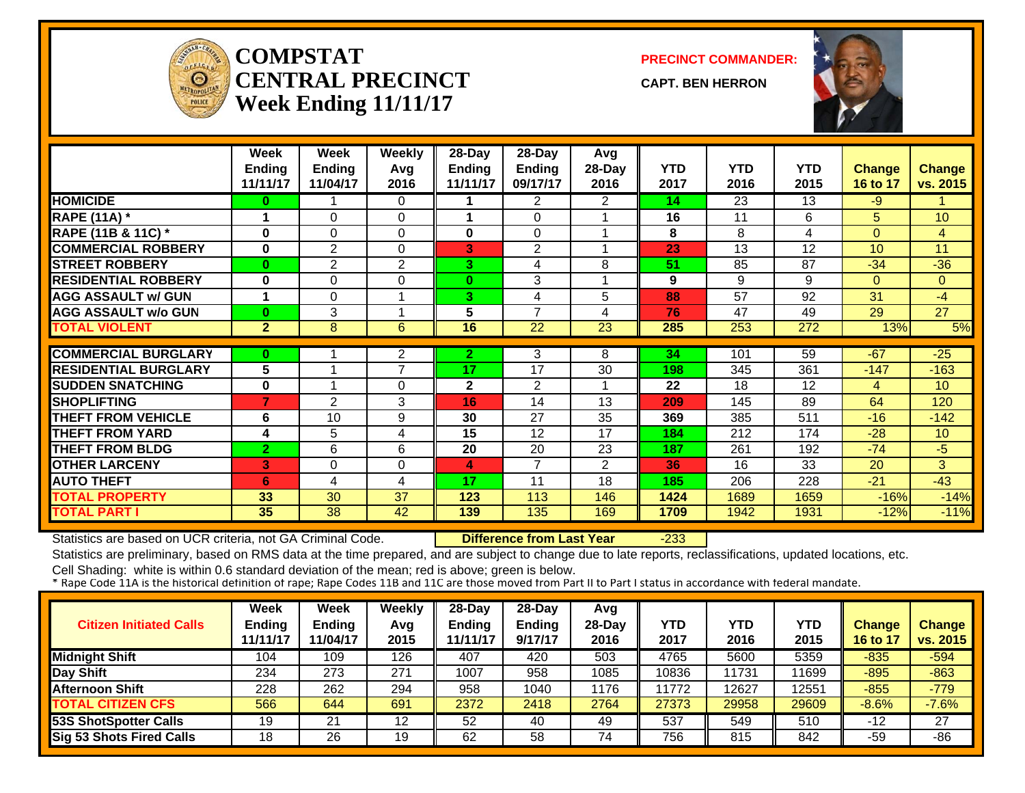

#### **COMPSTATCENTRAL PRECINCTWeek Ending 11/11/17**

**PRECINCT COMMANDER:**

**CAPT. BEN HERRON**



|                               | Week<br><b>Ending</b><br>11/11/17 | Week<br>Ending<br>11/04/17 | <b>Weekly</b><br>Avg<br>2016 | 28-Day<br>Ending<br>11/11/17 | 28-Day<br>Ending<br>09/17/17 | Avg<br>28-Day<br>2016 | <b>YTD</b><br>2017 | <b>YTD</b><br>2016 | <b>YTD</b><br>2015 | <b>Change</b><br>16 to 17 | <b>Change</b><br>vs. 2015 |
|-------------------------------|-----------------------------------|----------------------------|------------------------------|------------------------------|------------------------------|-----------------------|--------------------|--------------------|--------------------|---------------------------|---------------------------|
| <b>HOMICIDE</b>               | 0                                 |                            | $\Omega$                     |                              | 2                            | 2                     | 14                 | 23                 | 13                 | -9                        |                           |
| <b>RAPE (11A)</b> *           | 1                                 | 0                          | $\Omega$                     |                              | $\Omega$                     |                       | 16                 | 11                 | 6                  | 5                         | 10                        |
| <b>RAPE (11B &amp; 11C)</b> * | $\bf{0}$                          | 0                          | $\Omega$                     | 0                            | $\Omega$                     |                       | 8                  | 8                  | 4                  | $\Omega$                  | $\overline{4}$            |
| <b>COMMERCIAL ROBBERY</b>     | 0                                 | $\overline{2}$             | $\Omega$                     | 3                            | 2                            |                       | 23                 | 13                 | 12                 | 10 <sup>°</sup>           | 11                        |
| <b>STREET ROBBERY</b>         | $\bf{0}$                          | $\overline{2}$             | $\mathbf{2}$                 | 3.                           | 4                            | 8                     | 51                 | 85                 | 87                 | $-34$                     | $-36$                     |
| <b>RESIDENTIAL ROBBERY</b>    | 0                                 | 0                          | 0                            | $\bf{0}$                     | 3                            |                       | 9                  | 9                  | 9                  | $\mathbf{0}$              | $\overline{0}$            |
| <b>AGG ASSAULT w/ GUN</b>     | 1                                 | 0                          | 1                            | 3                            | 4                            | 5                     | 88                 | 57                 | 92                 | 31                        | $-4$                      |
| <b>AGG ASSAULT w/o GUN</b>    | $\bf{0}$                          | 3                          | 1                            | 5                            | $\overline{7}$               | 4                     | 76                 | 47                 | 49                 | 29                        | $\overline{27}$           |
| <b>TOTAL VIOLENT</b>          | $\overline{2}$                    | 8                          | 6                            | 16                           | $\overline{22}$              | $\overline{23}$       | 285                | 253                | 272                | 13%                       | 5%                        |
|                               |                                   |                            |                              |                              |                              |                       |                    |                    |                    |                           |                           |
| <b>COMMERCIAL BURGLARY</b>    | $\bf{0}$                          |                            | $\overline{2}$               | $\mathbf{2}$                 | 3                            | 8                     | 34                 | 101                | 59                 | $-67$                     | $-25$                     |
| <b>RESIDENTIAL BURGLARY</b>   | 5                                 |                            | $\overline{7}$               | 17                           | 17                           | 30                    | 198                | 345                | 361                | $-147$                    | $-163$                    |
| <b>SUDDEN SNATCHING</b>       | $\bf{0}$                          |                            | $\Omega$                     | $\mathbf{2}$                 | 2                            |                       | 22                 | 18                 | 12                 | 4                         | 10 <sup>1</sup>           |
| <b>SHOPLIFTING</b>            | 7                                 | $\overline{2}$             | 3                            | 16                           | 14                           | 13                    | 209                | 145                | 89                 | 64                        | 120                       |
| <b>THEFT FROM VEHICLE</b>     | 6                                 | 10                         | 9                            | 30                           | 27                           | 35                    | 369                | 385                | 511                | $-16$                     | $-142$                    |
| <b>THEFT FROM YARD</b>        | 4                                 | 5                          | 4                            | 15                           | 12                           | 17                    | 184                | 212                | 174                | $-28$                     | 10                        |
| <b>THEFT FROM BLDG</b>        | $\overline{2}$                    | 6                          | 6                            | 20                           | 20                           | 23                    | 187                | 261                | 192                | $-74$                     | $-5$                      |
| <b>OTHER LARCENY</b>          | 3                                 | 0                          | $\Omega$                     | 4                            | $\overline{7}$               | 2                     | 36                 | 16                 | 33                 | 20                        | 3                         |
| <b>AUTO THEFT</b>             | 6                                 | 4                          | 4                            | 17                           | 11                           | 18                    | 185                | 206                | 228                | $-21$                     | $-43$                     |
| <b>TOTAL PROPERTY</b>         | 33                                | 30                         | 37                           | 123                          | 113                          | 146                   | 1424               | 1689               | 1659               | $-16%$                    | $-14%$                    |
| <b>TOTAL PART I</b>           | 35                                | 38                         | 42                           | 139                          | 135                          | 169                   | 1709               | 1942               | 1931               | $-12%$                    | $-11%$                    |

Statistics are based on UCR criteria, not GA Criminal Code. **Difference from Last Year** -233

Statistics are preliminary, based on RMS data at the time prepared, and are subject to change due to late reports, reclassifications, updated locations, etc.

| <b>Citizen Initiated Calls</b>  | Week<br><b>Ending</b><br>11/11/17 | <b>Week</b><br><b>Ending</b><br>11/04/17 | Weekly<br>Avg<br>2015 | $28$ -Dav<br>Ending<br>11/11/17 | $28-Dav$<br>Ending<br>9/17/17 | Avg<br>$28-Day$<br>2016 | YTD<br>2017 | YTD<br>2016 | YTD<br>2015 | <b>Change</b><br>16 to 17 | <b>Change</b><br>vs. 2015 |
|---------------------------------|-----------------------------------|------------------------------------------|-----------------------|---------------------------------|-------------------------------|-------------------------|-------------|-------------|-------------|---------------------------|---------------------------|
| <b>Midnight Shift</b>           | 104                               | 109                                      | 126                   | 407                             | 420                           | 503                     | 4765        | 5600        | 5359        | $-835$                    | $-594$                    |
| Day Shift                       | 234                               | 273                                      | 271                   | 1007                            | 958                           | 1085                    | 10836       | 1731        | 11699       | $-895$                    | $-863$                    |
| <b>Afternoon Shift</b>          | 228                               | 262                                      | 294                   | 958                             | 1040                          | 1176                    | 11772       | 2627        | 12551       | $-855$                    | $-779$                    |
| <b>TOTAL CITIZEN CFS</b>        | 566                               | 644                                      | 691                   | 2372                            | 2418                          | 2764                    | 27373       | 29958       | 29609       | $-8.6%$                   | $-7.6%$                   |
| <b>53S ShotSpotter Calls</b>    | 19                                | 21                                       | 12                    | 52                              | 40                            | 49                      | 537         | 549         | 510         | $-12$                     | 27                        |
| <b>Sig 53 Shots Fired Calls</b> | 18                                | 26                                       | 19                    | 62                              | 58                            | 74                      | 756         | 815         | 842         | -59                       | -86                       |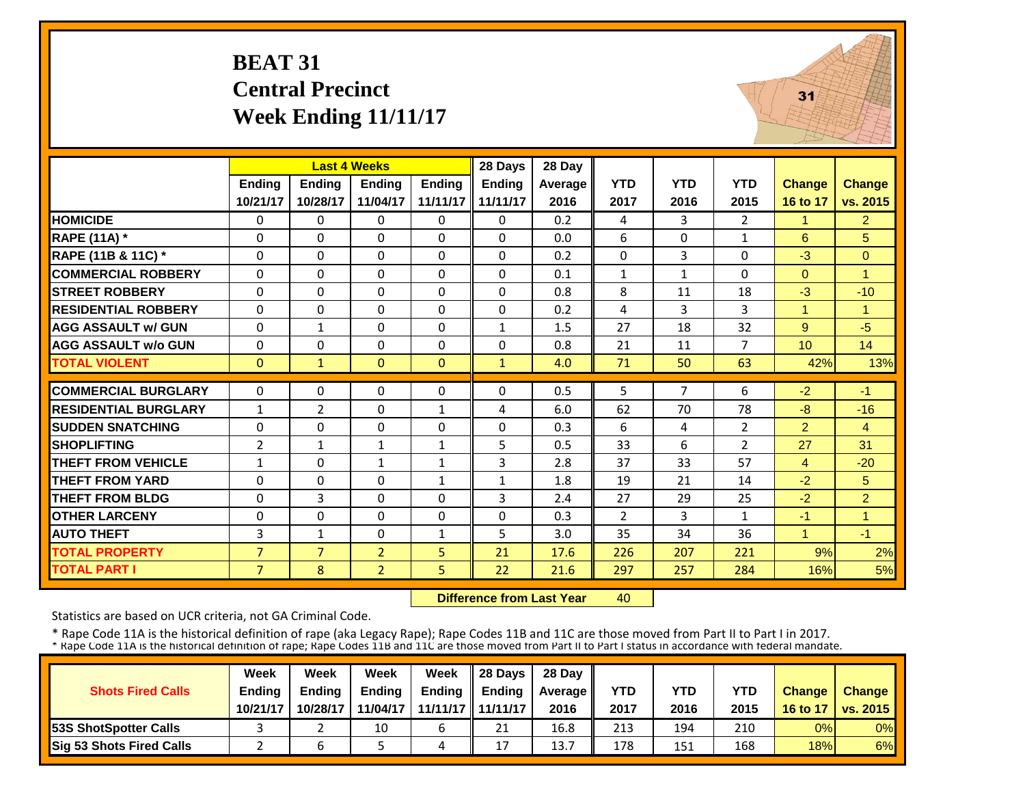# **BEAT 31 Central Precinct Week Ending 11/11/17**



|                             |                     | <b>Last 4 Weeks</b> |                      |                   | 28 Days       | 28 Day     |                      |                |                    |                      |                      |
|-----------------------------|---------------------|---------------------|----------------------|-------------------|---------------|------------|----------------------|----------------|--------------------|----------------------|----------------------|
|                             | <b>Ending</b>       | <b>Ending</b>       | <b>Endina</b>        | <b>Ending</b>     | <b>Ending</b> | Average    | <b>YTD</b>           | <b>YTD</b>     | <b>YTD</b>         | <b>Change</b>        | <b>Change</b>        |
|                             | 10/21/17            | 10/28/17            | 11/04/17             | 11/11/17          | 11/11/17      | 2016       | 2017                 | 2016           | 2015               | 16 to 17             | vs. 2015             |
| <b>HOMICIDE</b>             | $\Omega$            | $\Omega$            | $\Omega$             | $\Omega$          | $\Omega$      | 0.2        | 4                    | 3              | $\mathbf{2}$       | $\mathbf{1}$         | $\overline{2}$       |
| <b>RAPE (11A) *</b>         | $\Omega$            | $\Omega$            | $\Omega$             | $\Omega$          | $\Omega$      | 0.0        | 6                    | $\Omega$       | $\mathbf{1}$       | 6                    | 5                    |
| RAPE (11B & 11C) *          | 0                   | $\Omega$            | $\Omega$             | $\Omega$          | $\Omega$      | 0.2        | 0                    | 3              | $\Omega$           | $-3$                 | $\Omega$             |
| <b>COMMERCIAL ROBBERY</b>   | $\Omega$            | $\Omega$            | $\Omega$             | $\Omega$          | $\Omega$      | 0.1        | $\mathbf{1}$         | $\mathbf{1}$   | $\Omega$           | $\Omega$             | $\blacktriangleleft$ |
| <b>STREET ROBBERY</b>       | 0                   | $\Omega$            | $\Omega$             | $\Omega$          | $\Omega$      | 0.8        | 8                    | 11             | 18                 | $-3$                 | $-10$                |
| <b>RESIDENTIAL ROBBERY</b>  | $\Omega$            | $\Omega$            | $\Omega$             | $\Omega$          | $\Omega$      | 0.2        | 4                    | 3              | 3                  | $\mathbf{1}$         | $\blacktriangleleft$ |
| <b>AGG ASSAULT w/ GUN</b>   | $\Omega$            | $\mathbf{1}$        | $\Omega$             | $\Omega$          | $\mathbf{1}$  | 1.5        | 27                   | 18             | 32                 | 9                    | $-5$                 |
| <b>AGG ASSAULT w/o GUN</b>  | $\Omega$            | 0                   | $\Omega$             | $\Omega$          | $\Omega$      | 0.8        | 21                   | 11             | $\overline{7}$     | 10                   | 14                   |
| <b>TOTAL VIOLENT</b>        | $\mathbf{0}$        | $\mathbf{1}$        | $\mathbf{0}$         | $\mathbf{0}$      | $\mathbf{1}$  | 4.0        | 71                   | 50             | 63                 | 42%                  | 13%                  |
| <b>COMMERCIAL BURGLARY</b>  | $\Omega$            | 0                   | $\Omega$             | $\Omega$          | $\Omega$      | 0.5        | 5                    | $\overline{7}$ | 6                  | $-2$                 | $-1$                 |
| <b>RESIDENTIAL BURGLARY</b> | $\mathbf{1}$        | $\overline{2}$      | $\Omega$             | $\mathbf{1}$      | 4             | 6.0        | 62                   | 70             | 78                 | $-8$                 | $-16$                |
| <b>ISUDDEN SNATCHING</b>    |                     | $\Omega$            | $\Omega$             |                   | $\Omega$      |            |                      |                | $\overline{2}$     |                      | $\overline{4}$       |
| <b>SHOPLIFTING</b>          | 0<br>$\overline{2}$ | $\mathbf{1}$        |                      | $\mathbf 0$       | 5             | 0.3<br>0.5 | 6<br>33              | 4<br>6         | 2                  | $\overline{2}$<br>27 | 31                   |
| <b>THEFT FROM VEHICLE</b>   | $\mathbf{1}$        | $\Omega$            | 1<br>$\mathbf{1}$    | 1<br>$\mathbf{1}$ | 3             | 2.8        | 37                   | 33             | 57                 | $\overline{4}$       | $-20$                |
| <b>THEFT FROM YARD</b>      | $\mathbf 0$         | $\Omega$            | $\Omega$             | $\mathbf{1}$      | 1             | 1.8        | 19                   | 21             | 14                 | $-2$                 | 5                    |
| <b>THEFT FROM BLDG</b>      | 0                   | 3                   | $\Omega$             | 0                 | 3             | 2.4        | 27                   | 29             | 25                 | $-2$                 | $\overline{2}$       |
|                             |                     |                     |                      |                   |               |            |                      |                |                    |                      |                      |
| <b>OTHER LARCENY</b>        | $\Omega$<br>3       | $\Omega$            | $\Omega$<br>$\Omega$ | $\Omega$          | $\Omega$<br>5 | 0.3<br>3.0 | $\overline{2}$<br>35 | 3<br>34        | $\mathbf{1}$<br>36 | $-1$<br>$\mathbf{1}$ | $\mathbf{1}$<br>$-1$ |
| <b>AUTO THEFT</b>           |                     | $\mathbf{1}$        |                      | $\mathbf{1}$      |               |            |                      |                |                    |                      |                      |
| <b>TOTAL PROPERTY</b>       | $\overline{7}$      | $\overline{7}$      | $\overline{2}$       | 5                 | 21            | 17.6       | 226                  | 207            | 221                | 9%                   | 2%                   |
| <b>TOTAL PART I</b>         | $\overline{7}$      | 8                   | $\overline{2}$       | 5                 | 22            | 21.6       | 297                  | 257            | 284                | 16%                  | 5%                   |

 **Difference from Last Year**40

Statistics are based on UCR criteria, not GA Criminal Code.

|                                 | Week          | Week          | Week     | Week          | 28 Davs             | 28 Day    |      |      |            |               |                       |
|---------------------------------|---------------|---------------|----------|---------------|---------------------|-----------|------|------|------------|---------------|-----------------------|
| <b>Shots Fired Calls</b>        | <b>Endina</b> | <b>Endina</b> | Ending   | <b>Ending</b> | <b>Endina</b>       | Average I | YTD  | YTD  | <b>YTD</b> | <b>Change</b> | <b>Change</b>         |
|                                 | 10/21/17      | 10/28/17      | 11/04/17 |               | 11/11/17   11/11/17 | 2016      | 2017 | 2016 | 2015       | 16 to 17      | <b>O</b> I vs. 2015 I |
| <b>153S ShotSpotter Calls</b>   |               |               | 10       |               | 21                  | 16.8      | 213  | 194  | 210        | 0%            | $0\%$                 |
| <b>Sig 53 Shots Fired Calls</b> |               |               |          | 4             | 17<br>∸             | 13.7      | 178  | 151  | 168        | 18%           | 6%                    |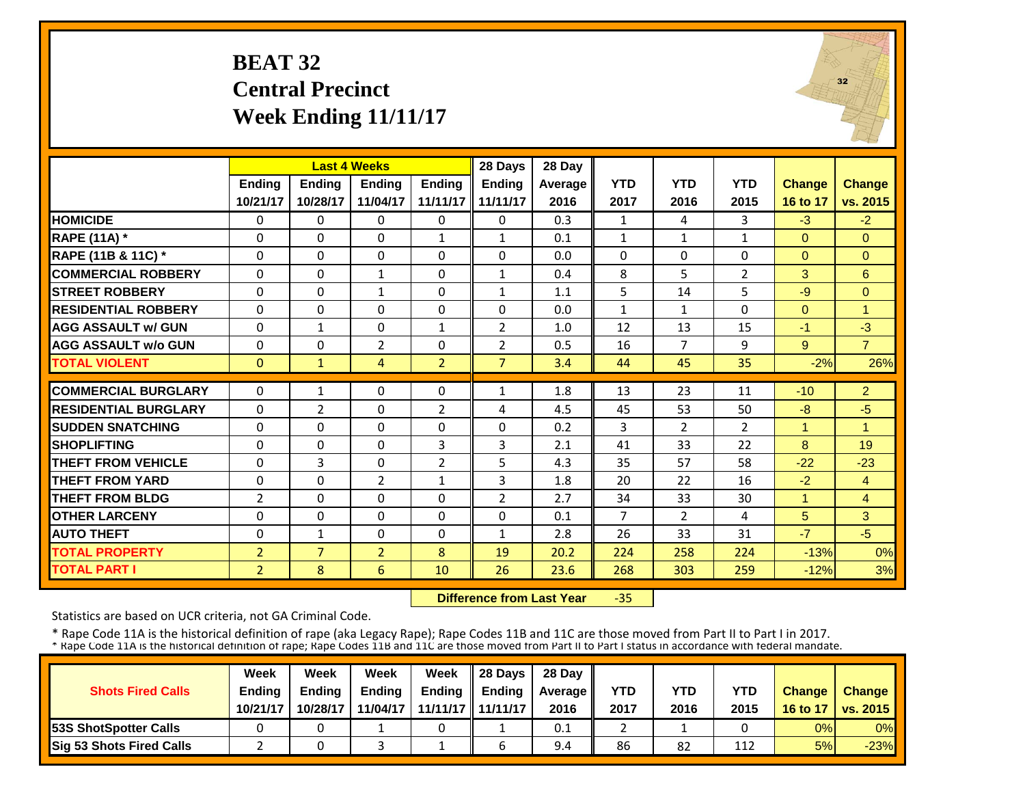# **BEAT 32 Central Precinct Week Ending 11/11/17**



|                             |                |                | <b>Last 4 Weeks</b> |                | 28 Days        | 28 Day  |                |                |                |               |                |
|-----------------------------|----------------|----------------|---------------------|----------------|----------------|---------|----------------|----------------|----------------|---------------|----------------|
|                             | Ending         | Ending         | <b>Ending</b>       | <b>Endina</b>  | Ending         | Average | <b>YTD</b>     | <b>YTD</b>     | <b>YTD</b>     | <b>Change</b> | <b>Change</b>  |
|                             | 10/21/17       | 10/28/17       | 11/04/17            | 11/11/17       | 11/11/17       | 2016    | 2017           | 2016           | 2015           | 16 to 17      | vs. 2015       |
| <b>HOMICIDE</b>             | 0              | $\Omega$       | $\Omega$            | $\Omega$       | 0              | 0.3     | $\mathbf{1}$   | 4              | 3              | $-3$          | $-2$           |
| <b>RAPE (11A) *</b>         | $\Omega$       | $\Omega$       | $\Omega$            | $\mathbf{1}$   | $\mathbf{1}$   | 0.1     | $\mathbf{1}$   | $\mathbf{1}$   | 1              | $\Omega$      | $\overline{0}$ |
| RAPE (11B & 11C) *          | 0              | $\Omega$       | $\Omega$            | 0              | $\Omega$       | 0.0     | 0              | $\Omega$       | $\Omega$       | $\mathbf{0}$  | $\overline{0}$ |
| <b>COMMERCIAL ROBBERY</b>   | $\Omega$       | $\Omega$       | $\mathbf{1}$        | $\Omega$       | $\mathbf{1}$   | 0.4     | 8              | 5              | $\overline{2}$ | 3             | 6              |
| <b>STREET ROBBERY</b>       | $\Omega$       | $\Omega$       | $\mathbf{1}$        | $\Omega$       | $\mathbf{1}$   | 1.1     | 5              | 14             | 5              | $-9$          | $\Omega$       |
| <b>IRESIDENTIAL ROBBERY</b> | $\Omega$       | $\Omega$       | $\Omega$            | $\Omega$       | $\Omega$       | 0.0     | $\mathbf{1}$   | $\mathbf{1}$   | 0              | $\Omega$      | $\overline{1}$ |
| <b>AGG ASSAULT w/ GUN</b>   | $\Omega$       | $\mathbf{1}$   | $\Omega$            | $\mathbf{1}$   | $\overline{2}$ | 1.0     | 12             | 13             | 15             | $-1$          | $-3$           |
| <b>AGG ASSAULT w/o GUN</b>  | $\Omega$       | $\Omega$       | $\overline{2}$      | $\Omega$       | $\overline{2}$ | 0.5     | 16             | 7              | 9              | 9             | $\overline{7}$ |
| <b>TOTAL VIOLENT</b>        | $\mathbf{0}$   | $\mathbf{1}$   | 4                   | $\overline{2}$ | $\overline{7}$ | 3.4     | 44             | 45             | 35             | $-2%$         | 26%            |
| <b>COMMERCIAL BURGLARY</b>  | 0              | $\mathbf{1}$   | $\Omega$            | $\Omega$       | 1              | 1.8     | 13             | 23             | 11             | $-10$         | $\overline{2}$ |
| <b>RESIDENTIAL BURGLARY</b> | $\Omega$       | 2              | $\Omega$            | 2              | 4              | 4.5     | 45             | 53             | 50             | $-8$          | $-5$           |
| <b>SUDDEN SNATCHING</b>     | $\Omega$       | $\Omega$       | $\Omega$            | $\Omega$       | $\Omega$       | 0.2     | 3              | $\overline{2}$ | $\overline{2}$ | 1             | $\overline{1}$ |
| <b>SHOPLIFTING</b>          | $\Omega$       | $\Omega$       | $\Omega$            | 3              | 3              | 2.1     | 41             | 33             | 22             | 8             | 19             |
| <b>THEFT FROM VEHICLE</b>   | $\Omega$       | 3              | $\Omega$            | $\overline{2}$ | 5              | 4.3     | 35             | 57             | 58             | $-22$         | $-23$          |
| <b>THEFT FROM YARD</b>      | $\Omega$       | $\Omega$       | $\overline{2}$      | $\mathbf{1}$   | 3              | 1.8     | 20             | 22             | 16             | $-2$          | $\overline{4}$ |
| <b>THEFT FROM BLDG</b>      | $\overline{2}$ | $\Omega$       | $\Omega$            | $\Omega$       | $\overline{2}$ | 2.7     | 34             | 33             | 30             | 1             | $\overline{4}$ |
| <b>OTHER LARCENY</b>        | $\Omega$       | $\Omega$       | $\Omega$            | $\Omega$       | 0              | 0.1     | $\overline{7}$ | $\overline{2}$ | 4              | 5             | 3              |
| <b>AUTO THEFT</b>           | 0              | $\mathbf{1}$   | $\Omega$            | 0              | $\mathbf{1}$   | 2.8     | 26             | 33             | 31             | $-7$          | $-5$           |
| <b>TOTAL PROPERTY</b>       | $\overline{2}$ | $\overline{7}$ | $\overline{2}$      | 8              | 19             | 20.2    | 224            | 258            | 224            | $-13%$        | 0%             |
| <b>TOTAL PART I</b>         | $\overline{2}$ | 8              | 6                   | 10             | 26             | 23.6    | 268            | 303            | 259            | $-12%$        | 3%             |

 **Difference from Last Year** $-35$ 

Statistics are based on UCR criteria, not GA Criminal Code.

|                               | Week          | Week          | Week          | Week          | $\parallel$ 28 Davs | 28 Day    |      |      |      |               |                     |
|-------------------------------|---------------|---------------|---------------|---------------|---------------------|-----------|------|------|------|---------------|---------------------|
| <b>Shots Fired Calls</b>      | <b>Ending</b> | <b>Ending</b> | <b>Ending</b> | <b>Ending</b> | <b>Ending</b>       | Average I | YTD  | YTD  | YTD  | <b>Change</b> | <b>Change</b>       |
|                               | 10/21/17      | 10/28/17      | 11/04/17      |               | 11/11/17   11/11/17 | 2016      | 2017 | 2016 | 2015 |               | 16 to 17   vs. 2015 |
| <b>153S ShotSpotter Calls</b> |               |               |               |               |                     | 0.1       |      |      |      | 0%            | $0\%$               |
| Sig 53 Shots Fired Calls      |               |               |               |               |                     | 9.4       | 86   | 82   | 112  | 5%            | $-23%$              |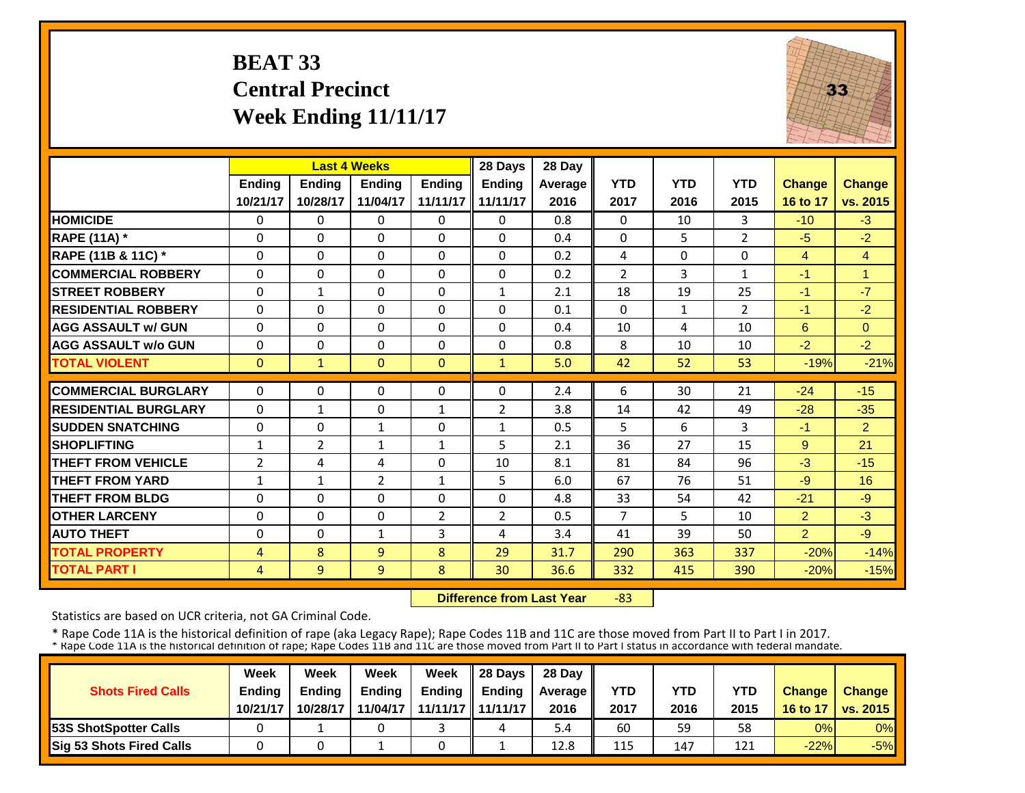# **BEAT 33 Central Precinct Week Ending 11/11/17**



|                                               |                | <b>Last 4 Weeks</b> |               |                | 28 Days        | 28 Day  |                |            |                |                |                |
|-----------------------------------------------|----------------|---------------------|---------------|----------------|----------------|---------|----------------|------------|----------------|----------------|----------------|
|                                               | <b>Ending</b>  | Ending              | <b>Ending</b> | <b>Endina</b>  | <b>Ending</b>  | Average | <b>YTD</b>     | <b>YTD</b> | <b>YTD</b>     | <b>Change</b>  | <b>Change</b>  |
|                                               | 10/21/17       | 10/28/17            | 11/04/17      | 11/11/17       | 11/11/17       | 2016    | 2017           | 2016       | 2015           | 16 to 17       | vs. 2015       |
| <b>HOMICIDE</b>                               | 0              | $\Omega$            | 0             | $\mathbf{0}$   | 0              | 0.8     | $\Omega$       | 10         | 3              | $-10$          | $-3$           |
| <b>RAPE (11A)</b> *                           | $\Omega$       | $\Omega$            | $\Omega$      | $\Omega$       | 0              | 0.4     | $\Omega$       | 5          | $\overline{2}$ | $-5$           | $-2$           |
| RAPE (11B & 11C) *                            | $\mathbf 0$    | $\Omega$            | $\Omega$      | $\Omega$       | 0              | 0.2     | 4              | $\Omega$   | 0              | $\overline{4}$ | $\overline{4}$ |
| <b>COMMERCIAL ROBBERY</b>                     | $\Omega$       | $\Omega$            | $\Omega$      | $\Omega$       | 0              | 0.2     | $\overline{2}$ | 3          | $\mathbf{1}$   | $-1$           | 1              |
| <b>ISTREET ROBBERY</b>                        | $\Omega$       | $\mathbf{1}$        | $\Omega$      | $\Omega$       | 1              | 2.1     | 18             | 19         | 25             | $-1$           | $-7$           |
| <b>RESIDENTIAL ROBBERY</b>                    | $\Omega$       | $\Omega$            | $\Omega$      | 0              | 0              | 0.1     | $\Omega$       | 1          | $\overline{2}$ | $-1$           | $-2$           |
| <b>AGG ASSAULT w/ GUN</b>                     | $\Omega$       | $\Omega$            | $\Omega$      | $\Omega$       | $\Omega$       | 0.4     | 10             | 4          | 10             | 6              | $\Omega$       |
| <b>AGG ASSAULT w/o GUN</b>                    | 0              | 0                   | $\Omega$      | $\Omega$       | 0              | 0.8     | 8              | 10         | 10             | $-2$           | $-2$           |
| <b>TOTAL VIOLENT</b>                          | $\Omega$       | $\mathbf{1}$        | $\Omega$      | $\Omega$       | $\mathbf{1}$   | 5.0     | 42             | 52         | 53             | $-19%$         | $-21%$         |
| <b>COMMERCIAL BURGLARY</b>                    | $\Omega$       | $\Omega$            | $\Omega$      | $\Omega$       | 0              | 2.4     | 6              | 30         | 21             | $-24$          | $-15$          |
| <b>RESIDENTIAL BURGLARY</b>                   | $\Omega$       | $\mathbf{1}$        | $\Omega$      | $\mathbf{1}$   | $\overline{2}$ | 3.8     | 14             | 42         | 49             | $-28$          | $-35$          |
|                                               |                |                     |               |                |                |         |                | 6          |                |                |                |
| <b>SUDDEN SNATCHING</b><br><b>SHOPLIFTING</b> | 0              | $\Omega$            | $\mathbf{1}$  | $\Omega$       | $\mathbf{1}$   | 0.5     | 5              |            | 3              | $-1$           | $\overline{2}$ |
|                                               | 1              | 2                   | 1             | $\mathbf{1}$   | 5              | 2.1     | 36             | 27         | 15             | 9              | 21             |
| <b>THEFT FROM VEHICLE</b>                     | $\overline{2}$ | 4                   | 4             | $\Omega$       | 10             | 8.1     | 81             | 84         | 96             | $-3$           | $-15$          |
| <b>THEFT FROM YARD</b>                        | $\mathbf{1}$   | $\mathbf{1}$        | 2             | $\mathbf{1}$   | 5              | 6.0     | 67             | 76         | 51             | $-9$           | 16             |
| <b>THEFT FROM BLDG</b>                        | $\Omega$       | $\Omega$            | $\Omega$      | $\Omega$       | 0              | 4.8     | 33             | 54         | 42             | $-21$          | $-9$           |
| <b>OTHER LARCENY</b>                          | $\Omega$       | $\Omega$            | $\Omega$      | $\overline{2}$ | $\overline{2}$ | 0.5     | $\overline{7}$ | 5.         | 10             | 2              | $-3$           |
| <b>AUTO THEFT</b>                             | $\Omega$       | $\Omega$            | $\mathbf{1}$  | 3              | 4              | 3.4     | 41             | 39         | 50             | $\overline{2}$ | $-9$           |
| <b>TOTAL PROPERTY</b>                         | $\overline{4}$ | 8                   | 9             | 8              | 29             | 31.7    | 290            | 363        | 337            | $-20%$         | $-14%$         |
| <b>TOTAL PART I</b>                           | $\overline{4}$ | 9                   | 9             | 8              | 30             | 36.6    | 332            | 415        | 390            | $-20%$         | $-15%$         |

 **Difference from Last Year** $-83$ 

Statistics are based on UCR criteria, not GA Criminal Code.

|                               | Week          | Week          | Week          | Week          | $\parallel$ 28 Davs | 28 Day    |      |      |            |               |                     |
|-------------------------------|---------------|---------------|---------------|---------------|---------------------|-----------|------|------|------------|---------------|---------------------|
| <b>Shots Fired Calls</b>      | <b>Ending</b> | <b>Ending</b> | <b>Ending</b> | <b>Ending</b> | <b>Ending</b>       | Average I | YTD  | YTD  | <b>YTD</b> | <b>Change</b> | <b>Change</b>       |
|                               | 10/21/17      | 10/28/17      | 11/04/17      |               | 11/11/17   11/11/17 | 2016      | 2017 | 2016 | 2015       |               | 16 to 17   vs. 2015 |
| <b>153S ShotSpotter Calls</b> |               |               |               |               |                     | 5.4       | 60   | 59   | 58         | 0%            | $0\%$               |
| Sig 53 Shots Fired Calls      |               |               |               |               |                     | 12.8      | 115  | 147  | 121        | $-22%$        | $-5%$               |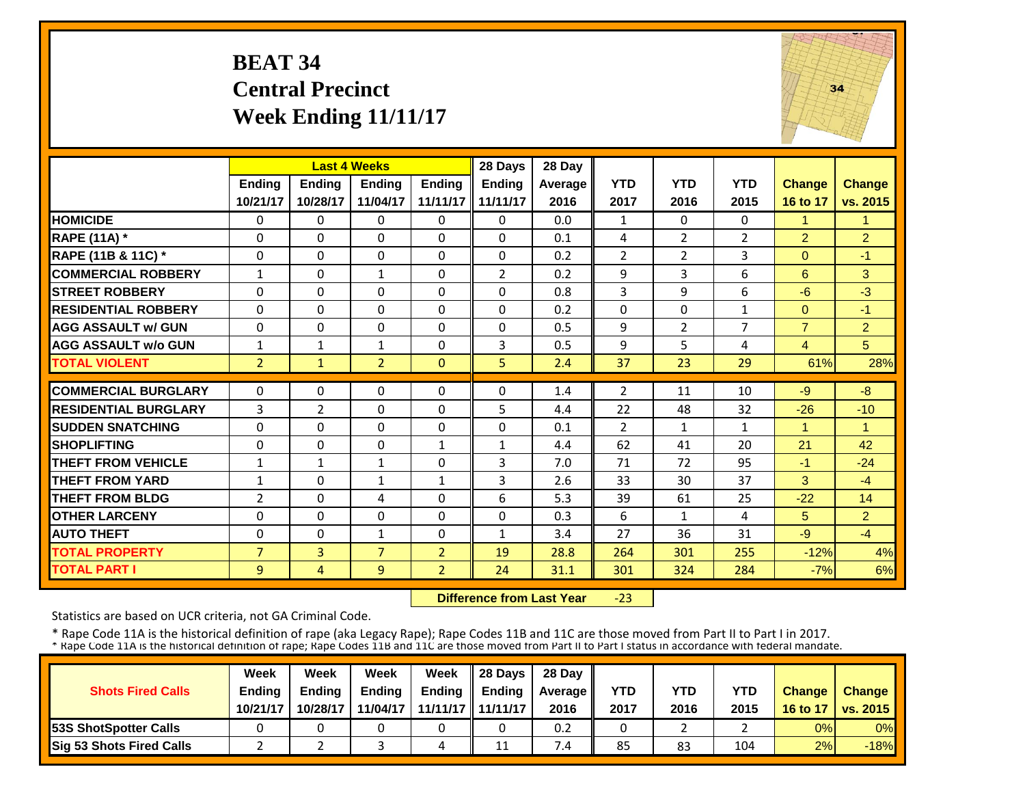# **BEAT 34 Central Precinct Week Ending 11/11/17**



|                             |                |                | <b>Last 4 Weeks</b> |                | 28 Days       | 28 Day  |                |                |                |                |                |
|-----------------------------|----------------|----------------|---------------------|----------------|---------------|---------|----------------|----------------|----------------|----------------|----------------|
|                             | Ending         | <b>Ending</b>  | <b>Ending</b>       | <b>Ending</b>  | <b>Ending</b> | Average | <b>YTD</b>     | <b>YTD</b>     | <b>YTD</b>     | <b>Change</b>  | <b>Change</b>  |
|                             | 10/21/17       | 10/28/17       | 11/04/17            | 11/11/17       | 11/11/17      | 2016    | 2017           | 2016           | 2015           | 16 to 17       | vs. 2015       |
| <b>HOMICIDE</b>             | $\Omega$       | $\Omega$       | $\mathbf{0}$        | $\Omega$       | $\Omega$      | 0.0     | $\mathbf{1}$   | $\Omega$       | $\Omega$       | $\mathbf{1}$   | $\mathbf{1}$   |
| <b>RAPE (11A) *</b>         | $\Omega$       | $\Omega$       | $\Omega$            | $\Omega$       | 0             | 0.1     | 4              | $\overline{2}$ | $\overline{2}$ | $\overline{2}$ | $\overline{2}$ |
| RAPE (11B & 11C) *          | 0              | $\Omega$       | $\Omega$            | 0              | $\Omega$      | 0.2     | $\overline{2}$ | $\overline{2}$ | 3              | $\Omega$       | $-1$           |
| <b>COMMERCIAL ROBBERY</b>   | $\mathbf{1}$   | $\Omega$       | $\mathbf{1}$        | $\Omega$       | 2             | 0.2     | 9              | 3              | 6              | 6              | 3              |
| <b>ISTREET ROBBERY</b>      | $\Omega$       | $\Omega$       | $\Omega$            | $\Omega$       | $\Omega$      | 0.8     | 3              | 9              | 6              | $-6$           | $-3$           |
| <b>RESIDENTIAL ROBBERY</b>  | $\Omega$       | $\Omega$       | $\Omega$            | $\Omega$       | $\Omega$      | 0.2     | $\Omega$       | $\Omega$       | $\mathbf{1}$   | $\Omega$       | $-1$           |
| <b>AGG ASSAULT w/ GUN</b>   | $\Omega$       | $\Omega$       | $\Omega$            | $\Omega$       | $\Omega$      | 0.5     | 9              | $\overline{2}$ | 7              | $\overline{7}$ | $\overline{2}$ |
| <b>AGG ASSAULT w/o GUN</b>  | $\mathbf{1}$   | $\mathbf{1}$   | $\mathbf{1}$        | $\Omega$       | 3             | 0.5     | 9              | 5              | 4              | $\overline{4}$ | 5              |
| <b>TOTAL VIOLENT</b>        | $\overline{2}$ | $\mathbf{1}$   | $\overline{2}$      | $\Omega$       | 5.            | 2.4     | 37             | 23             | 29             | 61%            | 28%            |
| <b>COMMERCIAL BURGLARY</b>  | $\Omega$       | $\Omega$       | $\Omega$            | $\Omega$       | $\Omega$      | 1.4     | $\overline{2}$ | 11             | 10             | $-9$           | $-8$           |
| <b>RESIDENTIAL BURGLARY</b> | 3              | $\overline{2}$ | $\Omega$            | $\Omega$       | 5             | 4.4     | 22             | 48             | 32             | $-26$          | $-10$          |
| <b>SUDDEN SNATCHING</b>     | $\Omega$       | $\Omega$       | $\Omega$            | $\Omega$       | $\Omega$      | 0.1     | $\overline{2}$ | $\mathbf{1}$   | 1              | $\mathbf{1}$   | $\mathbf{1}$   |
| <b>SHOPLIFTING</b>          | 0              | $\Omega$       | $\Omega$            | 1              | $\mathbf{1}$  | 4.4     | 62             | 41             | 20             | 21             | 42             |
| <b>THEFT FROM VEHICLE</b>   | $\mathbf{1}$   | $\mathbf{1}$   | $\mathbf{1}$        | $\Omega$       | 3             | 7.0     | 71             | 72             | 95             | $-1$           | $-24$          |
| <b>THEFT FROM YARD</b>      | $\mathbf{1}$   | $\Omega$       | $\mathbf{1}$        | $\mathbf{1}$   | 3             | 2.6     | 33             | 30             | 37             | 3              | $-4$           |
| <b>THEFT FROM BLDG</b>      | $\overline{2}$ | $\Omega$       | 4                   | 0              | 6             | 5.3     | 39             | 61             | 25             | $-22$          | 14             |
| <b>OTHER LARCENY</b>        | 0              | $\Omega$       | $\mathbf 0$         | 0              | $\Omega$      | 0.3     | 6              | $\mathbf{1}$   | 4              | 5              | $\overline{2}$ |
| <b>AUTO THEFT</b>           | 0              | $\Omega$       | $\mathbf{1}$        | $\Omega$       | $\mathbf{1}$  | 3.4     | 27             | 36             | 31             | $-9$           | $-4$           |
| <b>TOTAL PROPERTY</b>       | $\overline{7}$ | $\overline{3}$ | $\overline{7}$      | $\overline{2}$ | 19            | 28.8    | 264            | 301            | 255            | $-12%$         | 4%             |
| <b>TOTAL PART I</b>         | 9              | 4              | 9                   | $\overline{2}$ | 24            | 31.1    | 301            | 324            | 284            | $-7%$          | 6%             |
|                             |                |                |                     |                |               |         |                |                |                |                |                |

 **Difference from Last Year**‐23

Statistics are based on UCR criteria, not GA Criminal Code.

|                               | Week          | Week          | Week          | Week          | $\parallel$ 28 Davs | 28 Day    |      |      |            |               |                     |
|-------------------------------|---------------|---------------|---------------|---------------|---------------------|-----------|------|------|------------|---------------|---------------------|
| <b>Shots Fired Calls</b>      | <b>Ending</b> | <b>Ending</b> | <b>Ending</b> | <b>Ending</b> | <b>Ending</b>       | Average I | YTD  | YTD  | <b>YTD</b> | <b>Change</b> | <b>Change</b>       |
|                               | 10/21/17      | 10/28/17      | 11/04/17      |               | 11/11/17   11/11/17 | 2016      | 2017 | 2016 | 2015       |               | 16 to 17   vs. 2015 |
| <b>153S ShotSpotter Calls</b> |               |               |               |               |                     | 0.2       |      |      |            | 0%            | $0\%$               |
| Sig 53 Shots Fired Calls      |               |               |               | 4             | 11                  | 7.4       | 85   | 83   | 104        | 2%            | $-18%$              |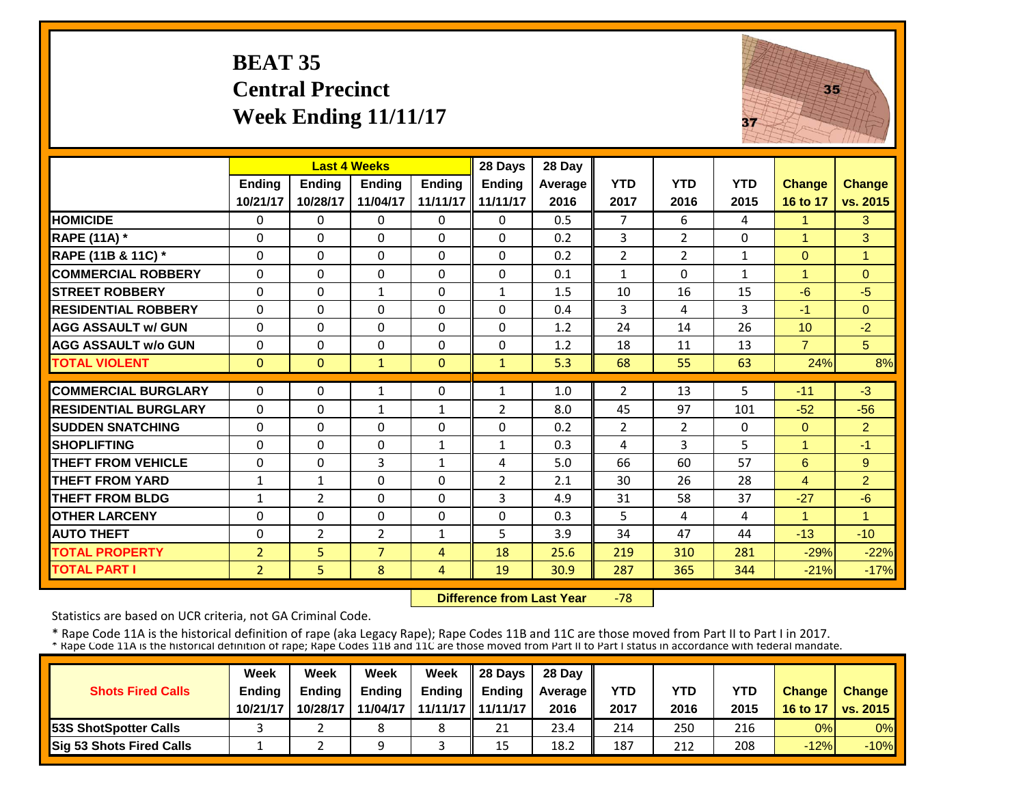## **BEAT 35 Central Precinct Week Ending 11/11/17**



|                             |                | <b>Last 4 Weeks</b> |                |               | 28 Days        | 28 Day  |                |                |              |                |                |
|-----------------------------|----------------|---------------------|----------------|---------------|----------------|---------|----------------|----------------|--------------|----------------|----------------|
|                             | <b>Ending</b>  | <b>Endina</b>       | <b>Endina</b>  | <b>Endina</b> | <b>Ending</b>  | Average | <b>YTD</b>     | <b>YTD</b>     | <b>YTD</b>   | <b>Change</b>  | <b>Change</b>  |
|                             | 10/21/17       | 10/28/17            | 11/04/17       | 11/11/17      | 11/11/17       | 2016    | 2017           | 2016           | 2015         | 16 to 17       | vs. 2015       |
| <b>HOMICIDE</b>             | $\Omega$       | $\Omega$            | $\Omega$       | $\mathbf{0}$  | 0              | 0.5     | $\overline{7}$ | 6              | 4            | 1              | 3              |
| <b>RAPE (11A) *</b>         | $\Omega$       | $\Omega$            | $\Omega$       | $\Omega$      | 0              | 0.2     | 3              | $\overline{2}$ | 0            | 1              | 3              |
| RAPE (11B & 11C) *          | $\mathbf{0}$   | $\Omega$            | $\Omega$       | $\Omega$      | 0              | 0.2     | $\overline{2}$ | $\overline{2}$ | $\mathbf{1}$ | $\Omega$       | $\mathbf{1}$   |
| <b>COMMERCIAL ROBBERY</b>   | $\Omega$       | $\Omega$            | $\Omega$       | $\Omega$      | $\Omega$       | 0.1     | $\mathbf{1}$   | $\Omega$       | $\mathbf{1}$ | 1              | $\Omega$       |
| <b>STREET ROBBERY</b>       | $\Omega$       | $\Omega$            | 1              | 0             | 1              | 1.5     | 10             | 16             | 15           | $-6$           | $-5$           |
| <b>RESIDENTIAL ROBBERY</b>  | $\Omega$       | $\Omega$            | $\Omega$       | 0             | 0              | 0.4     | 3              | 4              | 3            | $-1$           | $\Omega$       |
| <b>AGG ASSAULT w/ GUN</b>   | $\Omega$       | $\Omega$            | $\Omega$       | $\Omega$      | $\Omega$       | 1.2     | 24             | 14             | 26           | 10             | $-2$           |
| <b>AGG ASSAULT w/o GUN</b>  | 0              | $\Omega$            | $\Omega$       | $\Omega$      | 0              | 1.2     | 18             | 11             | 13           | $\overline{7}$ | 5              |
| <b>TOTAL VIOLENT</b>        | $\mathbf{0}$   | $\Omega$            | $\mathbf{1}$   | $\Omega$      | $\mathbf{1}$   | 5.3     | 68             | 55             | 63           | 24%            | 8%             |
| <b>COMMERCIAL BURGLARY</b>  | $\Omega$       | $\Omega$            | $\mathbf{1}$   | 0             | $\mathbf{1}$   | 1.0     | 2              | 13             | 5            | $-11$          | $-3$           |
| <b>RESIDENTIAL BURGLARY</b> | $\Omega$       | $\Omega$            | $\mathbf 1$    | $\mathbf{1}$  | $\overline{2}$ | 8.0     | 45             | 97             | 101          | $-52$          | $-56$          |
|                             |                |                     |                |               |                |         |                |                |              |                |                |
| <b>SUDDEN SNATCHING</b>     | 0              | $\Omega$            | 0              | $\Omega$      | 0              | 0.2     | $\overline{2}$ | $\overline{2}$ | 0            | $\Omega$<br>4  | 2 <sup>1</sup> |
| <b>SHOPLIFTING</b>          | 0              | $\Omega$            | $\Omega$       | 1             | $\mathbf{1}$   | 0.3     | 4              | 3              | 5            |                | $-1$           |
| <b>THEFT FROM VEHICLE</b>   | $\Omega$       | $\Omega$            | 3              | $\mathbf{1}$  | 4              | 5.0     | 66             | 60             | 57           | 6              | 9              |
| <b>THEFT FROM YARD</b>      | $\mathbf{1}$   | $\mathbf{1}$        | $\Omega$       | $\Omega$      | $\overline{2}$ | 2.1     | 30             | 26             | 28           | 4              | $\overline{2}$ |
| <b>THEFT FROM BLDG</b>      | 1              | $\overline{2}$      | $\Omega$       | 0             | 3              | 4.9     | 31             | 58             | 37           | $-27$          | $-6$           |
| <b>OTHER LARCENY</b>        | $\Omega$       | $\Omega$            | $\Omega$       | $\Omega$      | 0              | 0.3     | 5              | 4              | 4            | 1              | $\overline{1}$ |
| <b>AUTO THEFT</b>           | $\Omega$       | $\overline{2}$      | $\overline{2}$ | $\mathbf{1}$  | 5              | 3.9     | 34             | 47             | 44           | $-13$          | $-10$          |
| <b>TOTAL PROPERTY</b>       | $\overline{2}$ | 5                   | $\overline{7}$ | 4             | 18             | 25.6    | 219            | 310            | 281          | $-29%$         | $-22%$         |
| <b>TOTAL PART I</b>         | $\overline{2}$ | 5                   | 8              | 4             | 19             | 30.9    | 287            | 365            | 344          | $-21%$         | $-17%$         |

 **Difference from Last Year** $-78$ 

Statistics are based on UCR criteria, not GA Criminal Code.

|                               | Week          | Week          | Week          | Week          | $\parallel$ 28 Davs | 28 Day    |      |      |            |               |                     |
|-------------------------------|---------------|---------------|---------------|---------------|---------------------|-----------|------|------|------------|---------------|---------------------|
| <b>Shots Fired Calls</b>      | <b>Ending</b> | <b>Ending</b> | <b>Ending</b> | <b>Ending</b> | <b>Ending</b>       | Average I | YTD  | YTD  | <b>YTD</b> | <b>Change</b> | <b>Change</b>       |
|                               | 10/21/17      | 10/28/17      | 11/04/17      |               | 11/11/17   11/11/17 | 2016      | 2017 | 2016 | 2015       |               | 16 to 17   vs. 2015 |
| <b>153S ShotSpotter Calls</b> |               |               |               |               | 21                  | 23.4      | 214  | 250  | 216        | 0%            | $0\%$               |
| Sig 53 Shots Fired Calls      |               |               | ۵             |               | 15                  | 18.2      | 187  | 212  | 208        | $-12%$        | $-10%$              |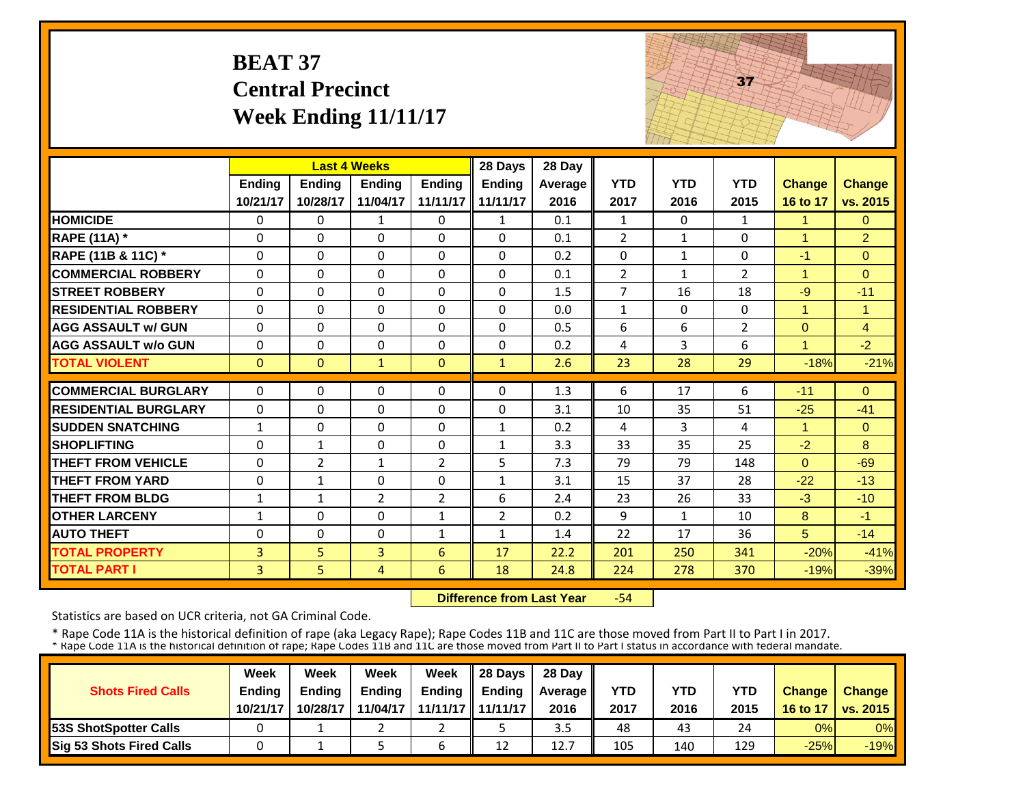|                             | <b>BEAT 37</b>     | <b>Central Precinct</b><br>Week Ending 11/11/17 |                     |                           |                    |                 |                    |                    | 37                 |                           |                           |
|-----------------------------|--------------------|-------------------------------------------------|---------------------|---------------------------|--------------------|-----------------|--------------------|--------------------|--------------------|---------------------------|---------------------------|
|                             |                    |                                                 | <b>Last 4 Weeks</b> |                           | 28 Days            | 28 Day          |                    |                    |                    |                           |                           |
|                             | Ending<br>10/21/17 | Ending<br>10/28/17                              | Ending<br>11/04/17  | <b>Ending</b><br>11/11/17 | Ending<br>11/11/17 | Average<br>2016 | <b>YTD</b><br>2017 | <b>YTD</b><br>2016 | <b>YTD</b><br>2015 | <b>Change</b><br>16 to 17 | <b>Change</b><br>vs. 2015 |
| <b>HOMICIDE</b>             | $\Omega$           | $\Omega$                                        | $\mathbf{1}$        | 0                         | 1                  | 0.1             | 1                  | $\Omega$           | $\mathbf{1}$       | 1                         | $\Omega$                  |
| <b>RAPE (11A)</b> *         | $\Omega$           | $\Omega$                                        | $\Omega$            | 0                         | $\Omega$           | 0.1             | $\overline{2}$     | $\mathbf{1}$       | $\Omega$           | $\mathbf{1}$              | $\overline{2}$            |
| RAPE (11B & 11C) *          | 0                  | $\Omega$                                        | 0                   | $\Omega$                  | $\Omega$           | 0.2             | $\mathbf{0}$       | $\mathbf{1}$       | $\Omega$           | $-1$                      | $\Omega$                  |
| <b>COMMERCIAL ROBBERY</b>   | $\Omega$           | $\Omega$                                        | $\Omega$            | $\Omega$                  | $\Omega$           | 0.1             | $\overline{2}$     | $\mathbf{1}$       | $\overline{2}$     | $\mathbf{1}$              | $\Omega$                  |
| <b>STREET ROBBERY</b>       | $\Omega$           | $\mathbf 0$                                     | 0                   | $\Omega$                  | $\Omega$           | 1.5             | $\overline{7}$     | 16                 | 18                 | $-9$                      | $-11$                     |
| <b>RESIDENTIAL ROBBERY</b>  | $\Omega$           | $\Omega$                                        | $\Omega$            | 0                         | $\Omega$           | 0.0             | $\mathbf{1}$       | $\Omega$           | 0                  | $\overline{1}$            | $\overline{1}$            |
| <b>AGG ASSAULT w/ GUN</b>   | $\mathbf 0$        | 0                                               | 0                   | 0                         | 0                  | 0.5             | 6                  | 6                  | $\overline{2}$     | $\pmb{0}$                 | $\overline{4}$            |
| <b>AGG ASSAULT w/o GUN</b>  | 0                  | 0                                               | 0                   | $\Omega$                  | 0                  | 0.2             | 4                  | 3                  | 6                  | $\blacktriangleleft$      | $-2$                      |
| <b>TOTAL VIOLENT</b>        | $\mathbf{0}$       | $\Omega$                                        | $\mathbf{1}$        | $\Omega$                  | $\mathbf{1}$       | 2.6             | 23                 | 28                 | 29                 | $-18%$                    | $-21%$                    |
| <b>COMMERCIAL BURGLARY</b>  | $\Omega$           | $\Omega$                                        | $\Omega$            | $\Omega$                  | 0                  | 1.3             | 6                  | 17                 | 6                  | $-11$                     | $\Omega$                  |
| <b>RESIDENTIAL BURGLARY</b> | $\Omega$           | $\Omega$                                        | $\Omega$            | $\Omega$                  | $\Omega$           | 3.1             | 10                 | 35                 | 51                 | $-25$                     | $-41$                     |
| <b>SUDDEN SNATCHING</b>     | $\mathbf{1}$       | 0                                               | $\mathbf 0$         | 0                         | $\mathbf{1}$       | 0.2             | 4                  | 3                  | 4                  | $\mathbf{1}$              | $\overline{0}$            |
| <b>SHOPLIFTING</b>          | $\mathbf 0$        | $\mathbf 1$                                     | $\mathbf 0$         | 0                         | $\mathbf{1}$       | 3.3             | 33                 | 35                 | 25                 | $-2$                      | 8                         |
| THEFT FROM VEHICLE          | $\mathbf 0$        | $\overline{2}$                                  | $\mathbf{1}$        | $\overline{2}$            | 5                  | 7.3             | 79                 | 79                 | 148                | $\Omega$                  | $-69$                     |
| <b>THEFT FROM YARD</b>      | $\mathbf 0$        | $\mathbf{1}$                                    | 0                   | 0                         | $\mathbf{1}$       | 3.1             | 15                 | 37                 | 28                 | $-22$                     | $-13$                     |
| <b>THEFT FROM BLDG</b>      | $\mathbf{1}$       | $\mathbf{1}$                                    | $\overline{2}$      | $\overline{2}$            | 6                  | 2.4             | 23                 | 26                 | 33                 | $-3$                      | $-10$                     |
| <b>OTHER LARCENY</b>        | $\mathbf{1}$       | 0                                               | 0                   | $\mathbf{1}$              | $\overline{2}$     | 0.2             | 9                  | $\mathbf{1}$       | 10                 | 8                         | $-1$                      |
| <b>AUTO THEFT</b>           | $\mathbf 0$        | $\Omega$                                        | $\Omega$            | $\mathbf{1}$              | $\mathbf{1}$       | 1.4             | 22                 | 17                 | 36                 | 5 <sup>5</sup>            | $-14$                     |
| <b>TOTAL PROPERTY</b>       | 3                  | 5                                               | 3                   | 6                         | 17                 | 22.2            | 201                | 250                | 341                | $-20%$                    | $-41%$                    |
| <b>TOTAL PART I</b>         | 3                  | 5                                               | 4                   | 6                         | 18                 | 24.8            | 224                | 278                | 370                | $-19%$                    | $-39%$                    |

 **Difference from Last Year**‐54 THE REAL PROPERTY.

Statistics are based on UCR criteria, not GA Criminal Code.

|                              | Week          | Week     | Week          | Week          | 28 Days       | 28 Day  |      |      |            |               |                          |
|------------------------------|---------------|----------|---------------|---------------|---------------|---------|------|------|------------|---------------|--------------------------|
| <b>Shots Fired Calls</b>     | <b>Ending</b> | Ending   | <b>Ending</b> | <b>Ending</b> | <b>Endina</b> | Average | YTD  | YTD  | <b>YTD</b> | <b>Change</b> | <b>Change</b>            |
|                              | 10/21/17      | 10/28/17 | 11/04/17      | 11/11/17 $\ $ | 11/11/17      | 2016    | 2017 | 2016 | 2015       | 16 to 17      | $\vert$ vs. 2015 $\vert$ |
| <b>53S ShotSpotter Calls</b> |               |          |               |               |               |         | 48   | 43   | 24         | 0%            | $0\%$                    |
| Sig 53 Shots Fired Calls     |               |          |               |               | 12            | 12.7    | 105  | 140  | 129        | $-25%$        | $-19%$                   |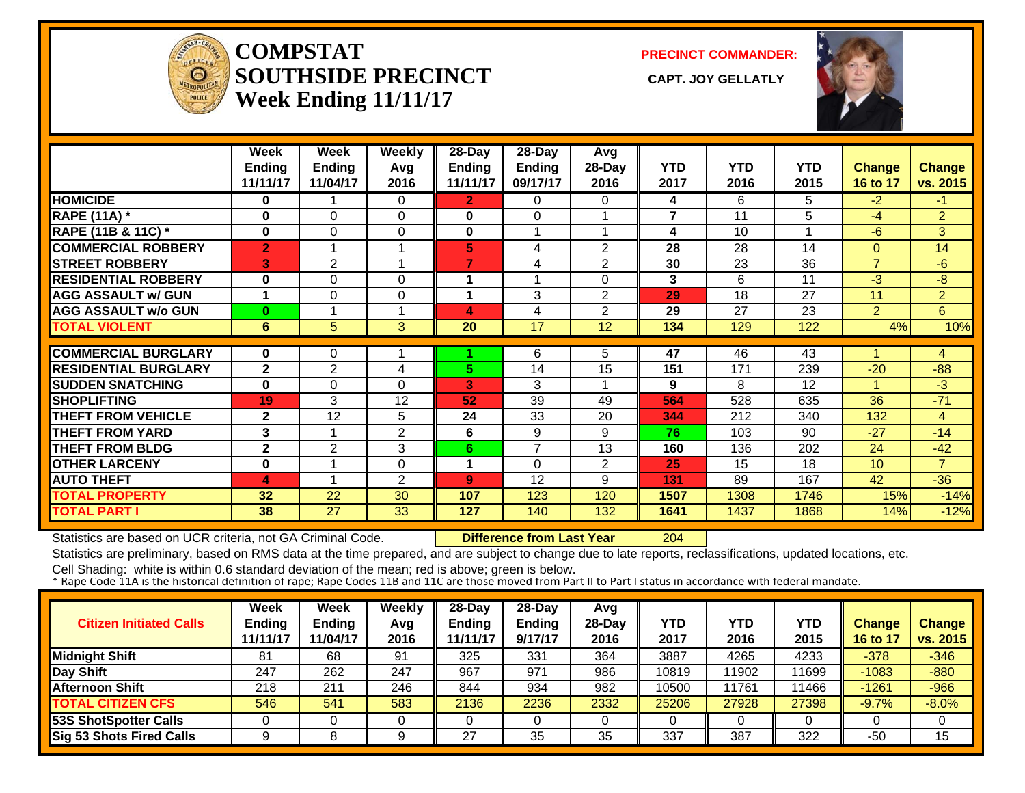

#### **COMPSTATSOUTHSIDE PRECINCT** CAPT. JOY GELLATLY **Week Ending 11/11/17**

**PRECINCT COMMANDER:**



|                             | Week                    | Week           | <b>Weekly</b>  | 28-Day         | 28-Day   | Avg            |                |            |            |                 |                |
|-----------------------------|-------------------------|----------------|----------------|----------------|----------|----------------|----------------|------------|------------|-----------------|----------------|
|                             | <b>Ending</b>           | Ending         | Avg            | <b>Ending</b>  | Ending   | 28-Day         | <b>YTD</b>     | <b>YTD</b> | <b>YTD</b> | Change          | <b>Change</b>  |
|                             | 11/11/17                | 11/04/17       | 2016           | 11/11/17       | 09/17/17 | 2016           | 2017           | 2016       | 2015       | 16 to 17        | vs. 2015       |
| <b>HOMICIDE</b>             | 0                       |                | 0              | $\mathbf{2}$   | 0        | 0              | 4              | 6          | 5          | $-2$            | $-1$           |
| <b>RAPE (11A) *</b>         | 0                       | 0              | $\Omega$       | 0              | $\Omega$ |                | $\overline{7}$ | 11         | 5          | $-4$            | $\overline{2}$ |
| RAPE (11B & 11C) *          | 0                       | 0              | $\Omega$       | $\bf{0}$       |          |                | 4              | 10         |            | $-6$            | 3              |
| <b>COMMERCIAL ROBBERY</b>   | $\overline{2}$          |                | 1              | 5              | 4        | 2              | 28             | 28         | 14         | $\Omega$        | 14             |
| <b>STREET ROBBERY</b>       | 3                       | $\overline{2}$ | 1              | $\overline{ }$ | 4        | $\overline{2}$ | 30             | 23         | 36         | $\overline{7}$  | $-6$           |
| <b>RESIDENTIAL ROBBERY</b>  | 0                       | 0              | $\Omega$       |                |          | $\Omega$       | 3              | 6          | 11         | $-3$            | $-8$           |
| <b>AGG ASSAULT w/ GUN</b>   | 1                       | 0              | 0              |                | 3        | $\overline{2}$ | 29             | 18         | 27         | 11              | $\overline{2}$ |
| <b>AGG ASSAULT w/o GUN</b>  | $\bf{0}$                | 4              | 1              | 4              | 4        | $\overline{2}$ | 29             | 27         | 23         | $\overline{2}$  | $6^{\circ}$    |
| <b>TOTAL VIOLENT</b>        | 6                       | 5              | 3              | 20             | 17       | 12             | 134            | 129        | 122        | 4%              | 10%            |
|                             |                         |                |                |                |          |                |                |            |            |                 |                |
| <b>COMMERCIAL BURGLARY</b>  | $\bf{0}$                | 0              |                |                | 6        | 5              | 47             | 46         | 43         |                 | 4              |
| <b>RESIDENTIAL BURGLARY</b> | $\overline{\mathbf{2}}$ | $\overline{2}$ | 4              | 5.             | 14       | 15             | 151            | 171        | 239        | $-20$           | $-88$          |
| <b>SUDDEN SNATCHING</b>     | 0                       | 0              | $\Omega$       | 3              | 3        |                | 9              | 8          | 12         |                 | $-3$           |
| <b>SHOPLIFTING</b>          | 19                      | 3              | 12             | 52             | 39       | 49             | 564            | 528        | 635        | 36              | $-71$          |
| <b>THEFT FROM VEHICLE</b>   | $\mathbf{2}$            | 12             | 5              | 24             | 33       | 20             | 344            | 212        | 340        | 132             | $\overline{4}$ |
| <b>THEFT FROM YARD</b>      | 3                       |                | 2              | 6              | 9        | 9              | 76             | 103        | 90         | $-27$           | $-14$          |
| <b>THEFT FROM BLDG</b>      | $\mathbf{2}$            | 2              | 3              | 6              | 7        | 13             | 160            | 136        | 202        | 24              | $-42$          |
| <b>OTHER LARCENY</b>        | 0                       | 1              | 0              |                | $\Omega$ | $\overline{2}$ | 25             | 15         | 18         | 10 <sup>°</sup> | $\overline{7}$ |
| <b>AUTO THEFT</b>           | 4                       |                | $\overline{2}$ | 9              | 12       | 9              | 131            | 89         | 167        | 42              | $-36$          |
| <b>TOTAL PROPERTY</b>       | 32                      | 22             | 30             | 107            | 123      | 120            | 1507           | 1308       | 1746       | 15%             | $-14%$         |
| <b>TOTAL PART I</b>         | 38                      | 27             | 33             | 127            | 140      | 132            | 1641           | 1437       | 1868       | 14%             | $-12%$         |

Statistics are based on UCR criteria, not GA Criminal Code. **Difference from Last Year** 204

Statistics are preliminary, based on RMS data at the time prepared, and are subject to change due to late reports, reclassifications, updated locations, etc.

| <b>Citizen Initiated Calls</b>  | Week<br><b>Ending</b><br>11/11/17 | Week<br><b>Ending</b><br>11/04/17 | Weekly<br>Avg<br>2016 | $28$ -Day<br>Ending<br>11/11/17 | $28$ -Dav<br><b>Ending</b><br>9/17/17 | Avg<br>$28-Day$<br>2016 | YTD<br>2017 | YTD<br>2016 | YTD<br>2015 | <b>Change</b><br>16 to 17 | <b>Change</b><br>vs. 2015 |
|---------------------------------|-----------------------------------|-----------------------------------|-----------------------|---------------------------------|---------------------------------------|-------------------------|-------------|-------------|-------------|---------------------------|---------------------------|
| <b>Midnight Shift</b>           | 81                                | 68                                | 91                    | 325                             | 331                                   | 364                     | 3887        | 4265        | 4233        | $-378$                    | $-346$                    |
| Day Shift                       | 247                               | 262                               | 247                   | 967                             | 971                                   | 986                     | 10819       | 11902       | 11699       | $-1083$                   | $-880$                    |
| <b>Afternoon Shift</b>          | 218                               | 211                               | 246                   | 844                             | 934                                   | 982                     | 10500       | 11761       | 11466       | $-1261$                   | $-966$                    |
| <b>TOTAL CITIZEN CFS</b>        | 546                               | 541                               | 583                   | 2136                            | 2236                                  | 2332                    | 25206       | 27928       | 27398       | $-9.7%$                   | $-8.0%$                   |
| 53S ShotSpotter Calls           |                                   |                                   |                       |                                 |                                       |                         |             |             |             |                           | 0                         |
| <b>Sig 53 Shots Fired Calls</b> | 9                                 |                                   |                       | 27                              | 35                                    | 35                      | 337         | 387         | 322         | $-50$                     | 15                        |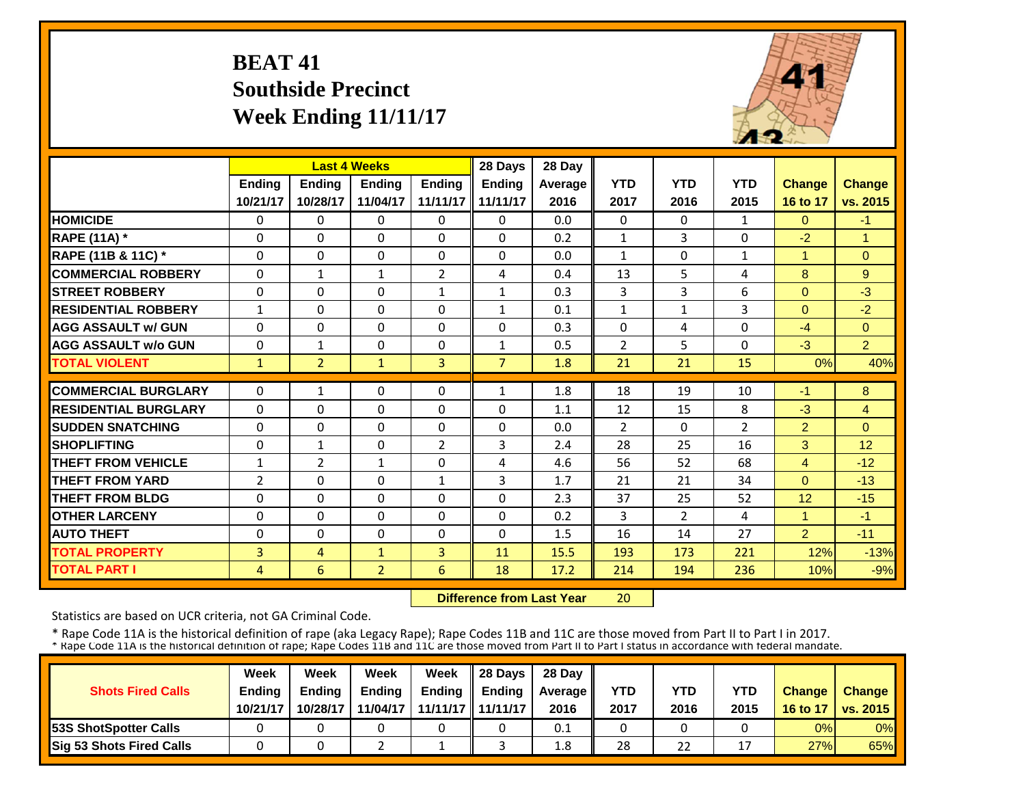## **BEAT 41 Southside Precinct Week Ending 11/11/17**



|                             |                | <b>Last 4 Weeks</b> |                |                | 28 Days        | 28 Day         |                |                |                |                |                |
|-----------------------------|----------------|---------------------|----------------|----------------|----------------|----------------|----------------|----------------|----------------|----------------|----------------|
|                             | <b>Ending</b>  | <b>Endina</b>       | <b>Endina</b>  | <b>Endina</b>  | <b>Ending</b>  | <b>Average</b> | <b>YTD</b>     | <b>YTD</b>     | <b>YTD</b>     | <b>Change</b>  | <b>Change</b>  |
|                             | 10/21/17       | 10/28/17            | 11/04/17       | 11/11/17       | 11/11/17       | 2016           | 2017           | 2016           | 2015           | 16 to 17       | vs. 2015       |
| <b>HOMICIDE</b>             | $\Omega$       | $\Omega$            | $\Omega$       | $\Omega$       | 0              | 0.0            | $\Omega$       | $\Omega$       | $\mathbf{1}$   | $\Omega$       | $-1$           |
| <b>RAPE (11A)</b> *         | $\Omega$       | $\Omega$            | $\Omega$       | $\Omega$       | $\Omega$       | 0.2            | $\mathbf{1}$   | 3              | 0              | $-2$           | $\overline{1}$ |
| RAPE (11B & 11C) *          | $\mathbf 0$    | $\Omega$            | $\mathbf{0}$   | 0              | $\Omega$       | 0.0            | $\mathbf{1}$   | $\Omega$       | $\mathbf{1}$   | 1              | $\mathbf{0}$   |
| <b>COMMERCIAL ROBBERY</b>   | $\Omega$       | $\mathbf{1}$        | $\mathbf{1}$   | $\overline{2}$ | 4              | 0.4            | 13             | 5              | 4              | 8              | 9              |
| <b>ISTREET ROBBERY</b>      | $\Omega$       | $\Omega$            | $\Omega$       | $\mathbf{1}$   | $\mathbf{1}$   | 0.3            | $\overline{3}$ | 3              | 6              | $\Omega$       | $-3$           |
| <b>RESIDENTIAL ROBBERY</b>  | $\mathbf{1}$   | $\Omega$            | $\Omega$       | $\Omega$       | $\mathbf{1}$   | 0.1            | $\mathbf{1}$   | $\mathbf{1}$   | 3              | $\Omega$       | $-2$           |
| <b>AGG ASSAULT w/ GUN</b>   | $\Omega$       | $\Omega$            | $\Omega$       | $\Omega$       | 0              | 0.3            | $\Omega$       | 4              | 0              | $-4$           | $\Omega$       |
| <b>AGG ASSAULT w/o GUN</b>  | $\Omega$       | $\mathbf{1}$        | $\Omega$       | $\Omega$       | $\mathbf{1}$   | 0.5            | $\overline{2}$ | 5              | 0              | $-3$           | $\overline{2}$ |
| <b>TOTAL VIOLENT</b>        | $\mathbf{1}$   | $\overline{2}$      | $\mathbf{1}$   | 3              | $\overline{7}$ | 1.8            | 21             | 21             | 15             | 0%             | 40%            |
| <b>COMMERCIAL BURGLARY</b>  | $\Omega$       | $\mathbf{1}$        | $\Omega$       | $\Omega$       | 1              | 1.8            | 18             | 19             | 10             | $-1$           | 8              |
| <b>RESIDENTIAL BURGLARY</b> | $\Omega$       | $\Omega$            | $\Omega$       | $\Omega$       | $\Omega$       | 1.1            | 12             | 15             | 8              | $-3$           | 4              |
| <b>ISUDDEN SNATCHING</b>    | $\Omega$       | 0                   | $\Omega$       | 0              | $\Omega$       | 0.0            | $\overline{2}$ | $\Omega$       | $\overline{2}$ | $\overline{2}$ | $\Omega$       |
| <b>SHOPLIFTING</b>          | $\Omega$       | $\mathbf{1}$        | $\Omega$       | $\overline{2}$ | 3              | 2.4            | 28             | 25             | 16             | 3              | 12             |
| <b>THEFT FROM VEHICLE</b>   | $\mathbf{1}$   | $\overline{2}$      | 1              | $\Omega$       | 4              | 4.6            | 56             | 52             | 68             | 4              | $-12$          |
| <b>THEFT FROM YARD</b>      | $\overline{2}$ | $\Omega$            | $\Omega$       | 1              | 3              | 1.7            | 21             | 21             | 34             | $\Omega$       | $-13$          |
| <b>THEFT FROM BLDG</b>      | $\Omega$       | 0                   | $\Omega$       | 0              | $\Omega$       | 2.3            | 37             | 25             | 52             | 12             | $-15$          |
| <b>OTHER LARCENY</b>        | $\Omega$       | $\Omega$            | $\Omega$       | $\Omega$       | $\Omega$       | 0.2            | 3              | $\overline{2}$ | 4              | 1              | $-1$           |
| <b>AUTO THEFT</b>           | $\Omega$       | $\Omega$            | $\Omega$       | $\Omega$       | $\Omega$       | 1.5            | 16             | 14             | 27             | $\overline{2}$ | $-11$          |
| <b>TOTAL PROPERTY</b>       | 3              | $\overline{4}$      | $\mathbf{1}$   | 3              | 11             | 15.5           | 193            | 173            | 221            | 12%            | $-13%$         |
| <b>TOTAL PART I</b>         | 4              | 6                   | $\overline{2}$ | 6              | 18             | 17.2           | 214            | 194            | 236            | 10%            | $-9%$          |

 **Difference from Last Year**20

Statistics are based on UCR criteria, not GA Criminal Code.

|                               | Week          | Week          | Week          | Week          | $\parallel$ 28 Davs | 28 Day    |      |      |            |               |                     |
|-------------------------------|---------------|---------------|---------------|---------------|---------------------|-----------|------|------|------------|---------------|---------------------|
| <b>Shots Fired Calls</b>      | <b>Ending</b> | <b>Ending</b> | <b>Ending</b> | <b>Ending</b> | <b>Ending</b>       | Average I | YTD  | YTD  | <b>YTD</b> | <b>Change</b> | <b>Change</b>       |
|                               | 10/21/17      | 10/28/17      | 11/04/17      |               | 11/11/17   11/11/17 | 2016      | 2017 | 2016 | 2015       |               | 16 to 17   vs. 2015 |
| <b>153S ShotSpotter Calls</b> |               |               |               |               |                     | 0.1       |      |      |            | 0%            | $0\%$               |
| Sig 53 Shots Fired Calls      |               |               |               |               |                     | 1.8       | 28   | 22   |            | 27%           | 65%                 |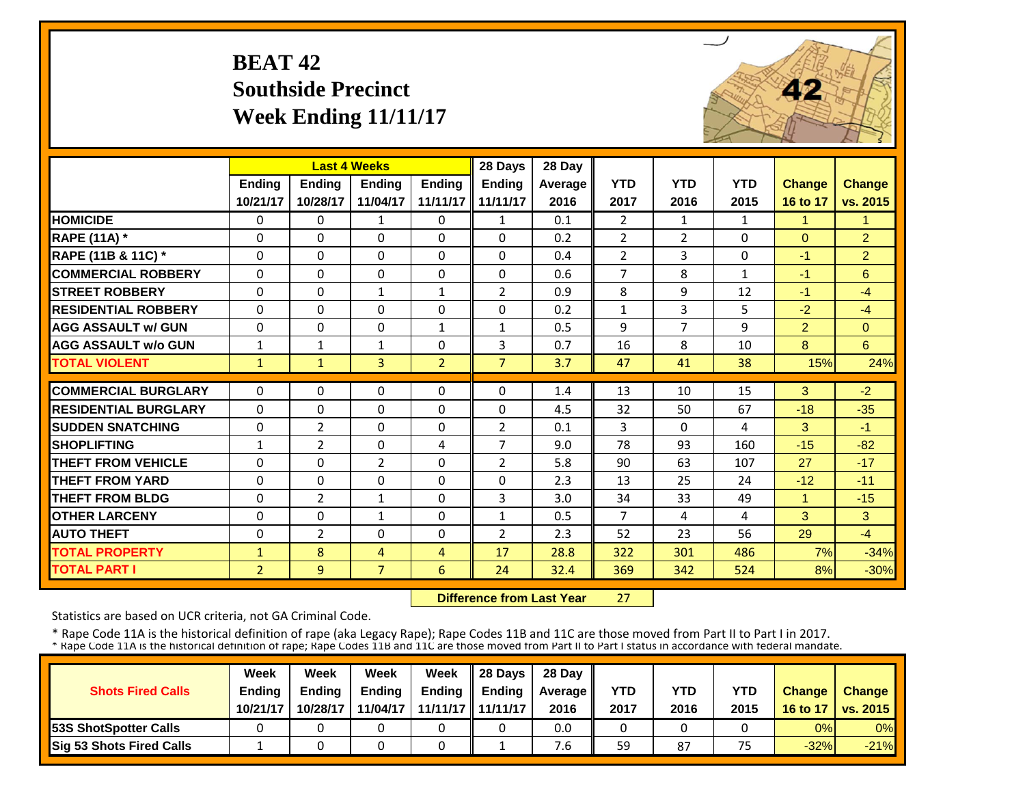# **BEAT 42 Southside Precinct Week Ending 11/11/17**



|                             |                | <b>Last 4 Weeks</b> |                |                | 28 Days        | 28 Day  |                |                |              |                |                |
|-----------------------------|----------------|---------------------|----------------|----------------|----------------|---------|----------------|----------------|--------------|----------------|----------------|
|                             | <b>Ending</b>  | <b>Ending</b>       | <b>Endina</b>  | <b>Ending</b>  | <b>Ending</b>  | Average | <b>YTD</b>     | <b>YTD</b>     | <b>YTD</b>   | <b>Change</b>  | <b>Change</b>  |
|                             | 10/21/17       | 10/28/17            | 11/04/17       | 11/11/17       | 11/11/17       | 2016    | 2017           | 2016           | 2015         | 16 to 17       | vs. 2015       |
| <b>HOMICIDE</b>             | $\Omega$       | $\Omega$            | $\mathbf{1}$   | $\Omega$       | $\mathbf{1}$   | 0.1     | $\overline{2}$ | $\mathbf{1}$   | $\mathbf{1}$ | 1.             | $\mathbf{1}$   |
| <b>RAPE (11A) *</b>         | $\Omega$       | $\Omega$            | $\Omega$       | 0              | $\Omega$       | 0.2     | $\overline{2}$ | $\overline{2}$ | 0            | $\Omega$       | $\overline{2}$ |
| RAPE (11B & 11C) *          | 0              | $\Omega$            | $\Omega$       | $\Omega$       | $\Omega$       | 0.4     | $\overline{2}$ | 3              | 0            | $-1$           | $\overline{2}$ |
| <b>COMMERCIAL ROBBERY</b>   | $\Omega$       | $\Omega$            | $\Omega$       | $\Omega$       | $\Omega$       | 0.6     | $\overline{7}$ | 8              | $\mathbf{1}$ | $-1$           | 6              |
| <b>STREET ROBBERY</b>       | 0              | $\Omega$            | $\mathbf{1}$   | 1              | $\overline{2}$ | 0.9     | 8              | 9              | 12           | $-1$           | $-4$           |
| <b>RESIDENTIAL ROBBERY</b>  | $\Omega$       | $\Omega$            | $\Omega$       | $\Omega$       | $\Omega$       | 0.2     | $\mathbf{1}$   | 3              | 5            | $-2$           | $-4$           |
| <b>AGG ASSAULT w/ GUN</b>   | $\Omega$       | $\mathbf{0}$        | $\Omega$       | $\mathbf{1}$   | 1              | 0.5     | 9              | $\overline{7}$ | 9            | $\overline{2}$ | $\Omega$       |
| <b>AGG ASSAULT w/o GUN</b>  | $\mathbf{1}$   | $\mathbf{1}$        | $\mathbf{1}$   | $\Omega$       | 3              | 0.7     | 16             | 8              | 10           | 8              | 6              |
| <b>TOTAL VIOLENT</b>        | $\mathbf{1}$   | $\mathbf{1}$        | $\overline{3}$ | $\overline{2}$ | $\overline{7}$ | 3.7     | 47             | 41             | 38           | 15%            | 24%            |
| <b>COMMERCIAL BURGLARY</b>  | $\Omega$       | $\Omega$            | $\Omega$       | $\Omega$       | $\Omega$       | 1.4     | 13             | 10             | 15           | 3              | $-2$           |
| <b>RESIDENTIAL BURGLARY</b> | $\Omega$       | $\Omega$            | $\Omega$       | $\Omega$       | $\Omega$       |         |                | 50             | 67           | $-18$          |                |
|                             |                |                     |                |                |                | 4.5     | 32             |                |              |                | $-35$          |
| <b>SUDDEN SNATCHING</b>     | $\Omega$       | 2                   | $\Omega$       | $\Omega$       | $\overline{2}$ | 0.1     | 3              | $\Omega$       | 4            | 3              | $-1$           |
| <b>SHOPLIFTING</b>          | $\mathbf{1}$   | $\overline{2}$      | $\Omega$       | 4              | $\overline{7}$ | 9.0     | 78             | 93             | 160          | $-15$          | $-82$          |
| <b>THEFT FROM VEHICLE</b>   | 0              | $\Omega$            | $\overline{2}$ | $\Omega$       | $\overline{2}$ | 5.8     | 90             | 63             | 107          | 27             | $-17$          |
| <b>THEFT FROM YARD</b>      | $\Omega$       | $\Omega$            | 0              | $\Omega$       | 0              | 2.3     | 13             | 25             | 24           | $-12$          | $-11$          |
| <b>THEFT FROM BLDG</b>      | 0              | 2                   | $\mathbf{1}$   | 0              | 3              | 3.0     | 34             | 33             | 49           | 1              | $-15$          |
| <b>OTHER LARCENY</b>        | $\Omega$       | $\Omega$            | $\mathbf{1}$   | 0              | $\mathbf{1}$   | 0.5     | $\overline{7}$ | 4              | 4            | 3              | 3              |
| <b>AUTO THEFT</b>           | $\Omega$       | $\overline{2}$      | $\Omega$       | 0              | $\overline{2}$ | 2.3     | 52             | 23             | 56           | 29             | $-4$           |
| <b>TOTAL PROPERTY</b>       | $\mathbf{1}$   | 8                   | 4              | 4              | 17             | 28.8    | 322            | 301            | 486          | 7%             | $-34%$         |
| <b>TOTAL PART I</b>         | 2 <sup>1</sup> | 9                   | $\overline{7}$ | 6              | 24             | 32.4    | 369            | 342            | 524          | 8%             | $-30%$         |

 **Difference from Last Year**27

Statistics are based on UCR criteria, not GA Criminal Code.

|                               | Week          | Week          | Week          | Week          | $\parallel$ 28 Davs | 28 Day    |      |      |                                 |               |                     |
|-------------------------------|---------------|---------------|---------------|---------------|---------------------|-----------|------|------|---------------------------------|---------------|---------------------|
| <b>Shots Fired Calls</b>      | <b>Ending</b> | <b>Ending</b> | <b>Ending</b> | <b>Ending</b> | <b>Ending</b>       | Average I | YTD  | YTD  | <b>YTD</b>                      | <b>Change</b> | <b>Change</b>       |
|                               | 10/21/17      | 10/28/17      | 11/04/17      |               | 11/11/17   11/11/17 | 2016      | 2017 | 2016 | 2015                            |               | 16 to 17   vs. 2015 |
| <b>153S ShotSpotter Calls</b> |               |               |               |               |                     | 0.0       |      |      |                                 | 0%            | $0\%$               |
| Sig 53 Shots Fired Calls      |               |               |               |               |                     | ՛.6       | 59   | 87   | $\overline{\phantom{a}}$<br>כ / | $-32%$        | $-21%$              |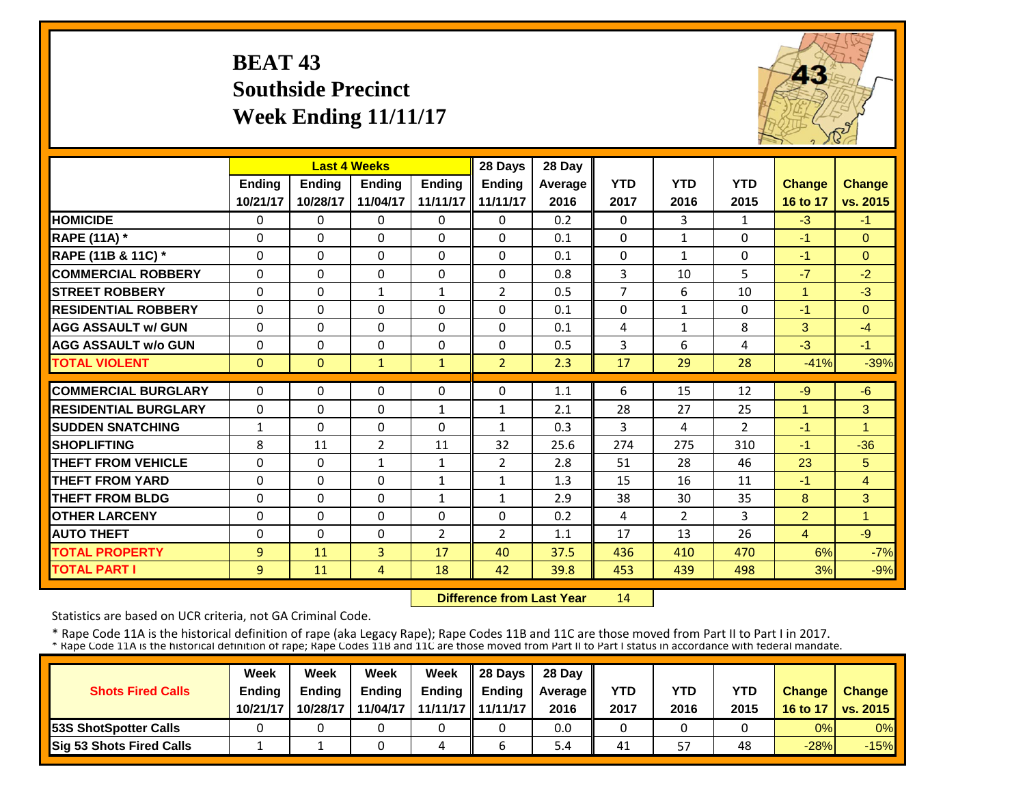## **BEAT 43 Southside Precinct Week Ending 11/11/17**



|                             |               |              | <b>Last 4 Weeks</b> |               | 28 Days        | 28 Day  |                |                |                |                |                      |
|-----------------------------|---------------|--------------|---------------------|---------------|----------------|---------|----------------|----------------|----------------|----------------|----------------------|
|                             | <b>Ending</b> | Ending       | <b>Ending</b>       | <b>Ending</b> | <b>Ending</b>  | Average | <b>YTD</b>     | <b>YTD</b>     | <b>YTD</b>     | <b>Change</b>  | <b>Change</b>        |
|                             | 10/21/17      | 10/28/17     | 11/04/17            | 11/11/17      | 11/11/17       | 2016    | 2017           | 2016           | 2015           | 16 to 17       | vs. 2015             |
| <b>HOMICIDE</b>             | $\Omega$      | $\Omega$     | 0                   | $\Omega$      | 0              | 0.2     | $\Omega$       | 3              | $\mathbf{1}$   | $-3$           | $-1$                 |
| <b>RAPE (11A)</b> *         | $\Omega$      | $\Omega$     | $\Omega$            | $\Omega$      | 0              | 0.1     | $\Omega$       | $\mathbf{1}$   | 0              | $-1$           | $\Omega$             |
| RAPE (11B & 11C) *          | $\mathbf 0$   | $\Omega$     | $\Omega$            | $\Omega$      | 0              | 0.1     | $\Omega$       | $\mathbf{1}$   | 0              | $-1$           | $\Omega$             |
| <b>COMMERCIAL ROBBERY</b>   | $\Omega$      | $\Omega$     | $\Omega$            | $\Omega$      | $\Omega$       | 0.8     | $\overline{3}$ | 10             | 5              | $-7$           | $-2$                 |
| <b>STREET ROBBERY</b>       | $\Omega$      | $\Omega$     | 1                   | $\mathbf{1}$  | $\overline{2}$ | 0.5     | $\overline{7}$ | 6              | 10             | $\mathbf{1}$   | $-3$                 |
| <b>RESIDENTIAL ROBBERY</b>  | $\Omega$      | $\Omega$     | $\Omega$            | 0             | 0              | 0.1     | $\Omega$       | $\mathbf{1}$   | 0              | $-1$           | $\Omega$             |
| <b>AGG ASSAULT w/ GUN</b>   | $\Omega$      | $\Omega$     | $\Omega$            | 0             | 0              | 0.1     | 4              | $\mathbf{1}$   | 8              | 3              | $-4$                 |
| <b>AGG ASSAULT w/o GUN</b>  | 0             | $\Omega$     | 0                   | $\Omega$      | 0              | 0.5     | 3              | 6              | 4              | $-3$           | $-1$                 |
| <b>TOTAL VIOLENT</b>        | $\mathbf{0}$  | $\mathbf{0}$ | $\mathbf{1}$        | $\mathbf{1}$  | $\overline{2}$ | 2.3     | 17             | 29             | 28             | $-41%$         | $-39%$               |
| <b>COMMERCIAL BURGLARY</b>  | $\Omega$      | $\Omega$     | $\Omega$            | 0             | 0              | 1.1     | 6              | 15             | 12             | $-9$           | $-6$                 |
| <b>RESIDENTIAL BURGLARY</b> | 0             | $\Omega$     | $\Omega$            | $\mathbf{1}$  | 1              | 2.1     | 28             | 27             | 25             | 1              | 3                    |
| <b>SUDDEN SNATCHING</b>     | 1             | $\Omega$     | $\Omega$            | $\Omega$      | $\mathbf{1}$   | 0.3     | 3              | 4              | $\overline{2}$ | $-1$           | $\blacktriangleleft$ |
| <b>SHOPLIFTING</b>          | 8             | 11           | 2                   | 11            | 32             | 25.6    | 274            | 275            | 310            | $-1$           | $-36$                |
| <b>THEFT FROM VEHICLE</b>   | $\Omega$      | $\Omega$     | $\mathbf{1}$        | $\mathbf{1}$  | $\overline{2}$ | 2.8     | 51             | 28             | 46             | 23             | 5                    |
| <b>THEFT FROM YARD</b>      | $\Omega$      | $\Omega$     | $\Omega$            | $\mathbf{1}$  | $\mathbf{1}$   | 1.3     | 15             | 16             | 11             | $-1$           | $\overline{4}$       |
| <b>THEFT FROM BLDG</b>      | 0             | $\Omega$     | $\Omega$            | $\mathbf{1}$  | $\mathbf{1}$   | 2.9     | 38             | 30             | 35             | 8              | 3                    |
| <b>OTHER LARCENY</b>        | $\Omega$      | $\Omega$     | $\Omega$            | 0             | 0              | 0.2     | 4              | $\overline{2}$ | 3              | $\overline{2}$ | $\overline{1}$       |
| <b>AUTO THEFT</b>           | 0             | $\Omega$     | $\Omega$            | 2             | $\overline{2}$ | 1.1     | 17             | 13             | 26             | $\overline{4}$ | $-9$                 |
| <b>TOTAL PROPERTY</b>       | 9             | 11           | 3                   | 17            | 40             | 37.5    | 436            | 410            | 470            | 6%             | $-7%$                |
| <b>TOTAL PART I</b>         | 9             | 11           | 4                   | 18            | 42             | 39.8    | 453            | 439            | 498            | 3%             | $-9%$                |

 **Difference from Last Year**14

Statistics are based on UCR criteria, not GA Criminal Code.

|                               | Week          | Week          | Week          | Week          | $\parallel$ 28 Davs | 28 Day    |      |      |      |               |                     |
|-------------------------------|---------------|---------------|---------------|---------------|---------------------|-----------|------|------|------|---------------|---------------------|
| <b>Shots Fired Calls</b>      | <b>Ending</b> | <b>Ending</b> | <b>Ending</b> | <b>Ending</b> | <b>Ending</b>       | Average I | YTD  | YTD  | YTD  | <b>Change</b> | <b>Change</b>       |
|                               | 10/21/17      | 10/28/17      | 11/04/17      |               | 11/11/17   11/11/17 | 2016      | 2017 | 2016 | 2015 |               | 16 to 17   vs. 2015 |
| <b>153S ShotSpotter Calls</b> |               |               |               |               |                     | 0.0       |      |      |      | 0%            | $0\%$               |
| Sig 53 Shots Fired Calls      |               |               |               | 4             |                     | 5.4       | 41   | 57   | 48   | $-28%$        | $-15%$              |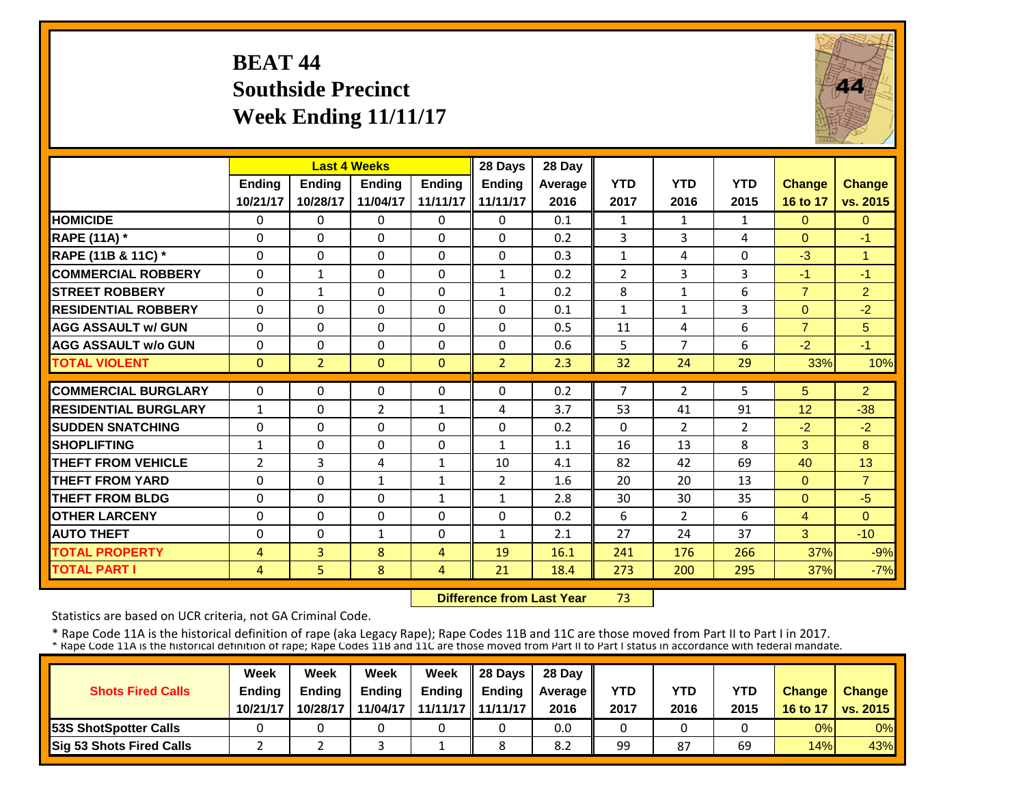## **BEAT 44 Southside Precinct Week Ending 11/11/17**



|                             |                | <b>Last 4 Weeks</b> |                |                | 28 Days        | 28 Day  |              |                |                |                |                |
|-----------------------------|----------------|---------------------|----------------|----------------|----------------|---------|--------------|----------------|----------------|----------------|----------------|
|                             | <b>Ending</b>  | <b>Endina</b>       | <b>Endina</b>  | <b>Endina</b>  | <b>Endina</b>  | Average | <b>YTD</b>   | <b>YTD</b>     | <b>YTD</b>     | <b>Change</b>  | <b>Change</b>  |
|                             | 10/21/17       | 10/28/17            | 11/04/17       | 11/11/17       | 11/11/17       | 2016    | 2017         | 2016           | 2015           | 16 to 17       | vs. 2015       |
| <b>HOMICIDE</b>             | $\mathbf 0$    | $\Omega$            | $\Omega$       | $\Omega$       | $\Omega$       | 0.1     | 1            | 1              | $\mathbf{1}$   | $\Omega$       | $\Omega$       |
| <b>RAPE (11A) *</b>         | $\Omega$       | $\Omega$            | $\Omega$       | $\Omega$       | $\Omega$       | 0.2     | 3            | 3              | 4              | $\Omega$       | $-1$           |
| RAPE (11B & 11C) *          | $\Omega$       | $\Omega$            | $\Omega$       | $\Omega$       | $\Omega$       | 0.3     | $\mathbf{1}$ | 4              | 0              | $-3$           | $\overline{1}$ |
| <b>COMMERCIAL ROBBERY</b>   | $\Omega$       | $\mathbf{1}$        | $\Omega$       | $\Omega$       | $\mathbf{1}$   | 0.2     | 2            | 3              | 3              | $-1$           | $-1$           |
| <b>STREET ROBBERY</b>       | $\mathbf 0$    | 1                   | 0              | 0              | $\mathbf{1}$   | 0.2     | 8            | $\mathbf{1}$   | 6              | $\overline{7}$ | $\overline{2}$ |
| <b>RESIDENTIAL ROBBERY</b>  | $\Omega$       | $\Omega$            | $\Omega$       | $\Omega$       | $\Omega$       | 0.1     | $\mathbf{1}$ | $\mathbf{1}$   | 3              | $\Omega$       | $-2$           |
| <b>AGG ASSAULT w/ GUN</b>   | $\Omega$       | $\Omega$            | $\Omega$       | $\Omega$       | 0              | 0.5     | 11           | 4              | 6              | $\overline{7}$ | 5              |
| <b>AGG ASSAULT w/o GUN</b>  | $\Omega$       | $\Omega$            | $\Omega$       | $\Omega$       | 0              | 0.6     | 5            | 7              | 6              | $-2$           | $-1$           |
| <b>TOTAL VIOLENT</b>        | $\Omega$       | $\overline{2}$      | $\Omega$       | $\Omega$       | $\overline{2}$ | 2.3     | 32           | 24             | 29             | 33%            | 10%            |
| <b>COMMERCIAL BURGLARY</b>  | $\mathbf 0$    | 0                   | 0              | 0              | 0              | 0.2     | 7            | $\overline{2}$ | 5              | 5              | $\overline{2}$ |
| <b>RESIDENTIAL BURGLARY</b> | $\mathbf{1}$   | $\Omega$            | $\overline{2}$ | $\mathbf{1}$   | 4              | 3.7     | 53           | 41             | 91             | 12             | $-38$          |
| <b>ISUDDEN SNATCHING</b>    | $\Omega$       | $\Omega$            | $\Omega$       | $\Omega$       | 0              | 0.2     | $\Omega$     | $\overline{2}$ | $\overline{2}$ | $-2$           | $-2$           |
| <b>SHOPLIFTING</b>          | 1              | $\Omega$            | $\Omega$       | $\Omega$       | $\mathbf{1}$   | 1.1     | 16           | 13             | 8              | 3              | 8              |
| <b>THEFT FROM VEHICLE</b>   | $\overline{2}$ | 3                   | 4              | 1              | 10             | 4.1     | 82           | 42             | 69             | 40             | 13             |
| <b>THEFT FROM YARD</b>      | $\Omega$       | $\Omega$            | $\mathbf{1}$   | $\mathbf{1}$   | $\overline{2}$ | 1.6     | 20           | 20             | 13             | $\Omega$       | $\overline{7}$ |
| <b>THEFT FROM BLDG</b>      | $\Omega$       | $\Omega$            | $\Omega$       |                | $\mathbf{1}$   | 2.8     | 30           | 30             | 35             | $\Omega$       | $-5$           |
|                             |                |                     |                | $\mathbf{1}$   |                |         |              |                |                |                |                |
| <b>OTHER LARCENY</b>        | $\Omega$       | $\Omega$            | $\Omega$       | $\Omega$       | $\Omega$       | 0.2     | 6            | 2              | 6              | $\overline{4}$ | $\Omega$       |
| <b>AUTO THEFT</b>           | $\mathbf 0$    | $\Omega$            | 1              | $\Omega$       | $\mathbf{1}$   | 2.1     | 27           | 24             | 37             | 3              | $-10$          |
| <b>TOTAL PROPERTY</b>       | 4              | $\overline{3}$      | 8              | $\overline{4}$ | 19             | 16.1    | 241          | 176            | 266            | 37%            | $-9%$          |
| <b>TOTAL PART I</b>         | 4              | 5.                  | 8              | 4              | 21             | 18.4    | 273          | 200            | 295            | 37%            | $-7%$          |

 **Difference from Last Year**73

Statistics are based on UCR criteria, not GA Criminal Code.

|                               | Week          | Week          | Week          | Week          | $\parallel$ 28 Davs | 28 Day    |      |      |            |               |                     |
|-------------------------------|---------------|---------------|---------------|---------------|---------------------|-----------|------|------|------------|---------------|---------------------|
| <b>Shots Fired Calls</b>      | <b>Ending</b> | <b>Ending</b> | <b>Ending</b> | <b>Ending</b> | <b>Ending</b>       | Average I | YTD  | YTD  | <b>YTD</b> | <b>Change</b> | <b>Change</b>       |
|                               | 10/21/17      | 10/28/17      | 11/04/17      |               | 11/11/17   11/11/17 | 2016      | 2017 | 2016 | 2015       |               | 16 to 17   vs. 2015 |
| <b>153S ShotSpotter Calls</b> |               |               |               |               |                     | 0.0       |      |      |            | 0%            | $0\%$               |
| Sig 53 Shots Fired Calls      |               |               |               |               |                     | 8.2       | 99   | 87   | 69         | 14%           | 43%                 |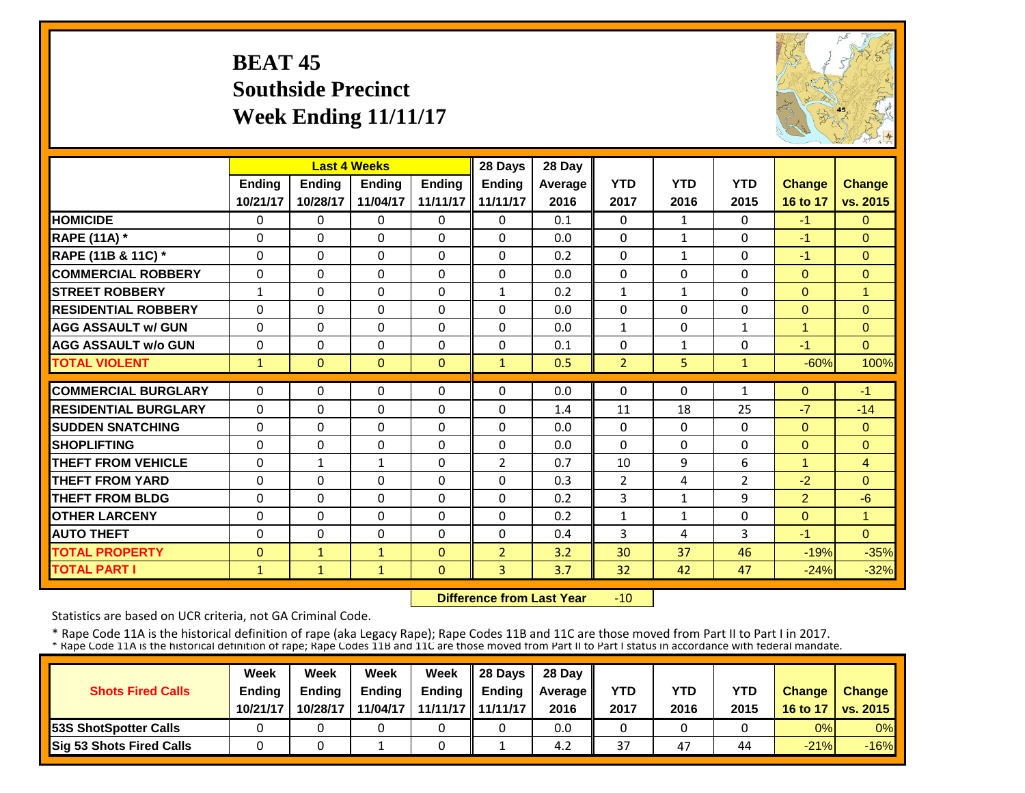## **BEAT 45 Southside Precinct Week Ending 11/11/17**



|                             |               |               | <b>Last 4 Weeks</b> |               | 28 Days        | 28 Day  |                |              |              |                |                |
|-----------------------------|---------------|---------------|---------------------|---------------|----------------|---------|----------------|--------------|--------------|----------------|----------------|
|                             | <b>Ending</b> | <b>Ending</b> | <b>Endina</b>       | <b>Endina</b> | <b>Ending</b>  | Average | <b>YTD</b>     | <b>YTD</b>   | <b>YTD</b>   | <b>Change</b>  | <b>Change</b>  |
|                             | 10/21/17      | 10/28/17      | 11/04/17            | 11/11/17      | 11/11/17       | 2016    | 2017           | 2016         | 2015         | 16 to 17       | vs. 2015       |
| <b>HOMICIDE</b>             | $\Omega$      | $\Omega$      | $\Omega$            | $\Omega$      | $\Omega$       | 0.1     | $\Omega$       | $\mathbf{1}$ | 0            | $-1$           | $\Omega$       |
| <b>RAPE (11A) *</b>         | $\Omega$      | $\Omega$      | $\Omega$            | $\Omega$      | $\Omega$       | 0.0     | $\Omega$       | $\mathbf{1}$ | $\Omega$     | $-1$           | $\Omega$       |
| RAPE (11B & 11C) *          | $\Omega$      | $\Omega$      | $\Omega$            | $\Omega$      | $\Omega$       | 0.2     | $\Omega$       | $\mathbf{1}$ | $\Omega$     | $-1$           | $\Omega$       |
| <b>COMMERCIAL ROBBERY</b>   | $\mathbf{0}$  | $\Omega$      | $\Omega$            | $\Omega$      | 0              | 0.0     | $\Omega$       | $\Omega$     | 0            | $\Omega$       | $\mathbf{0}$   |
| <b>STREET ROBBERY</b>       | $\mathbf{1}$  | $\Omega$      | 0                   | $\Omega$      | 1              | 0.2     | $\mathbf{1}$   | $\mathbf{1}$ | 0            | $\mathbf{0}$   | $\mathbf{1}$   |
| <b>RESIDENTIAL ROBBERY</b>  | $\Omega$      | $\Omega$      | $\Omega$            | $\Omega$      | 0              | 0.0     | $\Omega$       | $\Omega$     | 0            | $\Omega$       | $\Omega$       |
| <b>AGG ASSAULT w/ GUN</b>   | $\Omega$      | $\Omega$      | $\Omega$            | $\Omega$      | $\Omega$       | 0.0     | $\mathbf{1}$   | $\Omega$     | $\mathbf{1}$ | 1              | $\Omega$       |
| <b>AGG ASSAULT w/o GUN</b>  | $\Omega$      | $\Omega$      | $\Omega$            | $\Omega$      | $\Omega$       | 0.1     | $\Omega$       | $\mathbf{1}$ | 0            | $-1$           | $\Omega$       |
| <b>TOTAL VIOLENT</b>        | $\mathbf{1}$  | $\mathbf{0}$  | $\mathbf{0}$        | $\Omega$      | $\mathbf{1}$   | 0.5     | $\overline{2}$ | 5.           | $\mathbf{1}$ | $-60%$         | 100%           |
| <b>COMMERCIAL BURGLARY</b>  | $\Omega$      | $\Omega$      | 0                   | $\Omega$      | 0              | 0.0     | $\Omega$       | $\Omega$     | 1            | $\mathbf{0}$   | $-1$           |
|                             |               |               |                     |               |                |         |                |              |              |                |                |
| <b>RESIDENTIAL BURGLARY</b> | $\Omega$      | $\Omega$      | $\Omega$            | $\Omega$      | $\Omega$       | 1.4     | 11             | 18           | 25           | $-7$           | $-14$          |
| <b>SUDDEN SNATCHING</b>     | $\Omega$      | $\Omega$      | $\Omega$            | $\Omega$      | $\Omega$       | 0.0     | $\Omega$       | $\Omega$     | 0            | $\Omega$       | $\Omega$       |
| <b>SHOPLIFTING</b>          | $\Omega$      | $\Omega$      | 0                   | $\Omega$      | $\Omega$       | 0.0     | $\Omega$       | $\Omega$     | 0            | $\mathbf{0}$   | $\Omega$       |
| <b>THEFT FROM VEHICLE</b>   | 0             | $\mathbf{1}$  | $\mathbf 1$         | $\Omega$      | $\overline{2}$ | 0.7     | 10             | 9            | 6            | 1              | $\overline{4}$ |
| <b>THEFT FROM YARD</b>      | 0             | $\Omega$      | $\Omega$            | $\Omega$      | 0              | 0.3     | $\overline{2}$ | 4            | 2            | $-2$           | $\Omega$       |
| <b>THEFT FROM BLDG</b>      | 0             | $\Omega$      | $\Omega$            | $\Omega$      | 0              | 0.2     | 3              | $\mathbf{1}$ | 9            | $\overline{2}$ | $-6$           |
| <b>OTHER LARCENY</b>        | $\Omega$      | $\Omega$      | $\Omega$            | 0             | $\Omega$       | 0.2     | $\mathbf{1}$   | 1            | 0            | $\Omega$       | $\overline{1}$ |
| <b>AUTO THEFT</b>           | $\Omega$      | $\Omega$      | $\Omega$            | $\Omega$      | $\Omega$       | 0.4     | 3              | 4            | 3            | $-1$           | $\Omega$       |
| <b>TOTAL PROPERTY</b>       | $\mathbf{0}$  | $\mathbf{1}$  | $\mathbf{1}$        | $\Omega$      | $\overline{2}$ | 3.2     | 30             | 37           | 46           | $-19%$         | $-35%$         |
| <b>TOTAL PART I</b>         | $\mathbf{1}$  | $\mathbf{1}$  | $\mathbf{1}$        | $\Omega$      | $\overline{3}$ | 3.7     | 32             | 42           | 47           | $-24%$         | $-32%$         |

 **Difference from Last Year** $-10$ 

Statistics are based on UCR criteria, not GA Criminal Code.

|                               | Week          | Week          | Week          | Week                | $\parallel$ 28 Davs | 28 Day    |      |      |            |               |                     |
|-------------------------------|---------------|---------------|---------------|---------------------|---------------------|-----------|------|------|------------|---------------|---------------------|
| <b>Shots Fired Calls</b>      | <b>Ending</b> | <b>Ending</b> | <b>Ending</b> | <b>Ending</b>       | <b>Ending</b>       | Average I | YTD  | YTD  | <b>YTD</b> | <b>Change</b> | <b>Change</b>       |
|                               | 10/21/17      | 10/28/17      | 11/04/17      | 11/11/17   11/11/17 |                     | 2016      | 2017 | 2016 | 2015       |               | 16 to 17   vs. 2015 |
| <b>153S ShotSpotter Calls</b> |               |               |               |                     |                     | 0.0       |      |      |            | 0%            | $0\%$               |
| Sig 53 Shots Fired Calls      |               |               |               |                     |                     | 4.2       | 37   | 47   | 44         | $-21%$        | $-16%$              |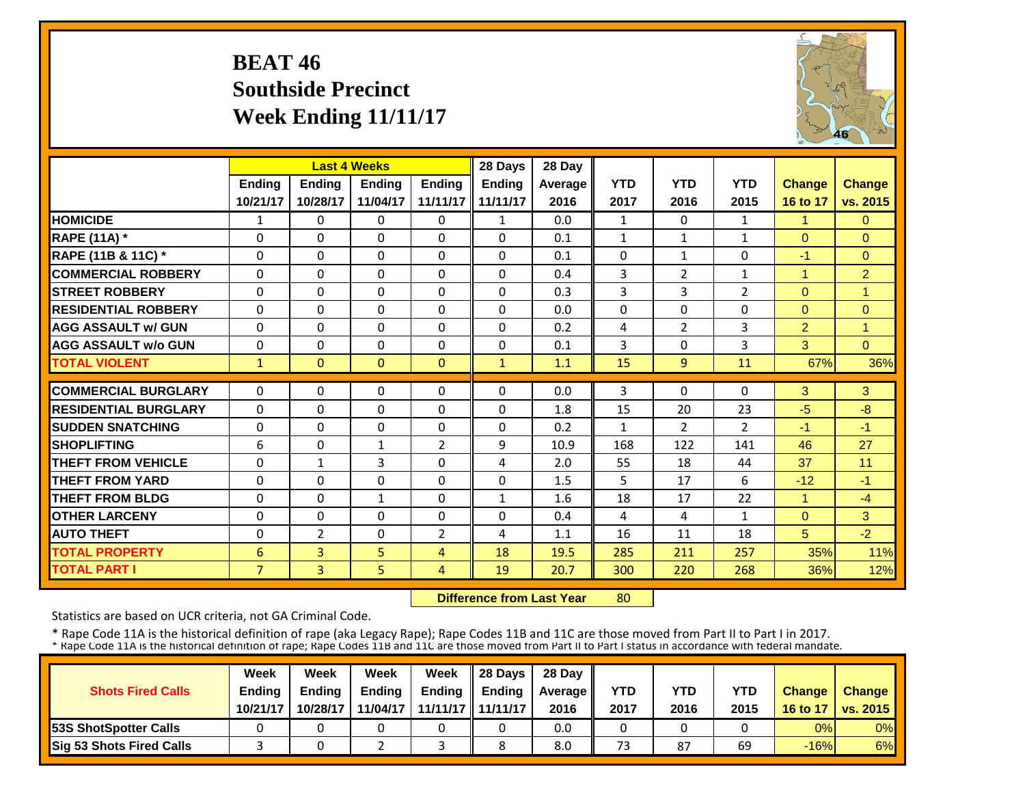## **BEAT 46 Southside Precinct Week Ending 11/11/17**



|                             |                | <b>Last 4 Weeks</b> |               |                | 28 Days       | 28 Day  |                |                |                |                |                |
|-----------------------------|----------------|---------------------|---------------|----------------|---------------|---------|----------------|----------------|----------------|----------------|----------------|
|                             | <b>Ending</b>  | <b>Ending</b>       | <b>Endina</b> | <b>Endina</b>  | <b>Endina</b> | Average | <b>YTD</b>     | <b>YTD</b>     | <b>YTD</b>     | <b>Change</b>  | <b>Change</b>  |
|                             | 10/21/17       | 10/28/17            | 11/04/17      | 11/11/17       | 11/11/17      | 2016    | 2017           | 2016           | 2015           | 16 to 17       | vs. 2015       |
| <b>HOMICIDE</b>             | 1              | 0                   | $\Omega$      | $\mathbf{0}$   | $\mathbf{1}$  | 0.0     | $\mathbf{1}$   | $\Omega$       | $\mathbf{1}$   | 1.             | $\Omega$       |
| <b>RAPE (11A) *</b>         | $\Omega$       | $\Omega$            | $\Omega$      | $\Omega$       | $\Omega$      | 0.1     | $\mathbf{1}$   | $\mathbf{1}$   | $\mathbf{1}$   | $\Omega$       | $\Omega$       |
| RAPE (11B & 11C) *          | $\mathbf 0$    | $\Omega$            | 0             | $\Omega$       | $\Omega$      | 0.1     | 0              | $\mathbf{1}$   | 0              | $-1$           | $\Omega$       |
| <b>COMMERCIAL ROBBERY</b>   | $\Omega$       | 0                   | $\Omega$      | $\Omega$       | $\Omega$      | 0.4     | $\overline{3}$ | $\overline{2}$ | $\mathbf{1}$   | 1              | $\overline{2}$ |
| <b>STREET ROBBERY</b>       | $\Omega$       | 0                   | $\Omega$      | $\Omega$       | $\Omega$      | 0.3     | 3              | 3              | $\overline{2}$ | $\Omega$       | 1              |
| <b>RESIDENTIAL ROBBERY</b>  | $\Omega$       | 0                   | $\Omega$      | 0              | $\Omega$      | 0.0     | $\Omega$       | 0              | 0              | $\Omega$       | $\Omega$       |
| <b>AGG ASSAULT w/ GUN</b>   | $\Omega$       | $\Omega$            | $\Omega$      | $\Omega$       | $\Omega$      | 0.2     | 4              | $\overline{2}$ | 3              | $\overline{2}$ | $\overline{1}$ |
| <b>AGG ASSAULT w/o GUN</b>  | $\Omega$       | 0                   | $\Omega$      | $\Omega$       | 0             | 0.1     | 3              | 0              | 3              | 3              | $\Omega$       |
| <b>TOTAL VIOLENT</b>        | $\mathbf{1}$   | $\Omega$            | $\Omega$      | $\Omega$       | $\mathbf{1}$  | 1.1     | 15             | 9              | 11             | 67%            | 36%            |
| <b>COMMERCIAL BURGLARY</b>  | $\Omega$       | 0                   | $\Omega$      | $\Omega$       | $\Omega$      | 0.0     | 3              | 0              | 0              | 3              | 3              |
| <b>RESIDENTIAL BURGLARY</b> | $\Omega$       | 0                   | 0             | $\Omega$       | 0             | 1.8     | 15             | 20             | 23             | $-5$           | $-8$           |
| <b>SUDDEN SNATCHING</b>     | $\Omega$       | 0                   | $\Omega$      | 0              | $\Omega$      | 0.2     | $\mathbf{1}$   | $\overline{2}$ | $\overline{2}$ | $-1$           | $-1$           |
| <b>SHOPLIFTING</b>          | 6              | $\Omega$            | 1             | 2              | 9             | 10.9    | 168            | 122            | 141            | 46             | 27             |
| <b>THEFT FROM VEHICLE</b>   | $\Omega$       | $\mathbf{1}$        | 3             | $\Omega$       | 4             | 2.0     | 55             | 18             | 44             | 37             | 11             |
| <b>THEFT FROM YARD</b>      | $\Omega$       | 0                   | $\Omega$      | $\Omega$       | $\Omega$      | 1.5     | 5.             | 17             | 6              | $-12$          | $-1$           |
| <b>THEFT FROM BLDG</b>      | $\Omega$       | 0                   | $\mathbf{1}$  | $\Omega$       | $\mathbf{1}$  | 1.6     | 18             | 17             | 22             | $\mathbf{1}$   | $-4$           |
| <b>OTHER LARCENY</b>        | $\Omega$       | 0                   | $\Omega$      | $\Omega$       | $\Omega$      | 0.4     | 4              | 4              | $\mathbf{1}$   | $\Omega$       | 3              |
| <b>AUTO THEFT</b>           | $\Omega$       | 2                   | 0             | $\overline{2}$ | 4             | 1.1     | 16             | 11             | 18             | 5 <sup>5</sup> | $-2$           |
| <b>TOTAL PROPERTY</b>       | 6              | $\overline{3}$      | 5             | 4              | 18            | 19.5    | 285            | 211            | 257            | 35%            | 11%            |
| <b>TOTAL PART I</b>         | $\overline{7}$ | $\overline{3}$      | 5             | $\overline{4}$ | 19            | 20.7    | 300            | 220            | 268            | 36%            | 12%            |

 **Difference from Last Year**80

Statistics are based on UCR criteria, not GA Criminal Code.

|                               | Week     | Week          | Week          | Week          | $\parallel$ 28 Davs | 28 Day    |      |      |            |               |                     |
|-------------------------------|----------|---------------|---------------|---------------|---------------------|-----------|------|------|------------|---------------|---------------------|
| <b>Shots Fired Calls</b>      | Ending   | <b>Ending</b> | <b>Ending</b> | <b>Ending</b> | <b>Ending</b>       | Average I | YTD  | YTD  | <b>YTD</b> | <b>Change</b> | <b>Change</b>       |
|                               | 10/21/17 | 10/28/17      | 11/04/17      |               | 11/11/17   11/11/17 | 2016      | 2017 | 2016 | 2015       |               | 16 to 17   vs. 2015 |
| <b>153S ShotSpotter Calls</b> |          |               |               |               |                     | 0.0       |      |      |            | 0%            | $0\%$               |
| Sig 53 Shots Fired Calls      |          |               |               |               |                     | 8.0       | 73   | 87   | 69         | $-16%$        | 6%                  |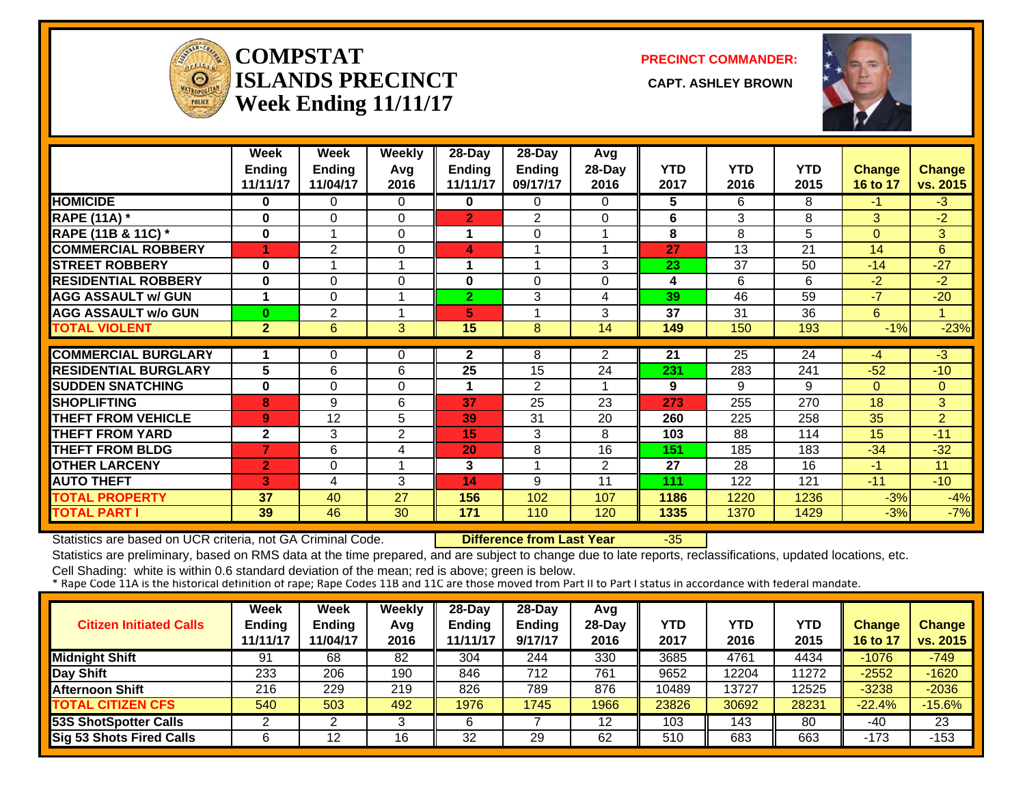

#### **COMPSTATISLANDS PRECINCT** CAPT. ASHLEY BROWN **Week Ending 11/11/17**

**PRECINCT COMMANDER:**



|                             | Week           | Week          | <b>Weekly</b>  | 28-Day         | 28-Day                  | Avg            |            |            |            |               |                |
|-----------------------------|----------------|---------------|----------------|----------------|-------------------------|----------------|------------|------------|------------|---------------|----------------|
|                             | <b>Ending</b>  | <b>Ending</b> | Avg            | Ending         | Ending                  | $28-Day$       | <b>YTD</b> | <b>YTD</b> | <b>YTD</b> | <b>Change</b> | <b>Change</b>  |
|                             | 11/11/17       | 11/04/17      | 2016           | 11/11/17       | 09/17/17                | 2016           | 2017       | 2016       | 2015       | 16 to 17      | vs. 2015       |
| <b>HOMICIDE</b>             | 0              | 0             | 0              | 0              | 0                       | $\Omega$       | 5          | 6          | 8          | $-1$          | $-3$           |
| <b>RAPE (11A)</b> *         | 0              | $\Omega$      | $\Omega$       | $\overline{2}$ | 2                       | $\Omega$       | 6          | 3          | 8          | 3             | $-2$           |
| RAPE (11B & 11C) *          | $\bf{0}$       | 1             | $\mathbf 0$    | 1              | $\Omega$                |                | 8          | 8          | 5          | $\Omega$      | 3              |
| <b>COMMERCIAL ROBBERY</b>   | 1              | 2             | 0              | 4              | 4                       |                | 27         | 13         | 21         | 14            | 6              |
| <b>STREET ROBBERY</b>       | $\bf{0}$       | 1             | 1              | 1              | $\overline{\mathbf{A}}$ | 3              | 23         | 37         | 50         | $-14$         | $-27$          |
| <b>RESIDENTIAL ROBBERY</b>  | 0              | $\Omega$      | $\Omega$       | $\bf{0}$       | $\Omega$                | $\Omega$       | 4          | 6          | 6          | $-2$          | $-2$           |
| <b>AGG ASSAULT w/ GUN</b>   | 1              | $\Omega$      |                | $\overline{2}$ | 3                       | 4              | 39         | 46         | 59         | $-7$          | $-20$          |
| <b>AGG ASSAULT w/o GUN</b>  | $\bf{0}$       | 2             | 1              | 5              |                         | 3              | 37         | 31         | 36         | 6             | 1              |
| <b>TOTAL VIOLENT</b>        | $\overline{2}$ | 6             | 3              | 15             | 8                       | 14             | 149        | 150        | 193        | $-1%$         | $-23%$         |
|                             |                |               |                |                |                         |                |            |            |            |               |                |
| <b>COMMERCIAL BURGLARY</b>  | 1              | 0             | 0              | $\mathbf{2}$   | 8                       | $\overline{2}$ | 21         | 25         | 24         | $-4$          | $-3$           |
| <b>RESIDENTIAL BURGLARY</b> | 5              | 6             | 6              | 25             | 15                      | 24             | 231        | 283        | 241        | $-52$         | $-10$          |
| <b>SUDDEN SNATCHING</b>     | $\bf{0}$       | 0             | $\Omega$       | 1              | 2                       |                | 9          | 9          | 9          | $\Omega$      | $\overline{0}$ |
| <b>SHOPLIFTING</b>          | 8              | 9             | 6              | 37             | 25                      | 23             | 273        | 255        | 270        | 18            | 3              |
| <b>THEFT FROM VEHICLE</b>   | 9              | 12            | 5              | 39             | 31                      | 20             | 260        | 225        | 258        | 35            | $\overline{2}$ |
| <b>THEFT FROM YARD</b>      | $\mathbf{2}$   | 3             | $\overline{2}$ | 15             | 3                       | 8              | 103        | 88         | 114        | 15            | $-11$          |
| <b>THEFT FROM BLDG</b>      | 7              | 6             | 4              | 20             | 8                       | 16             | 151        | 185        | 183        | $-34$         | $-32$          |
| <b>OTHER LARCENY</b>        | $\overline{2}$ | $\Omega$      |                | 3              |                         | $\overline{2}$ | 27         | 28         | 16         | $-1$          | 11             |
| <b>AUTO THEFT</b>           | 3              | 4             | 3              | 14             | 9                       | 11             | 111        | 122        | 121        | $-11$         | $-10$          |
| <b>TOTAL PROPERTY</b>       | 37             | 40            | 27             | 156            | 102                     | 107            | 1186       | 1220       | 1236       | $-3%$         | $-4%$          |
| <b>TOTAL PART I</b>         | 39             | 46            | 30             | 171            | 110                     | 120            | 1335       | 1370       | 1429       | $-3%$         | $-7%$          |

Statistics are based on UCR criteria, not GA Criminal Code. **Difference from Last Year** -35

Statistics are preliminary, based on RMS data at the time prepared, and are subject to change due to late reports, reclassifications, updated locations, etc.

| <b>Citizen Initiated Calls</b>  | <b>Week</b><br><b>Ending</b><br>11/11/17 | Week<br><b>Ending</b><br>11/04/17 | Weekly<br>Avg<br>2016 | $28-Day$<br>Ending<br>11/11/17 | $28-Dav$<br><b>Ending</b><br>9/17/17 | Avg<br>$28-Day$<br>2016 | YTD<br>2017 | YTD<br>2016 | YTD<br>2015 | <b>Change</b><br>16 to 17 | <b>Change</b><br>vs. 2015 |
|---------------------------------|------------------------------------------|-----------------------------------|-----------------------|--------------------------------|--------------------------------------|-------------------------|-------------|-------------|-------------|---------------------------|---------------------------|
| <b>Midnight Shift</b>           | 91                                       | 68                                | 82                    | 304                            | 244                                  | 330                     | 3685        | 4761        | 4434        | $-1076$                   | $-749$                    |
| Day Shift                       | 233                                      | 206                               | 190                   | 846                            | 712                                  | 761                     | 9652        | 2204        | 11272       | $-2552$                   | $-1620$                   |
| <b>Afternoon Shift</b>          | 216                                      | 229                               | 219                   | 826                            | 789                                  | 876                     | 10489       | 3727        | 12525       | $-3238$                   | $-2036$                   |
| <b>TOTAL CITIZEN CFS</b>        | 540                                      | 503                               | 492                   | 1976                           | 1745                                 | 1966                    | 23826       | 30692       | 28231       | $-22.4%$                  | $-15.6%$                  |
| 53S ShotSpotter Calls           |                                          |                                   |                       | 6                              |                                      | 12                      | 103         | 143         | 80          | -40                       | 23                        |
| <b>Sig 53 Shots Fired Calls</b> |                                          | 12                                | 16                    | 32                             | 29                                   | 62                      | 510         | 683         | 663         | $-173$                    | $-153$                    |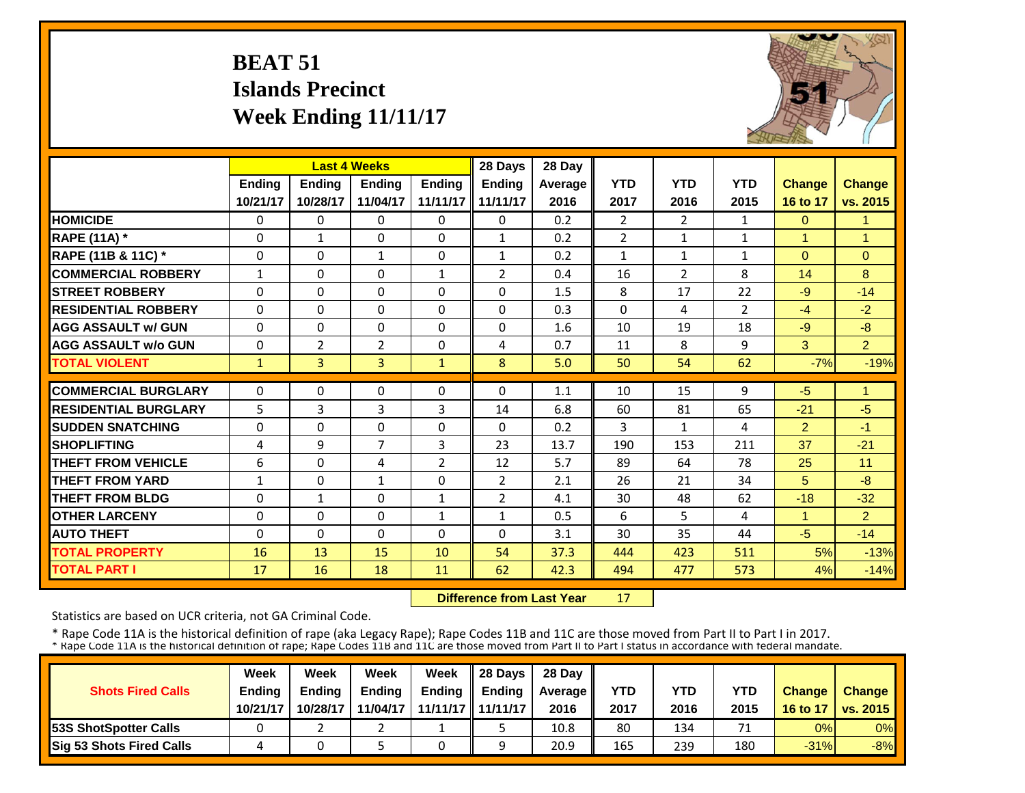# **BEAT 51 Islands PrecinctWeek Ending 11/11/17**



|                             |               | <b>Last 4 Weeks</b> |                |                | 28 Days        | 28 Day         |                |                |                |                |                |
|-----------------------------|---------------|---------------------|----------------|----------------|----------------|----------------|----------------|----------------|----------------|----------------|----------------|
|                             | <b>Ending</b> | <b>Ending</b>       | <b>Ending</b>  | <b>Endina</b>  | Ending         | <b>Average</b> | <b>YTD</b>     | <b>YTD</b>     | <b>YTD</b>     | <b>Change</b>  | <b>Change</b>  |
|                             | 10/21/17      | 10/28/17            | 11/04/17       | 11/11/17       | 11/11/17       | 2016           | 2017           | 2016           | 2015           | 16 to 17       | vs. 2015       |
| <b>HOMICIDE</b>             | $\Omega$      | 0                   | $\Omega$       | $\Omega$       | $\Omega$       | 0.2            | $\overline{2}$ | $\overline{2}$ | $\mathbf{1}$   | $\Omega$       | $\mathbf{1}$   |
| <b>RAPE (11A) *</b>         | $\Omega$      | $\mathbf{1}$        | $\Omega$       | $\Omega$       | $\mathbf{1}$   | 0.2            | $\overline{2}$ | $\mathbf{1}$   | $\mathbf{1}$   | $\mathbf{1}$   | $\overline{1}$ |
| RAPE (11B & 11C) *          | $\mathbf 0$   | $\Omega$            | $\mathbf{1}$   | $\Omega$       | $\mathbf{1}$   | 0.2            | $\mathbf{1}$   | $\mathbf{1}$   | $\mathbf{1}$   | $\Omega$       | $\overline{0}$ |
| <b>COMMERCIAL ROBBERY</b>   | $\mathbf{1}$  | 0                   | $\Omega$       | $\mathbf{1}$   | $\overline{2}$ | 0.4            | 16             | $\overline{2}$ | 8              | 14             | 8              |
| <b>STREET ROBBERY</b>       | $\Omega$      | $\Omega$            | $\Omega$       | $\Omega$       | $\Omega$       | 1.5            | 8              | 17             | 22             | $-9$           | $-14$          |
| <b>RESIDENTIAL ROBBERY</b>  | $\Omega$      | $\Omega$            | $\Omega$       | $\Omega$       | $\Omega$       | 0.3            | $\Omega$       | 4              | $\overline{2}$ | $-4$           | $-2$           |
| <b>AGG ASSAULT w/ GUN</b>   | $\Omega$      | 0                   | $\Omega$       | $\Omega$       | $\Omega$       | 1.6            | 10             | 19             | 18             | $-9$           | $-8$           |
| <b>AGG ASSAULT w/o GUN</b>  | $\Omega$      | $\overline{2}$      | $\overline{2}$ | $\Omega$       | 4              | 0.7            | 11             | 8              | 9              | 3              | 2 <sup>1</sup> |
| <b>TOTAL VIOLENT</b>        | $\mathbf{1}$  | $\overline{3}$      | $\overline{3}$ | $\mathbf{1}$   | 8              | 5.0            | 50             | 54             | 62             | $-7%$          | $-19%$         |
| <b>COMMERCIAL BURGLARY</b>  | $\Omega$      | 0                   | $\Omega$       | $\Omega$       | $\Omega$       | 1.1            | 10             | 15             | 9              | -5             | 1              |
| <b>RESIDENTIAL BURGLARY</b> | 5             | 3                   | 3              | 3              | 14             | 6.8            | 60             | 81             | 65             | $-21$          | $-5$           |
| <b>SUDDEN SNATCHING</b>     | $\Omega$      | 0                   | $\Omega$       | $\Omega$       | $\Omega$       | 0.2            | 3              | 1              | 4              | $\overline{2}$ | $-1$           |
| <b>SHOPLIFTING</b>          | 4             | 9                   | 7              | 3              | 23             | 13.7           | 190            | 153            | 211            | 37             | $-21$          |
| <b>THEFT FROM VEHICLE</b>   | 6             | 0                   | 4              | $\overline{2}$ | 12             | 5.7            | 89             | 64             | 78             | 25             | 11             |
| <b>THEFT FROM YARD</b>      | $\mathbf{1}$  | $\Omega$            | $\mathbf{1}$   | $\Omega$       | $\overline{2}$ | 2.1            | 26             | 21             | 34             | 5              | $-8$           |
| <b>THEFT FROM BLDG</b>      | $\Omega$      | $\mathbf{1}$        | $\Omega$       | $\mathbf{1}$   | $\overline{2}$ | 4.1            | 30             | 48             | 62             | $-18$          | $-32$          |
| <b>OTHER LARCENY</b>        | $\Omega$      | 0                   | 0              | $\mathbf{1}$   | 1              | 0.5            | 6              | 5.             | 4              | 1              | $\overline{2}$ |
| <b>AUTO THEFT</b>           | $\Omega$      | 0                   | $\Omega$       | 0              | $\Omega$       | 3.1            | 30             | 35             | 44             | $-5$           | $-14$          |
| <b>TOTAL PROPERTY</b>       | 16            | 13                  | 15             | 10             | 54             | 37.3           | 444            | 423            | 511            | 5%             | $-13%$         |
| <b>TOTAL PART I</b>         | 17            | 16                  | 18             | 11             | 62             | 42.3           | 494            | 477            | 573            | 4%             | $-14%$         |

 **Difference from Last Year**17

Statistics are based on UCR criteria, not GA Criminal Code.

|                               | Week     | Week          | Week          | Week          | $\parallel$ 28 Davs | 28 Day    |      |      |      |               |                     |
|-------------------------------|----------|---------------|---------------|---------------|---------------------|-----------|------|------|------|---------------|---------------------|
| <b>Shots Fired Calls</b>      | Ending   | <b>Ending</b> | <b>Ending</b> | <b>Ending</b> | <b>Endina</b>       | Average I | YTD  | YTD  | YTD  | <b>Change</b> | <b>Change</b>       |
|                               | 10/21/17 | 10/28/17      | 11/04/17      |               | 11/11/17   11/11/17 | 2016      | 2017 | 2016 | 2015 |               | 16 to 17   vs. 2015 |
| <b>153S ShotSpotter Calls</b> |          |               |               |               |                     | 10.8      | 80   | 134  | 71   | 0%            | $0\%$               |
| Sig 53 Shots Fired Calls      |          |               |               |               |                     | 20.9      | 165  | 239  | 180  | $-31%$        | $-8%$               |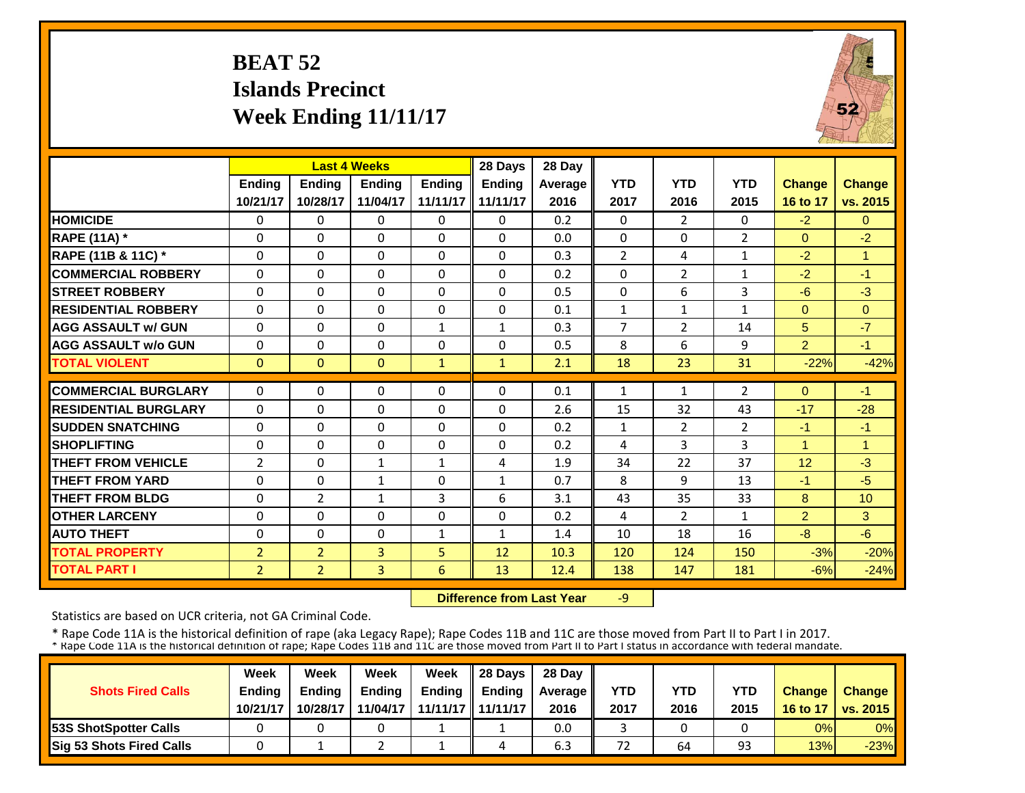# **BEAT 52 Islands PrecinctWeek Ending 11/11/17**



|                             |                | <b>Last 4 Weeks</b> |                |               | 28 Days       | 28 Day  |                |                |                |                |                |
|-----------------------------|----------------|---------------------|----------------|---------------|---------------|---------|----------------|----------------|----------------|----------------|----------------|
|                             | <b>Ending</b>  | Ending              | <b>Ending</b>  | <b>Endina</b> | <b>Ending</b> | Average | <b>YTD</b>     | <b>YTD</b>     | <b>YTD</b>     | <b>Change</b>  | <b>Change</b>  |
|                             | 10/21/17       | 10/28/17            | 11/04/17       | 11/11/17      | 11/11/17      | 2016    | 2017           | 2016           | 2015           | 16 to 17       | vs. 2015       |
| <b>HOMICIDE</b>             | 0              | $\Omega$            | 0              | $\Omega$      | 0             | 0.2     | $\Omega$       | $\overline{2}$ | 0              | $-2$           | $\overline{0}$ |
| <b>RAPE (11A)</b> *         | $\Omega$       | $\Omega$            | $\Omega$       | $\Omega$      | 0             | 0.0     | $\Omega$       | $\Omega$       | $\overline{2}$ | $\Omega$       | $-2$           |
| RAPE (11B & 11C) *          | $\mathbf 0$    | $\Omega$            | $\Omega$       | $\Omega$      | 0             | 0.3     | $\overline{2}$ | 4              | 1              | $-2$           | $\overline{1}$ |
| <b>COMMERCIAL ROBBERY</b>   | $\Omega$       | $\Omega$            | $\Omega$       | $\Omega$      | 0             | 0.2     | $\Omega$       | $\overline{2}$ | $\mathbf{1}$   | $-2$           | $-1$           |
| <b>ISTREET ROBBERY</b>      | $\Omega$       | $\Omega$            | $\Omega$       | $\Omega$      | $\Omega$      | 0.5     | $\Omega$       | 6              | 3              | $-6$           | $-3$           |
| <b>RESIDENTIAL ROBBERY</b>  | $\Omega$       | $\Omega$            | $\Omega$       | 0             | $\Omega$      | 0.1     | $\mathbf{1}$   | $\mathbf{1}$   | 1              | $\Omega$       | $\Omega$       |
| <b>AGG ASSAULT w/ GUN</b>   | $\Omega$       | $\Omega$            | $\Omega$       | $\mathbf{1}$  | $\mathbf{1}$  | 0.3     | $\overline{7}$ | $\overline{2}$ | 14             | 5              | $-7$           |
| <b>AGG ASSAULT w/o GUN</b>  | 0              | 0                   | $\Omega$       | $\Omega$      | 0             | 0.5     | 8              | 6              | 9              | $\overline{2}$ | $-1$           |
| <b>TOTAL VIOLENT</b>        | $\Omega$       | $\Omega$            | $\Omega$       | $\mathbf{1}$  | $\mathbf{1}$  | 2.1     | 18             | 23             | 31             | $-22%$         | $-42%$         |
| <b>COMMERCIAL BURGLARY</b>  | $\Omega$       | $\Omega$            | $\Omega$       | $\Omega$      | 0             | 0.1     | $\mathbf{1}$   | $\mathbf{1}$   | $\overline{2}$ | $\Omega$       | $-1$           |
| <b>RESIDENTIAL BURGLARY</b> | $\Omega$       | $\Omega$            | $\Omega$       | $\Omega$      | $\Omega$      | 2.6     | 15             | 32             | 43             | $-17$          | $-28$          |
|                             |                |                     |                |               |               |         |                |                |                |                | $-1$           |
| <b>SUDDEN SNATCHING</b>     | 0              | $\Omega$            | $\Omega$       | $\Omega$      | 0             | 0.2     | $\mathbf{1}$   | $\overline{2}$ | $\overline{2}$ | $-1$<br>4      |                |
| <b>SHOPLIFTING</b>          | $\Omega$       | $\Omega$            | $\Omega$       | $\Omega$      | $\Omega$      | 0.2     | 4              | 3              | 3              |                | $\overline{1}$ |
| <b>THEFT FROM VEHICLE</b>   | $\overline{2}$ | $\Omega$            | $\mathbf{1}$   | 1             | 4             | 1.9     | 34             | 22             | 37             | 12             | $-3$           |
| <b>THEFT FROM YARD</b>      | $\Omega$       | $\Omega$            | $\mathbf{1}$   | $\Omega$      | $\mathbf{1}$  | 0.7     | 8              | 9              | 13             | $-1$           | $-5$           |
| <b>THEFT FROM BLDG</b>      | $\Omega$       | 2                   | $\mathbf{1}$   | 3             | 6             | 3.1     | 43             | 35             | 33             | 8              | 10             |
| <b>OTHER LARCENY</b>        | $\Omega$       | $\Omega$            | $\Omega$       | $\Omega$      | $\Omega$      | 0.2     | 4              | $\overline{2}$ | 1              | 2              | 3              |
| <b>AUTO THEFT</b>           | $\Omega$       | $\Omega$            | $\Omega$       | $\mathbf{1}$  | $\mathbf{1}$  | 1.4     | 10             | 18             | 16             | $-8$           | $-6$           |
| <b>TOTAL PROPERTY</b>       | $\overline{2}$ | $\overline{2}$      | $\overline{3}$ | 5             | 12            | 10.3    | 120            | 124            | 150            | $-3%$          | $-20%$         |
| <b>TOTAL PART I</b>         | $\overline{2}$ | $\overline{2}$      | $\overline{3}$ | 6             | 13            | 12.4    | 138            | 147            | 181            | $-6%$          | $-24%$         |

 **Difference from Last Year**‐9

Statistics are based on UCR criteria, not GA Criminal Code.

|                               | Week     | Week          | Week          | Week          | $\parallel$ 28 Davs | 28 Day    |      |      |      |               |                     |
|-------------------------------|----------|---------------|---------------|---------------|---------------------|-----------|------|------|------|---------------|---------------------|
| <b>Shots Fired Calls</b>      | Ending   | <b>Ending</b> | <b>Ending</b> | <b>Ending</b> | <b>Ending</b>       | Average I | YTD  | YTD  | YTD  | <b>Change</b> | <b>Change</b>       |
|                               | 10/21/17 | 10/28/17      | 11/04/17      |               | 11/11/17   11/11/17 | 2016      | 2017 | 2016 | 2015 |               | 16 to 17   vs. 2015 |
| <b>153S ShotSpotter Calls</b> |          |               |               |               |                     | 0.0       |      |      |      | 0%            | $0\%$               |
| Sig 53 Shots Fired Calls      |          |               |               |               |                     | 6.3       | 72   | 64   | 93   | 13%           | $-23%$              |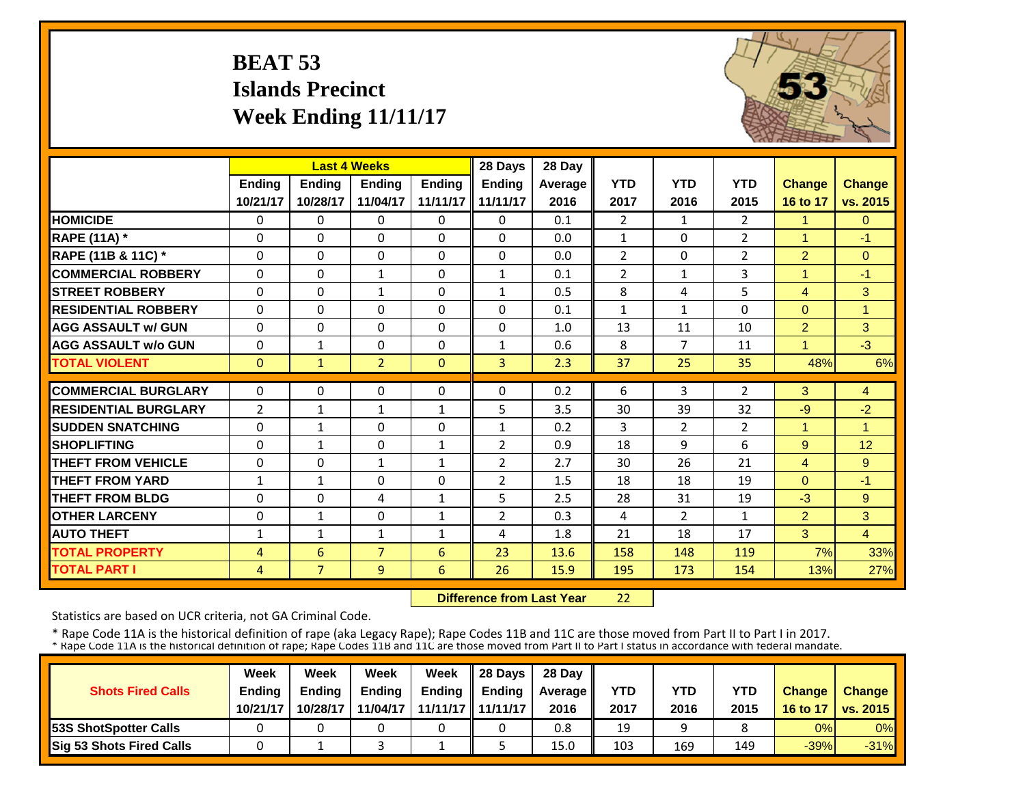# **BEAT 53 Islands PrecinctWeek Ending 11/11/17**



|                             |                | <b>Last 4 Weeks</b> |                |               | 28 Days        | 28 Day  |                |                |                |                |                |
|-----------------------------|----------------|---------------------|----------------|---------------|----------------|---------|----------------|----------------|----------------|----------------|----------------|
|                             | Ending         | <b>Ending</b>       | Ending         | <b>Endina</b> | <b>Ending</b>  | Average | <b>YTD</b>     | <b>YTD</b>     | <b>YTD</b>     | <b>Change</b>  | <b>Change</b>  |
|                             | 10/21/17       | 10/28/17            | 11/04/17       | 11/11/17      | 11/11/17       | 2016    | 2017           | 2016           | 2015           | 16 to 17       | vs. 2015       |
| <b>HOMICIDE</b>             | $\Omega$       | 0                   | $\Omega$       | $\Omega$      | $\Omega$       | 0.1     | $\overline{2}$ | $\mathbf{1}$   | $\overline{2}$ | 1              | $\Omega$       |
| <b>RAPE (11A) *</b>         | $\Omega$       | $\Omega$            | $\Omega$       | $\Omega$      | $\Omega$       | 0.0     | $\mathbf{1}$   | $\Omega$       | $\overline{2}$ | 1              | $-1$           |
| RAPE (11B & 11C) *          | $\Omega$       | $\Omega$            | $\Omega$       | $\Omega$      | 0              | 0.0     | $\overline{2}$ | $\Omega$       | $\overline{2}$ | $\overline{2}$ | $\overline{0}$ |
| <b>COMMERCIAL ROBBERY</b>   | $\Omega$       | 0                   | $\mathbf{1}$   | $\Omega$      | $\mathbf{1}$   | 0.1     | $\overline{2}$ | $\mathbf{1}$   | 3              | 1              | $-1$           |
| <b>STREET ROBBERY</b>       | $\Omega$       | $\Omega$            | $\mathbf{1}$   | $\Omega$      | $\mathbf{1}$   | 0.5     | 8              | 4              | 5              | $\overline{4}$ | 3              |
| <b>RESIDENTIAL ROBBERY</b>  | $\Omega$       | $\Omega$            | $\Omega$       | $\Omega$      | $\Omega$       | 0.1     | $\mathbf{1}$   | $\mathbf{1}$   | 0              | $\Omega$       | $\overline{1}$ |
| <b>AGG ASSAULT W/ GUN</b>   | $\Omega$       | 0                   | 0              | $\Omega$      | $\Omega$       | 1.0     | 13             | 11             | 10             | $\overline{2}$ | 3              |
| <b>AGG ASSAULT w/o GUN</b>  | $\Omega$       | $\mathbf{1}$        | 0              | $\Omega$      | $\mathbf{1}$   | 0.6     | 8              | 7              | 11             | 1              | $-3$           |
| <b>TOTAL VIOLENT</b>        | $\Omega$       | $\mathbf{1}$        | $\overline{2}$ | $\Omega$      | 3              | 2.3     | 37             | 25             | 35             | 48%            | 6%             |
| <b>COMMERCIAL BURGLARY</b>  | $\Omega$       | 0                   | $\Omega$       | $\Omega$      | 0              | 0.2     | 6              | 3              | $\overline{2}$ | 3              | $\overline{4}$ |
| <b>RESIDENTIAL BURGLARY</b> | $\overline{2}$ | $\mathbf{1}$        | 1              | $\mathbf{1}$  | 5              | 3.5     | 30             | 39             | 32             | $-9$           | $-2$           |
| <b>SUDDEN SNATCHING</b>     | $\Omega$       | 1                   | $\Omega$       | $\Omega$      | $\mathbf{1}$   | 0.2     | 3              | $\overline{2}$ | $\overline{2}$ | 1              | $\overline{1}$ |
| <b>SHOPLIFTING</b>          | $\Omega$       | $\mathbf{1}$        | 0              | $\mathbf{1}$  | $\overline{2}$ | 0.9     | 18             | 9              | 6              | 9              | 12             |
| <b>THEFT FROM VEHICLE</b>   | $\Omega$       | 0                   | $\mathbf{1}$   | $\mathbf{1}$  | $\overline{2}$ | 2.7     | 30             | 26             | 21             | 4              | 9              |
| <b>THEFT FROM YARD</b>      | $\mathbf{1}$   | $\mathbf{1}$        | $\Omega$       | $\Omega$      | $\overline{2}$ | 1.5     | 18             | 18             | 19             | $\Omega$       | $-1$           |
| <b>THEFT FROM BLDG</b>      | $\Omega$       | 0                   | 4              | 1             | 5              | 2.5     | 28             | 31             | 19             | $-3$           | 9              |
| <b>OTHER LARCENY</b>        | $\Omega$       | $\mathbf{1}$        | $\Omega$       | 1             | $\overline{2}$ | 0.3     | 4              | $\overline{2}$ | $\mathbf{1}$   | $\overline{2}$ | 3              |
| <b>AUTO THEFT</b>           | 1              | $\mathbf{1}$        | $\mathbf{1}$   | 1             | 4              | 1.8     | 21             | 18             | 17             | 3              | $\overline{4}$ |
| <b>TOTAL PROPERTY</b>       | 4              | 6                   | $\overline{7}$ | 6             | 23             | 13.6    | 158            | 148            | 119            | 7%             | 33%            |
| <b>TOTAL PART I</b>         | $\overline{4}$ | $\overline{7}$      | 9              | 6             | 26             | 15.9    | 195            | 173            | 154            | 13%            | 27%            |

 **Difference from Last Year**22

Statistics are based on UCR criteria, not GA Criminal Code.

|                               | Week     | Week          | Week          | Week          | $\parallel$ 28 Davs | 28 Day    |      |      |      |               |                     |
|-------------------------------|----------|---------------|---------------|---------------|---------------------|-----------|------|------|------|---------------|---------------------|
| <b>Shots Fired Calls</b>      | Ending   | <b>Ending</b> | <b>Ending</b> | <b>Ending</b> | <b>Endina</b>       | Average I | YTD  | YTD  | YTD  | <b>Change</b> | <b>Change</b>       |
|                               | 10/21/17 | 10/28/17      | 11/04/17      |               | 11/11/17   11/11/17 | 2016      | 2017 | 2016 | 2015 |               | 16 to 17   vs. 2015 |
| <b>153S ShotSpotter Calls</b> |          |               |               |               |                     | 0.8       | 19   |      |      | 0%            | $0\%$               |
| Sig 53 Shots Fired Calls      |          |               |               |               |                     | 15.0      | 103  | 169  | 149  | $-39%$        | $-31\%$             |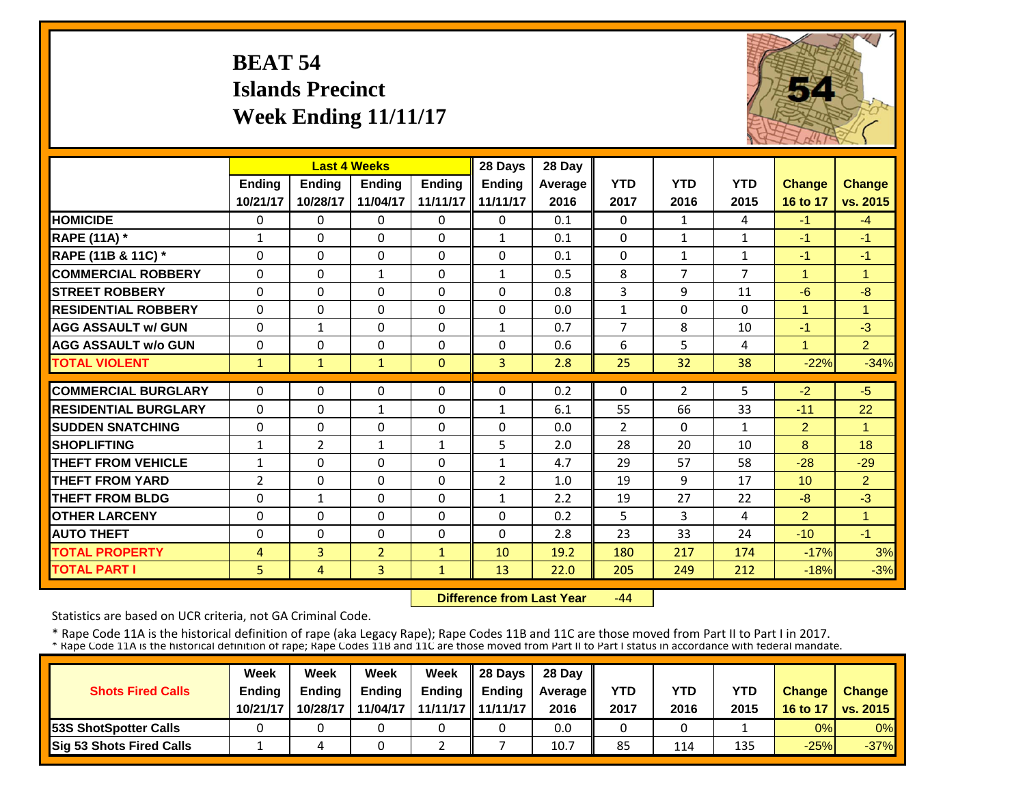# **BEAT 54 Islands PrecinctWeek Ending 11/11/17**



|                             |                | <b>Last 4 Weeks</b> |                |               | 28 Days        | 28 Day  |              |                |                |                      |                      |
|-----------------------------|----------------|---------------------|----------------|---------------|----------------|---------|--------------|----------------|----------------|----------------------|----------------------|
|                             | <b>Ending</b>  | <b>Ending</b>       | <b>Endina</b>  | <b>Endina</b> | <b>Endina</b>  | Average | <b>YTD</b>   | <b>YTD</b>     | <b>YTD</b>     | <b>Change</b>        | Change               |
|                             | 10/21/17       | 10/28/17            | 11/04/17       | 11/11/17      | 11/11/17       | 2016    | 2017         | 2016           | 2015           | 16 to 17             | vs. 2015             |
| <b>HOMICIDE</b>             | $\Omega$       | 0                   | $\Omega$       | $\Omega$      | $\Omega$       | 0.1     | $\Omega$     | $\mathbf{1}$   | 4              | $-1$                 | $-4$                 |
| <b>RAPE (11A) *</b>         | $\mathbf{1}$   | $\Omega$            | $\Omega$       | $\Omega$      | $\mathbf{1}$   | 0.1     | $\Omega$     | $\mathbf{1}$   | $\mathbf{1}$   | -1                   | $-1$                 |
| RAPE (11B & 11C) *          | $\Omega$       | $\Omega$            | $\Omega$       | $\Omega$      | $\Omega$       | 0.1     | $\mathbf{0}$ | $\mathbf{1}$   | $\mathbf{1}$   | $-1$                 | $-1$                 |
| <b>COMMERCIAL ROBBERY</b>   | $\Omega$       | $\Omega$            | $\mathbf{1}$   | $\Omega$      | $\mathbf{1}$   | 0.5     | 8            | 7              | $\overline{7}$ | $\blacktriangleleft$ | $\overline{1}$       |
| <b>STREET ROBBERY</b>       | $\Omega$       | 0                   | $\Omega$       | $\Omega$      | $\Omega$       | 0.8     | 3            | 9              | 11             | $-6$                 | $-8$                 |
| <b>RESIDENTIAL ROBBERY</b>  | $\Omega$       | 0                   | $\Omega$       | $\Omega$      | $\Omega$       | 0.0     | $\mathbf{1}$ | $\Omega$       | 0              | $\overline{1}$       | -1                   |
| <b>AGG ASSAULT W/ GUN</b>   | $\Omega$       | $\mathbf{1}$        | 0              | $\Omega$      | $\mathbf{1}$   | 0.7     | 7            | 8              | 10             | $-1$                 | $-3$                 |
| <b>AGG ASSAULT w/o GUN</b>  | $\Omega$       | 0                   | $\Omega$       | $\Omega$      | $\Omega$       | 0.6     | 6            | 5              | 4              | $\blacktriangleleft$ | 2 <sup>1</sup>       |
| <b>TOTAL VIOLENT</b>        | $\mathbf{1}$   | $\mathbf{1}$        | $\mathbf{1}$   | $\mathbf{0}$  | $\overline{3}$ | 2.8     | 25           | 32             | 38             | $-22%$               | $-34%$               |
| <b>COMMERCIAL BURGLARY</b>  | $\Omega$       | 0                   | 0              | $\Omega$      | $\Omega$       | 0.2     | $\Omega$     | $\overline{2}$ | 5              | $-2$                 | $-5$                 |
| <b>RESIDENTIAL BURGLARY</b> | $\Omega$       | 0                   | $\mathbf{1}$   | $\Omega$      | $\mathbf{1}$   | 6.1     | 55           | 66             | 33             | $-11$                | 22                   |
| <b>SUDDEN SNATCHING</b>     | $\Omega$       | 0                   | $\Omega$       | $\Omega$      | $\Omega$       | 0.0     | 2            | $\Omega$       | $\mathbf{1}$   | 2                    | $\overline{1}$       |
| <b>SHOPLIFTING</b>          | $\mathbf{1}$   | $\overline{2}$      | $\mathbf{1}$   | $\mathbf{1}$  | 5              | 2.0     | 28           | 20             | 10             | 8                    | 18                   |
| <b>THEFT FROM VEHICLE</b>   | 1              | 0                   | $\Omega$       | 0             | $\mathbf{1}$   | 4.7     | 29           | 57             | 58             | $-28$                | $-29$                |
| <b>THEFT FROM YARD</b>      | $\overline{2}$ | 0                   | $\Omega$       | 0             | $\overline{2}$ | 1.0     | 19           | 9              | 17             | 10 <sup>°</sup>      | $\overline{2}$       |
| <b>THEFT FROM BLDG</b>      | $\Omega$       | $\mathbf{1}$        | $\Omega$       | 0             | $\mathbf{1}$   | 2.2     | 19           | 27             | 22             | -8                   | $-3$                 |
| <b>OTHER LARCENY</b>        | $\Omega$       | 0                   | $\Omega$       | 0             | 0              | 0.2     | 5            | 3              | 4              | 2                    | $\blacktriangleleft$ |
| <b>AUTO THEFT</b>           | $\Omega$       | 0                   | $\Omega$       | 0             | 0              | 2.8     | 23           | 33             | 24             | $-10$                | $-1$                 |
| <b>TOTAL PROPERTY</b>       | 4              | 3                   | $\overline{2}$ | $\mathbf{1}$  | 10             | 19.2    | 180          | 217            | 174            | $-17%$               | 3%                   |
| <b>TOTAL PART I</b>         | 5.             | $\overline{4}$      | 3              | $\mathbf{1}$  | 13             | 22.0    | 205          | 249            | 212            | $-18%$               | $-3%$                |

 **Difference from Last Year**‐44

Statistics are based on UCR criteria, not GA Criminal Code.

|                                 | Week          | Week          | Week     | Week              | 28 Davs       | 28 Day    |      |      |            |               |                     |
|---------------------------------|---------------|---------------|----------|-------------------|---------------|-----------|------|------|------------|---------------|---------------------|
| <b>Shots Fired Calls</b>        | <b>Endina</b> | <b>Endina</b> | Ending   | <b>Ending</b>     | <b>Endina</b> | Average I | YTD  | YTD  | <b>YTD</b> | <b>Change</b> | <b>Change</b>       |
|                                 | 10/21/17      | 10/28/17      | 11/04/17 | 11/11/17 11/11/17 |               | 2016      | 2017 | 2016 | 2015       |               | 16 to 17   vs. 2015 |
| <b>153S ShotSpotter Calls</b>   |               |               |          |                   |               | 0.0       |      |      |            | 0%            | $0\%$               |
| <b>Sig 53 Shots Fired Calls</b> |               |               |          |                   |               | 10.7      | 85   | 114  | 135        | $-25%$        | $-37%$              |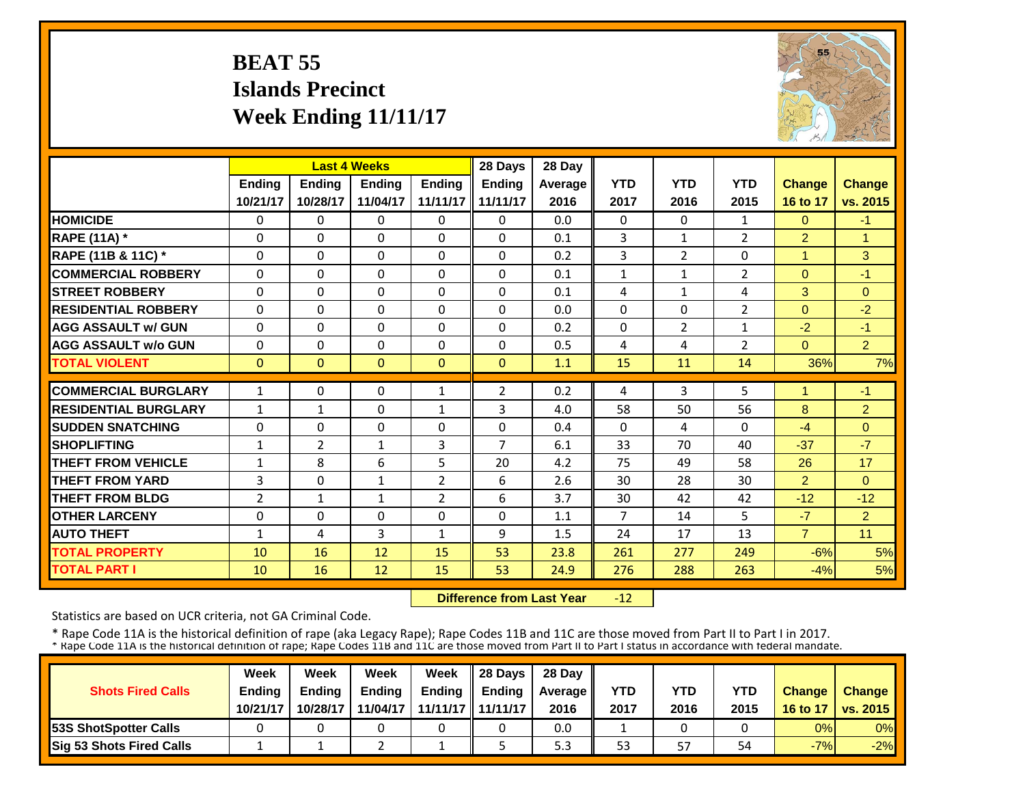# **BEAT 55 Islands PrecinctWeek Ending 11/11/17**



|                             |                | <b>Last 4 Weeks</b> |               |                | 28 Days        | 28 Day         |                |                |                |                |                |
|-----------------------------|----------------|---------------------|---------------|----------------|----------------|----------------|----------------|----------------|----------------|----------------|----------------|
|                             | <b>Ending</b>  | <b>Endina</b>       | <b>Endina</b> | <b>Endina</b>  | <b>Ending</b>  | <b>Average</b> | <b>YTD</b>     | <b>YTD</b>     | <b>YTD</b>     | <b>Change</b>  | <b>Change</b>  |
|                             | 10/21/17       | 10/28/17            | 11/04/17      | 11/11/17       | 11/11/17       | 2016           | 2017           | 2016           | 2015           | 16 to 17       | vs. 2015       |
| <b>HOMICIDE</b>             | $\Omega$       | $\Omega$            | $\Omega$      | $\Omega$       | 0              | 0.0            | $\Omega$       | $\Omega$       | $\mathbf{1}$   | $\Omega$       | $-1$           |
| <b>RAPE (11A)</b> *         | $\Omega$       | $\Omega$            | $\Omega$      | $\Omega$       | $\Omega$       | 0.1            | 3              | $\mathbf{1}$   | $\overline{2}$ | $\overline{2}$ | $\overline{1}$ |
| RAPE (11B & 11C) *          | $\mathbf 0$    | $\Omega$            | $\mathbf{0}$  | $\Omega$       | $\Omega$       | 0.2            | 3              | $\overline{2}$ | 0              | $\overline{1}$ | 3              |
| <b>COMMERCIAL ROBBERY</b>   | $\Omega$       | $\Omega$            | $\Omega$      | $\Omega$       | 0              | 0.1            | $\mathbf{1}$   | $\mathbf{1}$   | $\overline{2}$ | $\Omega$       | $-1$           |
| <b>ISTREET ROBBERY</b>      | $\Omega$       | $\Omega$            | $\Omega$      | $\Omega$       | $\Omega$       | 0.1            | 4              | $\mathbf{1}$   | 4              | 3              | $\Omega$       |
| <b>RESIDENTIAL ROBBERY</b>  | $\Omega$       | $\Omega$            | $\Omega$      | $\Omega$       | $\Omega$       | 0.0            | $\Omega$       | $\Omega$       | $\overline{2}$ | $\Omega$       | $-2$           |
| <b>AGG ASSAULT w/ GUN</b>   | $\Omega$       | $\Omega$            | $\Omega$      | $\Omega$       | $\Omega$       | 0.2            | $\Omega$       | $\overline{2}$ | $\mathbf{1}$   | $-2$           | $-1$           |
| <b>AGG ASSAULT w/o GUN</b>  | $\Omega$       | $\Omega$            | $\Omega$      | $\Omega$       | $\Omega$       | 0.5            | 4              | 4              | $\overline{2}$ | $\Omega$       | $\overline{2}$ |
| <b>TOTAL VIOLENT</b>        | $\mathbf{0}$   | $\Omega$            | $\Omega$      | $\Omega$       | $\Omega$       | 1.1            | 15             | 11             | 14             | 36%            | 7%             |
| <b>COMMERCIAL BURGLARY</b>  | $\mathbf{1}$   | $\Omega$            | $\Omega$      | 1              | $\overline{2}$ | 0.2            | 4              | 3              | 5              |                | $-1$           |
| <b>RESIDENTIAL BURGLARY</b> | $\mathbf{1}$   | $\mathbf{1}$        | $\Omega$      | $\mathbf{1}$   | 3              | 4.0            | 58             | 50             | 56             | 8              | $\overline{2}$ |
| <b>ISUDDEN SNATCHING</b>    | $\mathbf 0$    | 0                   | $\Omega$      | 0              | $\Omega$       | 0.4            | $\Omega$       | 4              | 0              | $-4$           | $\Omega$       |
| <b>SHOPLIFTING</b>          | $\mathbf{1}$   | 2                   | 1             | 3              | 7              | 6.1            | 33             | 70             | 40             | $-37$          | $-7$           |
| <b>THEFT FROM VEHICLE</b>   | $\mathbf{1}$   | 8                   | 6             | 5              | 20             | 4.2            | 75             | 49             | 58             | 26             | 17             |
| <b>THEFT FROM YARD</b>      | 3              | $\Omega$            | $\mathbf{1}$  | $\overline{2}$ | 6              | 2.6            | 30             | 28             | 30             | $\overline{2}$ | $\Omega$       |
| <b>THEFT FROM BLDG</b>      | $\overline{2}$ | $\mathbf{1}$        | $\mathbf{1}$  | $\overline{2}$ | 6              | 3.7            | 30             | 42             | 42             | $-12$          | $-12$          |
| <b>OTHER LARCENY</b>        | $\Omega$       | $\Omega$            | $\Omega$      | 0              | $\Omega$       | 1.1            | $\overline{7}$ | 14             | 5.             | $-7$           | $\overline{2}$ |
| <b>AUTO THEFT</b>           | $\mathbf{1}$   | 4                   | 3             | 1              | 9              | 1.5            | 24             | 17             | 13             | $\overline{7}$ | 11             |
| <b>TOTAL PROPERTY</b>       | 10             | 16                  | 12            | 15             | 53             | 23.8           | 261            | 277            | 249            | $-6%$          | 5%             |
| <b>TOTAL PART I</b>         | 10             | 16                  | 12            | 15             | 53             | 24.9           | 276            | 288            | 263            | $-4%$          | 5%             |

 **Difference from Last Year** $-12$ 

Statistics are based on UCR criteria, not GA Criminal Code.

|                                 | Week          | Week          | Week     | Week              | 28 Davs       | 28 Day    |      |      |            |               |                     |
|---------------------------------|---------------|---------------|----------|-------------------|---------------|-----------|------|------|------------|---------------|---------------------|
| <b>Shots Fired Calls</b>        | <b>Endina</b> | <b>Endina</b> | Ending   | <b>Ending</b>     | <b>Endina</b> | Average I | YTD  | YTD  | <b>YTD</b> | <b>Change</b> | <b>Change</b>       |
|                                 | 10/21/17      | 10/28/17      | 11/04/17 | 11/11/17 11/11/17 |               | 2016      | 2017 | 2016 | 2015       |               | 16 to 17   vs. 2015 |
| <b>153S ShotSpotter Calls</b>   |               |               |          |                   |               | 0.0       |      |      |            | 0%            | $0\%$               |
| <b>Sig 53 Shots Fired Calls</b> |               |               |          |                   |               | د.ر       | 53   | 57   | 54         | $-7%$         | $-2%$               |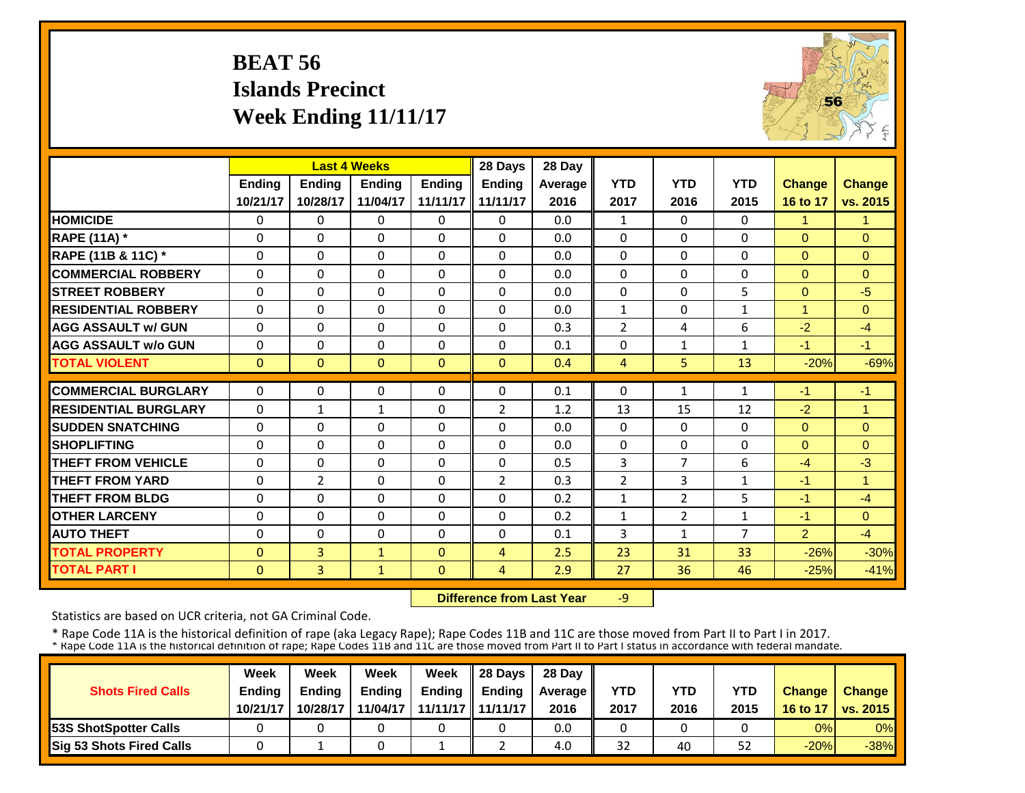# **BEAT 56 Islands Precinct Week Ending 11/11/17**



|                             |              | <b>Last 4 Weeks</b> |               |               | 28 Days        | 28 Day  |                |                |                |                |                |
|-----------------------------|--------------|---------------------|---------------|---------------|----------------|---------|----------------|----------------|----------------|----------------|----------------|
|                             | Ending       | <b>Ending</b>       | <b>Ending</b> | <b>Ending</b> | <b>Ending</b>  | Average | <b>YTD</b>     | <b>YTD</b>     | <b>YTD</b>     | <b>Change</b>  | <b>Change</b>  |
|                             | 10/21/17     | 10/28/17            | 11/04/17      | 11/11/17      | 11/11/17       | 2016    | 2017           | 2016           | 2015           | 16 to 17       | vs. 2015       |
| <b>HOMICIDE</b>             | $\Omega$     | $\Omega$            | $\Omega$      | $\Omega$      | $\Omega$       | 0.0     | $\mathbf{1}$   | $\Omega$       | 0              | $\mathbf{1}$   | $\mathbf{1}$   |
| <b>RAPE (11A) *</b>         | $\Omega$     | $\Omega$            | $\Omega$      | $\Omega$      | $\Omega$       | 0.0     | $\Omega$       | $\Omega$       | $\Omega$       | $\Omega$       | $\Omega$       |
| RAPE (11B & 11C) *          | 0            | $\Omega$            | $\Omega$      | $\Omega$      | $\Omega$       | 0.0     | 0              | $\Omega$       | $\Omega$       | $\overline{0}$ | $\mathbf{0}$   |
| <b>COMMERCIAL ROBBERY</b>   | $\Omega$     | $\Omega$            | $\Omega$      | $\Omega$      | $\Omega$       | 0.0     | $\Omega$       | $\Omega$       | $\Omega$       | $\Omega$       | $\Omega$       |
| <b>STREET ROBBERY</b>       | $\Omega$     | $\Omega$            | $\Omega$      | $\Omega$      | $\Omega$       | 0.0     | $\Omega$       | $\Omega$       | 5              | $\Omega$       | $-5$           |
| <b>RESIDENTIAL ROBBERY</b>  | $\Omega$     | $\Omega$            | $\Omega$      | $\Omega$      | $\Omega$       | 0.0     | $\mathbf{1}$   | $\Omega$       | $\mathbf{1}$   | $\mathbf{1}$   | $\Omega$       |
| <b>AGG ASSAULT w/ GUN</b>   | $\Omega$     | $\Omega$            | $\Omega$      | $\Omega$      | $\Omega$       | 0.3     | $\overline{2}$ | 4              | 6              | $-2$           | $-4$           |
| <b>AGG ASSAULT w/o GUN</b>  | $\mathbf 0$  | $\Omega$            | $\Omega$      | $\Omega$      | $\Omega$       | 0.1     | $\Omega$       | $\mathbf{1}$   | $\mathbf{1}$   | $-1$           | $-1$           |
| <b>TOTAL VIOLENT</b>        | $\mathbf{0}$ | $\Omega$            | $\Omega$      | $\Omega$      | $\Omega$       | 0.4     | $\overline{4}$ | 5 <sup>1</sup> | 13             | $-20%$         | $-69%$         |
| <b>COMMERCIAL BURGLARY</b>  | $\Omega$     | $\Omega$            | $\Omega$      | $\Omega$      | $\Omega$       | 0.1     | $\Omega$       | $\mathbf{1}$   | 1              | $-1$           | $-1$           |
|                             |              |                     |               |               |                |         |                |                |                |                |                |
| <b>RESIDENTIAL BURGLARY</b> | $\Omega$     | $\mathbf{1}$        | $\mathbf{1}$  | $\Omega$      | $\overline{2}$ | 1.2     | 13             | 15             | 12             | $-2$           | $\overline{1}$ |
| <b>SUDDEN SNATCHING</b>     | $\mathbf 0$  | $\Omega$            | $\Omega$      | $\Omega$      | $\Omega$       | 0.0     | $\Omega$       | $\Omega$       | $\Omega$       | $\Omega$       | $\Omega$       |
| <b>SHOPLIFTING</b>          | $\Omega$     | $\Omega$            | $\Omega$      | $\Omega$      | $\Omega$       | 0.0     | $\Omega$       | $\Omega$       | $\Omega$       | $\Omega$       | $\Omega$       |
| <b>THEFT FROM VEHICLE</b>   | $\Omega$     | $\Omega$            | $\Omega$      | $\Omega$      | $\Omega$       | 0.5     | 3              | 7              | 6              | $-4$           | $-3$           |
| <b>THEFT FROM YARD</b>      | 0            | $\overline{2}$      | $\Omega$      | $\Omega$      | $\overline{2}$ | 0.3     | $\overline{2}$ | 3              | $\mathbf{1}$   | $-1$           | $\mathbf{1}$   |
| <b>THEFT FROM BLDG</b>      | 0            | $\Omega$            | $\Omega$      | 0             | $\Omega$       | 0.2     | $\mathbf{1}$   | $\overline{2}$ | 5              | $-1$           | $-4$           |
| <b>OTHER LARCENY</b>        | 0            | $\Omega$            | 0             | 0             | $\Omega$       | 0.2     | $\mathbf{1}$   | $\overline{2}$ | $\mathbf{1}$   | $-1$           | $\Omega$       |
| <b>AUTO THEFT</b>           | $\Omega$     | $\Omega$            | $\Omega$      | $\Omega$      | $\Omega$       | 0.1     | 3              | $\mathbf 1$    | $\overline{7}$ | $\overline{2}$ | $-4$           |
| <b>TOTAL PROPERTY</b>       | $\Omega$     | 3                   | $\mathbf{1}$  | $\Omega$      | 4              | 2.5     | 23             | 31             | 33             | $-26%$         | $-30%$         |
| <b>TOTAL PART I</b>         | $\mathbf{0}$ | $\mathbf{3}$        | $\mathbf{1}$  | 0             | 4              | 2.9     | 27             | 36             | 46             | $-25%$         | $-41%$         |

 **Difference from Last Year**‐9

Statistics are based on UCR criteria, not GA Criminal Code.

|                               | Week     | Week          | Week          | Week          | $\parallel$ 28 Davs | 28 Day    |      |      |      |               |                     |
|-------------------------------|----------|---------------|---------------|---------------|---------------------|-----------|------|------|------|---------------|---------------------|
| <b>Shots Fired Calls</b>      | Ending   | <b>Ending</b> | <b>Ending</b> | <b>Ending</b> | <b>Ending</b>       | Average I | YTD  | YTD  | YTD  | <b>Change</b> | <b>Change</b>       |
|                               | 10/21/17 | 10/28/17      | 11/04/17      |               | 11/11/17   11/11/17 | 2016      | 2017 | 2016 | 2015 |               | 16 to 17   vs. 2015 |
| <b>153S ShotSpotter Calls</b> |          |               |               |               |                     | 0.0       |      |      |      | 0%            | $0\%$               |
| Sig 53 Shots Fired Calls      |          |               |               |               |                     | 4.0       | 32   | 40   | 52   | $-20%$        | $-38%$              |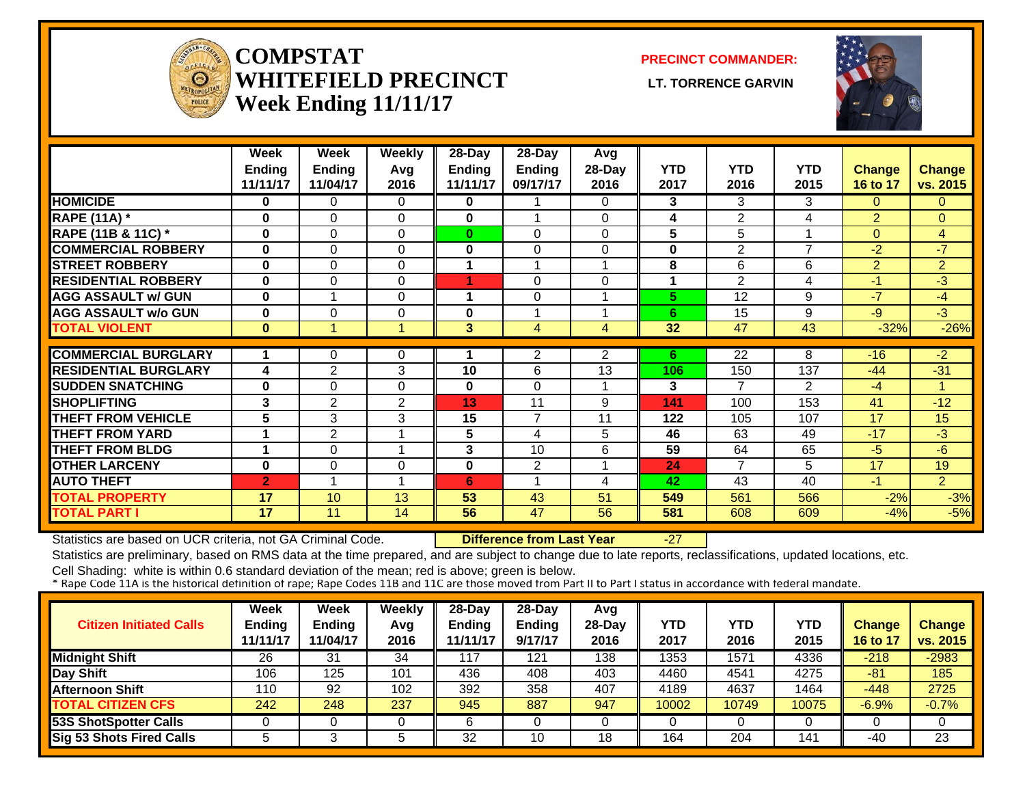

#### **COMPSTATWHITEFIELD PRECINCT** LT. TORRENCE GARVIN **Week Ending 11/11/17**

**PRECINCT COMMANDER:**



|                             | Week<br><b>Ending</b><br>11/11/17 | Week<br><b>Ending</b><br>11/04/17 | Weekly<br>Avg<br>2016   | $28$ -Day<br><b>Ending</b><br>11/11/17 | 28-Day<br>Ending<br>09/17/17 | Avg<br>28-Day<br>2016 | <b>YTD</b><br>2017 | <b>YTD</b><br>2016       | <b>YTD</b><br>2015 | Change<br>16 to 17 | Change<br>vs. 2015 |
|-----------------------------|-----------------------------------|-----------------------------------|-------------------------|----------------------------------------|------------------------------|-----------------------|--------------------|--------------------------|--------------------|--------------------|--------------------|
| <b>HOMICIDE</b>             | $\bf{0}$                          | $\Omega$                          | 0                       | 0                                      |                              | 0                     | 3                  | 3                        | 3                  | $\Omega$           | $\mathbf{0}$       |
| <b>RAPE (11A)</b> *         | $\bf{0}$                          | $\Omega$                          | $\Omega$                | 0                                      |                              | 0                     | 4                  | 2                        | 4                  | $\overline{2}$     | $\Omega$           |
| RAPE (11B & 11C) *          | $\bf{0}$                          | $\Omega$                          | $\Omega$                | $\bf{0}$                               | $\Omega$                     | 0                     | 5                  | 5                        |                    | $\Omega$           | 4                  |
| <b>COMMERCIAL ROBBERY</b>   | $\bf{0}$                          | $\Omega$                          | $\Omega$                | 0                                      | 0                            | 0                     | $\mathbf 0$        | $\overline{2}$           | $\overline{ }$     | $-2$               | $-7$               |
| <b>STREET ROBBERY</b>       | $\bf{0}$                          | 0                                 | $\Omega$                | 1                                      |                              |                       | 8                  | 6                        | 6                  | $\overline{2}$     | $\overline{2}$     |
| <b>RESIDENTIAL ROBBERY</b>  | $\bf{0}$                          | $\Omega$                          | 0                       |                                        | 0                            | 0                     |                    | $\overline{2}$           | 4                  | $-1$               | -3                 |
| <b>AGG ASSAULT w/ GUN</b>   | $\bf{0}$                          | 4                                 | $\Omega$                | 1                                      | $\mathbf 0$                  |                       | 5.                 | 12                       | 9                  | $-7$               | -4                 |
| <b>AGG ASSAULT w/o GUN</b>  | $\bf{0}$                          | $\Omega$                          | 0                       | 0                                      |                              |                       | 6                  | 15                       | 9                  | -9                 | $-3$               |
| <b>TOTAL VIOLENT</b>        | $\bf{0}$                          |                                   |                         | 3                                      | 4                            | 4                     | 32                 | 47                       | 43                 | $-32%$             | $-26%$             |
|                             |                                   |                                   |                         |                                        |                              |                       |                    |                          |                    |                    |                    |
| <b>COMMERCIAL BURGLARY</b>  |                                   | 0                                 | 0                       |                                        | 2                            | $\overline{2}$        | 6                  | 22                       | 8                  | $-16$              | $-2$               |
| <b>RESIDENTIAL BURGLARY</b> | 4                                 | 2                                 | 3                       | 10                                     | 6                            | 13                    | 106                | 150                      | 137                | $-44$              | $-31$              |
| <b>SUDDEN SNATCHING</b>     | $\bf{0}$                          | $\Omega$                          | $\Omega$                | $\mathbf{0}$                           | $\Omega$                     |                       | 3                  | $\overline{\phantom{a}}$ | 2                  | $-4$               | 1                  |
| <b>SHOPLIFTING</b>          | 3                                 | 2                                 | 2                       | 13                                     | 11                           | 9                     | 141                | 100                      | 153                | 41                 | $-12$              |
| <b>THEFT FROM VEHICLE</b>   | 5                                 | 3                                 | 3                       | 15                                     | $\overline{7}$               | 11                    | 122                | 105                      | 107                | 17                 | 15                 |
| <b>THEFT FROM YARD</b>      | 4                                 | 2                                 | $\overline{A}$          | 5                                      | 4                            | 5                     | 46                 | 63                       | 49                 | $-17$              | $-3$               |
| <b>THEFT FROM BLDG</b>      | $\blacktriangleleft$              | 0                                 | $\overline{\mathbf{A}}$ | 3                                      | 10                           | 6                     | 59                 | 64                       | 65                 | $-5$               | $-6$               |
| <b>OTHER LARCENY</b>        | $\bf{0}$                          | $\Omega$                          | $\Omega$                | $\bf{0}$                               | $\overline{2}$               |                       | 24                 | $\overline{\phantom{a}}$ | 5                  | 17                 | 19                 |
| <b>AUTO THEFT</b>           | $\overline{2}$                    | $\overline{\mathbf{A}}$           | $\overline{\mathbf{A}}$ | 6                                      | 4                            | 4                     | 42                 | 43                       | 40                 | $-1$               | $\overline{2}$     |
| <b>TOTAL PROPERTY</b>       | 17                                | 10                                | 13                      | 53                                     | 43                           | 51                    | 549                | 561                      | 566                | $-2%$              | $-3%$              |
| <b>TOTAL PART I</b>         | 17                                | 11                                | 14                      | 56                                     | 47                           | 56                    | 581                | 608                      | 609                | $-4%$              | $-5%$              |

Statistics are based on UCR criteria, not GA Criminal Code. **Difference from Last Year** -27

Statistics are preliminary, based on RMS data at the time prepared, and are subject to change due to late reports, reclassifications, updated locations, etc.

| <b>Citizen Initiated Calls</b>  | Week<br><b>Ending</b><br>11/11/17 | Week<br><b>Ending</b><br>11/04/17 | Weekly<br>Avg<br>2016 | $28-Day$<br>Ending<br>11/11/17 | $28-Dav$<br><b>Ending</b><br>9/17/17 | Avg<br>$28-Day$<br>2016 | <b>YTD</b><br>2017 | YTD<br>2016 | <b>YTD</b><br>2015 | <b>Change</b><br>16 to 17 | <b>Change</b><br>vs. 2015 |
|---------------------------------|-----------------------------------|-----------------------------------|-----------------------|--------------------------------|--------------------------------------|-------------------------|--------------------|-------------|--------------------|---------------------------|---------------------------|
| <b>Midnight Shift</b>           | 26                                | 31                                | 34                    | 117                            | 121                                  | 138                     | 1353               | 1571        | 4336               | $-218$                    | $-2983$                   |
| Day Shift                       | 106                               | 125                               | 101                   | 436                            | 408                                  | 403                     | 4460               | 4541        | 4275               | -81                       | 185                       |
| <b>Afternoon Shift</b>          | 110                               | 92                                | 102                   | 392                            | 358                                  | 407                     | 4189               | 4637        | 1464               | $-448$                    | 2725                      |
| <b>TOTAL CITIZEN CFS</b>        | 242                               | 248                               | 237                   | 945                            | 887                                  | 947                     | 10002              | 10749       | 10075              | $-6.9%$                   | $-0.7%$                   |
| 53S ShotSpotter Calls           |                                   |                                   |                       | 6                              |                                      |                         |                    |             |                    |                           | 0                         |
| <b>Sig 53 Shots Fired Calls</b> |                                   |                                   |                       | 32                             | 10                                   | 18                      | 164                | 204         | 141                | -40                       | 23                        |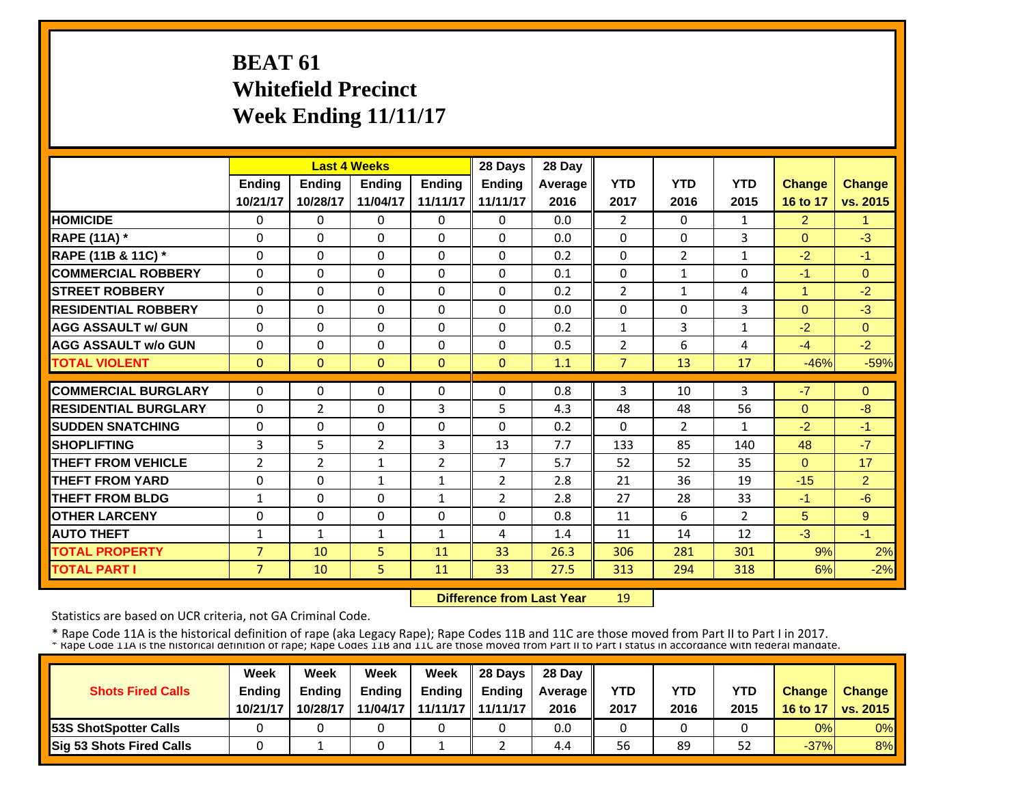# **BEAT 61 Whitefield Precinct Week Ending 11/11/17**

|                             |                |                | <b>Last 4 Weeks</b> |                | 28 Days        | 28 Day  |                |                |                |                |                |
|-----------------------------|----------------|----------------|---------------------|----------------|----------------|---------|----------------|----------------|----------------|----------------|----------------|
|                             | Ending         | Ending         | Ending              | <b>Ending</b>  | Ending         | Average | <b>YTD</b>     | <b>YTD</b>     | <b>YTD</b>     | Change         | <b>Change</b>  |
|                             | 10/21/17       | 10/28/17       | 11/04/17            | 11/11/17       | 11/11/17       | 2016    | 2017           | 2016           | 2015           | 16 to 17       | vs. 2015       |
| <b>HOMICIDE</b>             | $\Omega$       | $\Omega$       | $\Omega$            | $\Omega$       | $\Omega$       | 0.0     | $\overline{2}$ | $\Omega$       | 1              | $\overline{2}$ | 1              |
| <b>RAPE (11A) *</b>         | $\Omega$       | 0              | $\Omega$            | $\Omega$       | $\Omega$       | 0.0     | $\Omega$       | 0              | 3              | $\Omega$       | $-3$           |
| RAPE (11B & 11C) *          | $\Omega$       | $\Omega$       | $\Omega$            | $\Omega$       | $\Omega$       | 0.2     | $\Omega$       | $\overline{2}$ | 1              | $-2$           | $-1$           |
| <b>COMMERCIAL ROBBERY</b>   | $\Omega$       | $\Omega$       | $\mathbf{0}$        | $\Omega$       | $\Omega$       | 0.1     | $\Omega$       | $\mathbf{1}$   | $\Omega$       | $-1$           | $\Omega$       |
| <b>STREET ROBBERY</b>       | $\Omega$       | $\Omega$       | $\mathbf{0}$        | $\Omega$       | $\Omega$       | 0.2     | $\overline{2}$ | $\mathbf{1}$   | 4              | $\mathbf{1}$   | $-2$           |
| <b>RESIDENTIAL ROBBERY</b>  | $\Omega$       | $\Omega$       | $\Omega$            | $\Omega$       | $\Omega$       | 0.0     | $\Omega$       | $\Omega$       | 3              | $\Omega$       | $-3$           |
| <b>AGG ASSAULT w/ GUN</b>   | $\Omega$       | $\Omega$       | $\Omega$            | $\Omega$       | $\Omega$       | 0.2     | 1              | 3              | 1              | $-2$           | $\Omega$       |
| <b>AGG ASSAULT w/o GUN</b>  | $\Omega$       | 0              | $\Omega$            | $\Omega$       | $\Omega$       | 0.5     | $\overline{2}$ | 6              | 4              | $-4$           | $-2$           |
| <b>TOTAL VIOLENT</b>        | $\mathbf{0}$   | $\Omega$       | $\Omega$            | $\Omega$       | $\Omega$       | 1.1     | $\overline{7}$ | 13             | 17             | $-46%$         | $-59%$         |
| <b>COMMERCIAL BURGLARY</b>  | $\Omega$       | $\Omega$       | $\mathbf{0}$        | $\Omega$       | $\Omega$       | 0.8     | 3              | 10             | 3              | $-7$           | $\Omega$       |
| <b>RESIDENTIAL BURGLARY</b> | $\Omega$       | 2              | $\mathbf{0}$        | 3              | 5              | 4.3     | 48             | 48             | 56             | $\Omega$       | $-8$           |
| <b>SUDDEN SNATCHING</b>     | $\Omega$       | $\Omega$       | $\Omega$            | $\Omega$       | $\Omega$       | 0.2     | $\Omega$       | $\overline{2}$ | $\mathbf{1}$   | $-2$           | $-1$           |
| <b>SHOPLIFTING</b>          | 3              | 5              | $\overline{2}$      | 3              | 13             | 7.7     | 133            | 85             | 140            | 48             | $-7$           |
| <b>THEFT FROM VEHICLE</b>   | $\overline{2}$ | $\overline{2}$ | $\mathbf{1}$        | $\overline{2}$ | 7              | 5.7     | 52             | 52             | 35             | $\Omega$       | 17             |
| <b>THEFT FROM YARD</b>      | 0              | $\Omega$       | $\mathbf{1}$        | $\mathbf{1}$   | $\overline{2}$ | 2.8     | 21             | 36             | 19             | $-15$          | $\overline{2}$ |
| <b>THEFT FROM BLDG</b>      | 1              | 0              | $\Omega$            | 1              | $\overline{2}$ | 2.8     | 27             | 28             | 33             | $-1$           | $-6$           |
| <b>OTHER LARCENY</b>        | $\Omega$       | $\Omega$       | $\Omega$            | $\Omega$       | $\Omega$       | 0.8     | 11             | 6              | $\overline{2}$ | 5              | 9              |
| <b>AUTO THEFT</b>           | $\mathbf{1}$   | $\mathbf{1}$   | $\mathbf{1}$        | $\mathbf{1}$   | 4              | 1.4     | 11             | 14             | 12             | $-3$           | $-1$           |
| <b>TOTAL PROPERTY</b>       | $\overline{7}$ | 10             | 5                   | 11             | 33             | 26.3    | 306            | 281            | 301            | 9%             | 2%             |
| <b>TOTAL PART I</b>         | $\overline{7}$ | 10             | 5                   | 11             | 33             | 27.5    | 313            | 294            | 318            | 6%             | $-2%$          |

 **Difference from Last Year**19

Statistics are based on UCR criteria, not GA Criminal Code.

| <b>Shots Fired Calls</b>        | Week<br><b>Ending</b><br>10/21/17 | Week<br><b>Ending</b><br>10/28/17 | Week<br><b>Ending</b><br>11/04/17 | Week<br><b>Ending</b><br>11/11/17 $\ $ | 28 Days<br><b>Endina</b><br>11/11/17 | 28 Day<br>Average II<br>2016 | <b>YTD</b><br>2017 | YTD<br>2016 | <b>YTD</b><br>2015 | <b>Change</b><br>16 to 17 | <b>Change</b><br><u>l vs. 2015 l</u> |
|---------------------------------|-----------------------------------|-----------------------------------|-----------------------------------|----------------------------------------|--------------------------------------|------------------------------|--------------------|-------------|--------------------|---------------------------|--------------------------------------|
| <b>153S ShotSpotter Calls</b>   |                                   |                                   |                                   |                                        |                                      | 0.0                          |                    |             |                    | 0%                        | $0\%$                                |
| <b>Sig 53 Shots Fired Calls</b> |                                   |                                   |                                   |                                        |                                      | 4.4                          | 56                 | 89          | 52                 | $-37%$                    | 8%                                   |